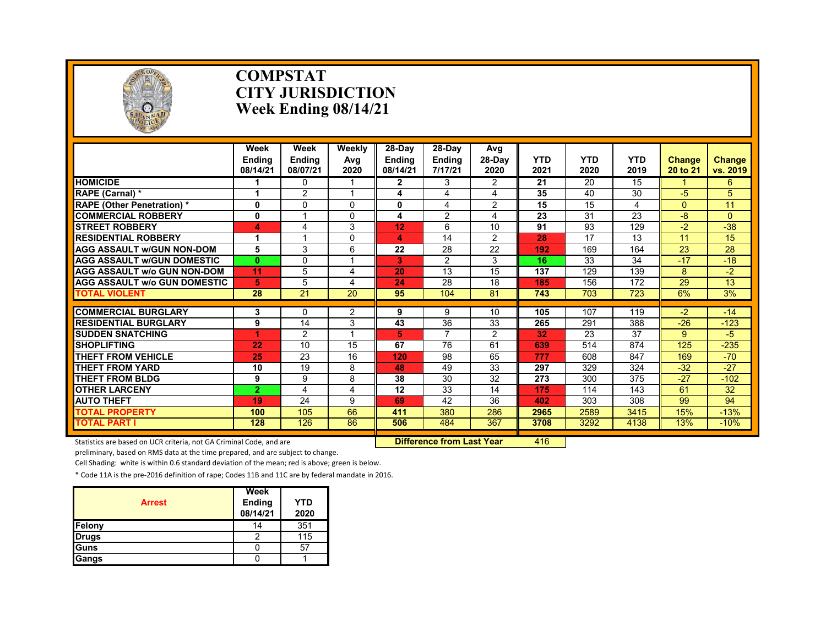

#### **COMPSTAT CITY JURISDICTION Week Ending 08/14/21**

|                                     | Week<br><b>Endina</b><br>08/14/21 | Week<br><b>Ending</b><br>08/07/21 | <b>Weekly</b><br>Avg<br>2020 | $28-Day$<br><b>Ending</b><br>08/14/21 | 28-Day<br><b>Ending</b><br>7/17/21 | Avg<br>$28-Dav$<br>2020 | <b>YTD</b><br>2021 | <b>YTD</b><br>2020 | <b>YTD</b><br>2019 | <b>Change</b><br>20 to 21 | <b>Change</b><br>vs. 2019 |
|-------------------------------------|-----------------------------------|-----------------------------------|------------------------------|---------------------------------------|------------------------------------|-------------------------|--------------------|--------------------|--------------------|---------------------------|---------------------------|
| <b>HOMICIDE</b>                     |                                   | 0                                 |                              | $\mathbf{2}$                          | 3                                  | $\overline{2}$          | 21                 | 20                 | 15                 |                           | 6                         |
| RAPE (Carnal) *                     | 1                                 | $\overline{2}$                    |                              | 4                                     | 4                                  | 4                       | 35                 | 40                 | 30                 | $-5$                      | 5                         |
| <b>RAPE (Other Penetration) *</b>   | $\mathbf{0}$                      | 0                                 | $\Omega$                     | 0                                     | 4                                  | $\overline{2}$          | 15                 | 15                 | 4                  | $\Omega$                  | 11                        |
| <b>COMMERCIAL ROBBERY</b>           | 0                                 |                                   | $\Omega$                     | 4                                     | 2                                  | 4                       | 23                 | 31                 | $\overline{23}$    | -8                        | $\Omega$                  |
| <b>STREET ROBBERY</b>               | 4                                 | 4                                 | 3                            | 12                                    | 6                                  | 10                      | 91                 | 93                 | 129                | $-2$                      | $-38$                     |
| <b>RESIDENTIAL ROBBERY</b>          |                                   |                                   | $\Omega$                     | 4                                     | 14                                 | $\overline{2}$          | 28                 | 17                 | 13                 | 11                        | 15                        |
| <b>AGG ASSAULT w/GUN NON-DOM</b>    | 5                                 | 3                                 | 6                            | 22                                    | 28                                 | 22                      | 192                | 169                | 164                | 23                        | 28                        |
| <b>AGG ASSAULT W/GUN DOMESTIC</b>   | $\mathbf{0}$                      | 0                                 |                              | 3                                     | 2                                  | 3                       | 16                 | 33                 | 34                 | $-17$                     | $-18$                     |
| <b>AGG ASSAULT w/o GUN NON-DOM</b>  | 11                                | 5                                 | 4                            | 20                                    | 13                                 | 15                      | 137                | 129                | 139                | 8                         | $-2$                      |
| <b>AGG ASSAULT W/o GUN DOMESTIC</b> | 5                                 | 5                                 | 4                            | 24                                    | 28                                 | 18                      | 185                | 156                | 172                | 29                        | 13                        |
| <b>TOTAL VIOLENT</b>                | 28                                | 21                                | 20                           | 95                                    | 104                                | 81                      | 743                | 703                | 723                | 6%                        | 3%                        |
|                                     |                                   |                                   |                              |                                       |                                    |                         |                    |                    |                    |                           |                           |
| <b>COMMERCIAL BURGLARY</b>          | 3                                 | 0                                 | 2                            | 9                                     | 9                                  | 10                      | 105                | 107                | 119                | $-2$                      | $-14$                     |
| <b>RESIDENTIAL BURGLARY</b>         | 9                                 | 14                                | 3                            | 43                                    | 36<br>7                            | 33                      | 265                | 291                | 388                | $-26$                     | $-123$                    |
| <b>SUDDEN SNATCHING</b>             |                                   | $\overline{2}$                    |                              | 5.                                    |                                    | $\overline{2}$          | 32                 | 23                 | 37                 | 9                         | $-5$                      |
| <b>SHOPLIFTING</b>                  | 22                                | 10                                | 15                           | 67                                    | 76                                 | 61                      | 639                | 514                | 874                | 125                       | $-235$                    |
| <b>THEFT FROM VEHICLE</b>           | 25                                | 23                                | 16                           | 120                                   | 98                                 | 65                      | 777                | 608                | 847                | 169                       | $-70$                     |
| <b>THEFT FROM YARD</b>              | 10                                | 19                                | 8                            | 48                                    | 49                                 | 33                      | 297                | 329                | 324                | $-32$                     | $-27$                     |
| THEFT FROM BLDG                     | 9                                 | 9                                 | 8                            | 38                                    | 30                                 | 32                      | 273                | 300                | 375                | $-27$                     | $-102$                    |
| <b>OTHER LARCENY</b>                | $\overline{2}$                    | 4                                 | 4                            | 12                                    | 33                                 | 14                      | 175                | 114                | 143                | 61                        | 32                        |
| <b>AUTO THEFT</b>                   | 19                                | 24                                | 9                            | 69                                    | 42                                 | 36                      | 402                | 303                | 308                | 99                        | 94                        |
| <b>TOTAL PROPERTY</b>               | 100                               | 105                               | 66                           | 411                                   | 380                                | 286                     | 2965               | 2589               | 3415               | 15%                       | $-13%$                    |
| <b>TOTAL PART I</b>                 | 128                               | 126                               | 86                           | 506                                   | 484                                | 367                     | 3708               | 3292               | 4138               | 13%                       | $-10%$                    |

Statistics are based on UCR criteria, not GA Criminal Code, and are **Difference from Last Year** 416

preliminary, based on RMS data at the time prepared, and are subject to change.

Cell Shading: white is within 0.6 standard deviation of the mean; red is above; green is below.

| <b>Arrest</b> | Week<br>Ending<br>08/14/21 | <b>YTD</b><br>2020 |
|---------------|----------------------------|--------------------|
| Felony        | 14                         | 351                |
| <b>Drugs</b>  |                            | 115                |
| Guns          |                            | 57                 |
| <b>Gangs</b>  |                            |                    |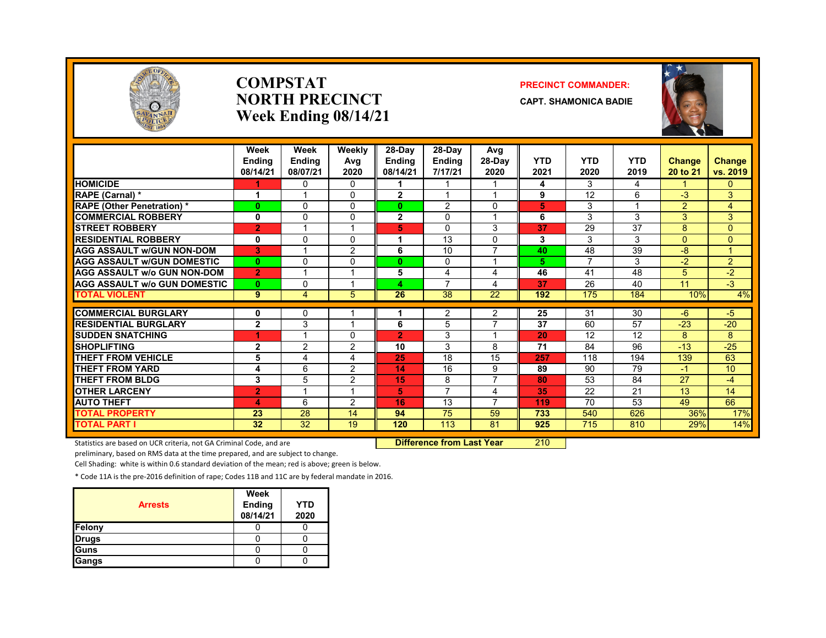

#### **COMPSTATNORTH PRECINCTWeek Ending 08/14/21**

#### **PRECINCT COMMANDER:**

**CAPT. SHAMONICA BADIE**



|                                     | Week<br><b>Endina</b><br>08/14/21 | Week<br>Ending<br>08/07/21 | Weekly<br>Avg<br>2020 | 28-Day<br><b>Endina</b><br>08/14/21 | 28-Dav<br><b>Ending</b><br>7/17/21 | Avg<br>28-Day<br>2020   | <b>YTD</b><br>2021 | <b>YTD</b><br>2020 | <b>YTD</b><br>2019      | <b>Change</b><br>20 to 21 | <b>Change</b><br>vs. 2019 |
|-------------------------------------|-----------------------------------|----------------------------|-----------------------|-------------------------------------|------------------------------------|-------------------------|--------------------|--------------------|-------------------------|---------------------------|---------------------------|
| <b>HOMICIDE</b>                     |                                   | $\Omega$                   | $\Omega$              | 1                                   |                                    |                         | 4                  | 3                  | 4                       |                           | 0                         |
| RAPE (Carnal) *                     | 1                                 |                            | 0                     | $\mathbf{2}$                        |                                    | $\overline{\mathbf{A}}$ | 9                  | 12                 | 6                       | $-3$                      | 3                         |
| <b>RAPE (Other Penetration) *</b>   | $\bf{0}$                          | $\Omega$                   | $\Omega$              | $\bf{0}$                            | 2                                  | $\Omega$                | 5                  | 3                  | $\overline{\mathbf{A}}$ | $\overline{2}$            | $\overline{4}$            |
| <b>COMMERCIAL ROBBERY</b>           | 0                                 | $\Omega$                   | 0                     | $\mathbf{2}$                        | $\Omega$                           | $\overline{\mathbf{A}}$ | 6                  | 3                  | 3                       | 3                         | 3                         |
| <b>STREET ROBBERY</b>               | $\overline{2}$                    |                            |                       | 5                                   | $\mathbf{0}$                       | 3                       | 37                 | 29                 | 37                      | 8                         | $\Omega$                  |
| <b>RESIDENTIAL ROBBERY</b>          | 0                                 | $\Omega$                   | 0                     | 1                                   | 13                                 | $\Omega$                | 3                  | 3                  | 3                       | $\Omega$                  | $\Omega$                  |
| <b>AGG ASSAULT W/GUN NON-DOM</b>    | 3                                 |                            | $\overline{2}$        | 6                                   | 10                                 | $\overline{7}$          | 40                 | 48                 | 39                      | $-8$                      | $\mathbf{1}$              |
| <b>AGG ASSAULT W/GUN DOMESTIC</b>   | $\bf{0}$                          | $\Omega$                   | 0                     | $\mathbf{0}$                        | $\mathbf{0}$                       | $\overline{ }$          | 5.                 | 7                  | 3                       | $-2$                      | $\overline{2}$            |
| <b>AGG ASSAULT W/o GUN NON-DOM</b>  | $\overline{2}$                    |                            |                       | 5                                   | 4                                  | 4                       | 46                 | 41                 | 48                      | 5                         | $-2$                      |
| <b>AGG ASSAULT W/o GUN DOMESTIC</b> | $\bf{0}$                          | $\mathbf{0}$               |                       | 4                                   | 7                                  | 4                       | 37                 | 26                 | 40                      | 11                        | $-3$                      |
| <b>TOTAL VIOLENT</b>                | 9                                 | 4                          | 5                     | 26                                  | 38                                 | 22                      | 192                | 175                | 184                     | 10%                       | 4%                        |
|                                     |                                   |                            |                       |                                     |                                    |                         |                    |                    |                         |                           |                           |
| <b>COMMERCIAL BURGLARY</b>          | 0                                 | $\mathbf{0}$               |                       |                                     | 2                                  | 2<br>$\overline{7}$     | 25                 | $\overline{31}$    | 30                      | -6                        | $-5$                      |
| <b>RESIDENTIAL BURGLARY</b>         | $\mathbf{2}$                      | 3                          |                       | 6                                   | 5                                  |                         | 37                 | 60                 | 57                      | $-23$                     | $-20$                     |
| <b>SUDDEN SNATCHING</b>             |                                   |                            | 0                     | $\overline{2}$                      | 3                                  |                         | 20                 | 12                 | 12                      | 8                         | 8                         |
| <b>SHOPLIFTING</b>                  | $\mathbf{2}$                      | 2                          | $\overline{2}$        | 10                                  | 3                                  | 8                       | 71                 | 84                 | 96                      | $-13$                     | $-25$                     |
| <b>THEFT FROM VEHICLE</b>           | 5                                 | 4                          | 4                     | 25                                  | 18                                 | 15                      | 257                | 118                | 194                     | 139                       | 63                        |
| <b>THEFT FROM YARD</b>              | 4                                 | 6                          | $\overline{2}$        | 14                                  | 16                                 | 9                       | 89                 | 90                 | 79                      | $-1$                      | 10                        |
| <b>THEFT FROM BLDG</b>              | 3                                 | 5                          | 2                     | 15                                  | 8                                  | $\overline{7}$          | 80                 | 53                 | 84                      | 27                        | $-4$                      |
| <b>OTHER LARCENY</b>                | $\overline{2}$                    |                            |                       | 5.                                  | 7                                  | 4                       | 35                 | 22                 | 21                      | 13                        | 14                        |
| <b>AUTO THEFT</b>                   | 4                                 | 6                          | 2                     | 16                                  | 13                                 | $\overline{ }$          | 119                | 70                 | 53                      | 49                        | 66                        |
| <b>TOTAL PROPERTY</b>               | 23                                | 28                         | 14                    | 94                                  | 75                                 | 59                      | 733                | 540                | 626                     | 36%                       | 17%                       |
| <b>TOTAL PART I</b>                 | 32                                | 32                         | 19                    | 120                                 | 113                                | 81                      | 925                | 715                | 810                     | 29%                       | 14%                       |

Statistics are based on UCR criteria, not GA Criminal Code, and are **Difference from Last Year** 210

preliminary, based on RMS data at the time prepared, and are subject to change.

Cell Shading: white is within 0.6 standard deviation of the mean; red is above; green is below.

| <b>Arrests</b> | Week<br><b>Ending</b><br>08/14/21 | <b>YTD</b><br>2020 |
|----------------|-----------------------------------|--------------------|
| <b>Felony</b>  |                                   |                    |
| <b>Drugs</b>   |                                   |                    |
| Guns           |                                   |                    |
| <b>Gangs</b>   |                                   |                    |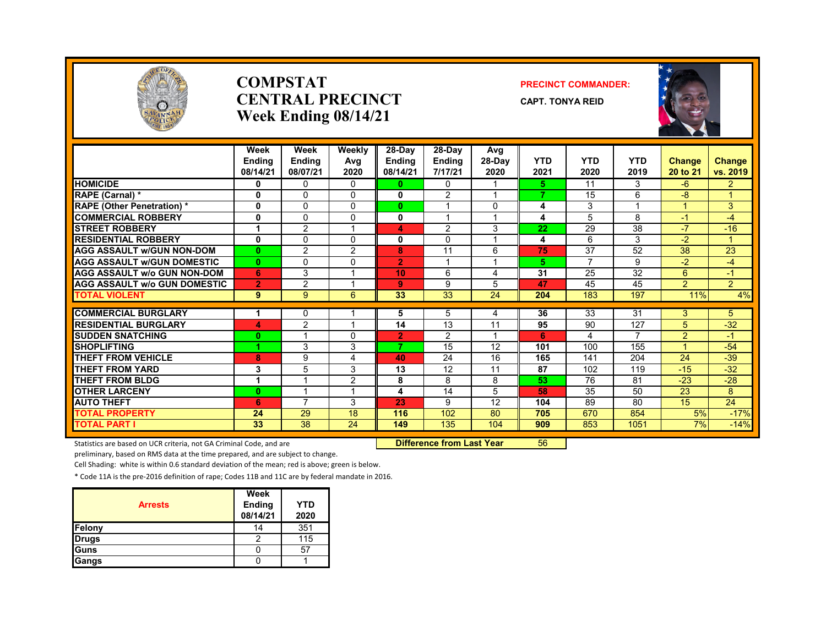

#### **COMPSTATCENTRAL PRECINCTWeek Ending 08/14/21**

#### **PRECINCT COMMANDER:**

**CAPT. TONYA REID**



|                                     | Week<br><b>Ending</b><br>08/14/21 | Week<br><b>Ending</b><br>08/07/21 | Weekly<br>Avg<br>2020 | 28-Day<br><b>Endina</b><br>08/14/21 | 28-Day<br><b>Ending</b><br>7/17/21 | Avg<br>$28-Dav$<br>2020 | <b>YTD</b><br>2021 | <b>YTD</b><br>2020 | <b>YTD</b><br>2019 | <b>Change</b><br>20 to 21 | Change<br>vs. 2019 |
|-------------------------------------|-----------------------------------|-----------------------------------|-----------------------|-------------------------------------|------------------------------------|-------------------------|--------------------|--------------------|--------------------|---------------------------|--------------------|
| <b>HOMICIDE</b>                     | 0                                 | $\Omega$                          | $\Omega$              | 0                                   | $\Omega$                           |                         | 5.                 | 11                 | 3                  | $-6$                      | $\overline{2}$     |
| RAPE (Carnal) *                     | 0                                 | 0                                 | $\Omega$              | 0                                   | 2                                  | $\overline{\mathbf{A}}$ | 7                  | 15                 | 6                  | -8                        | $\mathbf{1}$       |
| <b>RAPE (Other Penetration)</b> *   | 0                                 | 0                                 | 0                     | $\mathbf{0}$                        |                                    | 0                       | 4                  | 3                  |                    |                           | 3                  |
| <b>COMMERCIAL ROBBERY</b>           | 0                                 | $\Omega$                          | $\Omega$              | 0                                   |                                    |                         | 4                  | 5                  | 8                  | $-1$                      | $-4$               |
| <b>STREET ROBBERY</b>               | 1                                 | $\overline{2}$                    |                       | 4                                   | $\overline{2}$                     | 3                       | 22                 | 29                 | $\overline{38}$    | $-7$                      | $-16$              |
| <b>RESIDENTIAL ROBBERY</b>          | 0                                 | $\Omega$                          | $\Omega$              | 0                                   | $\Omega$                           | $\overline{\mathbf{A}}$ | 4                  | 6                  | 3                  | $-2$                      | 1                  |
| <b>AGG ASSAULT W/GUN NON-DOM</b>    | $\bf{0}$                          | $\overline{2}$                    | $\overline{2}$        | 8                                   | 11                                 | 6                       | 75                 | 37                 | 52                 | 38                        | 23                 |
| <b>AGG ASSAULT W/GUN DOMESTIC</b>   | $\bf{0}$                          | <sup>0</sup>                      | $\Omega$              | $\overline{2}$                      | $\overline{\mathbf{A}}$            |                         | 5                  | 7                  | 9                  | $-2$                      | $-4$               |
| <b>AGG ASSAULT w/o GUN NON-DOM</b>  | 6                                 | 3                                 |                       | 10                                  | 6                                  | 4                       | 31                 | 25                 | 32                 | 6                         | $-1$               |
| <b>AGG ASSAULT W/o GUN DOMESTIC</b> | $\overline{2}$                    | $\overline{2}$                    |                       | 9                                   | 9                                  | 5                       | 47                 | 45                 | 45                 | $\overline{2}$            | $\overline{2}$     |
| <b>TOTAL VIOLENT</b>                | 9                                 | 9                                 | 6                     | 33                                  | 33                                 | 24                      | 204                | 183                | 197                | 11%                       | 4%                 |
| <b>COMMERCIAL BURGLARY</b>          | 1                                 | 0                                 |                       | 5                                   | 5                                  | 4                       | 36                 | 33                 | 31                 | 3                         | 5                  |
| <b>RESIDENTIAL BURGLARY</b>         | 4                                 | 2                                 |                       | 14                                  | 13                                 | 11                      | 95                 | 90                 | 127                | 5                         | $-32$              |
| <b>SUDDEN SNATCHING</b>             | $\bf{0}$                          |                                   | $\Omega$              | $\overline{2}$                      | 2                                  |                         | 6                  | 4                  | 7                  | $\overline{2}$            | $-1$               |
| <b>SHOPLIFTING</b>                  |                                   | 3                                 | 3                     | 7                                   | 15                                 | 12                      | 101                | 100                | 155                |                           | $-54$              |
| <b>THEFT FROM VEHICLE</b>           | 8                                 | 9                                 | 4                     | 40                                  | 24                                 | 16                      | 165                | 141                | 204                | 24                        | $-39$              |
| <b>THEFT FROM YARD</b>              | 3                                 | 5                                 | 3                     | 13                                  | 12                                 | 11                      | 87                 | 102                | 119                | $-15$                     | $-32$              |
| <b>THEFT FROM BLDG</b>              | 1                                 |                                   | 2                     | 8                                   | 8                                  | 8                       | 53                 | 76                 | 81                 | $-23$                     | $-28$              |
| <b>OTHER LARCENY</b>                | $\bf{0}$                          |                                   |                       | 4                                   | 14                                 | 5                       | 58                 | 35                 | 50                 | 23                        | 8                  |
| <b>AUTO THEFT</b>                   | 6                                 | $\overline{\phantom{a}}$          | 3                     | 23                                  | 9                                  | 12                      | 104                | 89                 | 80                 | 15                        | 24                 |
| TOTAL PROPERTY                      | 24                                | 29                                | 18                    | 116                                 | 102                                | 80                      | 705                | 670                | 854                | 5%                        | $-17%$             |
| <b>TOTAL PART I</b>                 | 33                                | 38                                | 24                    | 149                                 | 135                                | 104                     | 909                | 853                | 1051               | 7%                        | $-14%$             |
|                                     |                                   |                                   |                       |                                     |                                    |                         |                    |                    |                    |                           |                    |

Statistics are based on UCR criteria, not GA Criminal Code, and are **Difference from Last Year** 56

preliminary, based on RMS data at the time prepared, and are subject to change.

Cell Shading: white is within 0.6 standard deviation of the mean; red is above; green is below.

| <b>Arrests</b> | Week<br>Ending | <b>YTD</b> |
|----------------|----------------|------------|
|                | 08/14/21       | 2020       |
| Felony         | 14             | 351        |
| <b>Drugs</b>   |                | 115        |
| Guns           |                | 57         |
| Gangs          |                |            |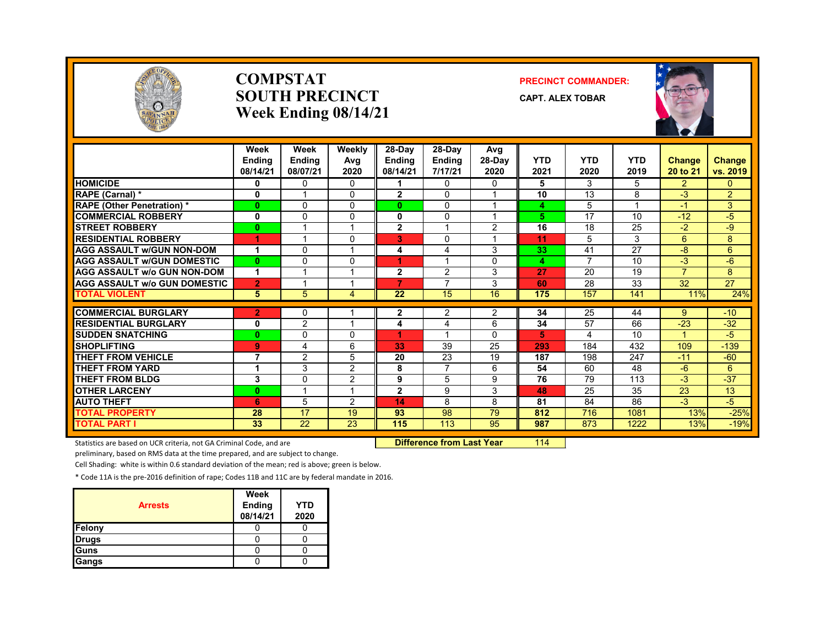

#### **COMPSTATSOUTH PRECINCTWeek Ending 08/14/21**

#### **PRECINCT COMMANDER:**

**CAPT. ALEX TOBAR**



|                                               | Week<br><b>Endina</b><br>08/14/21 | Week<br><b>Ending</b><br>08/07/21 | Weekly<br>Avg<br>2020 | $28-Dav$<br><b>Ending</b><br>08/14/21 | 28-Day<br><b>Ending</b><br>7/17/21 | Avg<br>$28-Dav$<br>2020 | <b>YTD</b><br>2021 | <b>YTD</b><br>2020 | <b>YTD</b><br>2019 | Change<br>20 to 21 | Change<br>vs. 2019 |
|-----------------------------------------------|-----------------------------------|-----------------------------------|-----------------------|---------------------------------------|------------------------------------|-------------------------|--------------------|--------------------|--------------------|--------------------|--------------------|
| <b>HOMICIDE</b>                               | 0                                 | $\mathbf{0}$                      | 0                     |                                       | 0                                  | $\mathbf{0}$            | 5                  | 3                  | 5                  | $\overline{2}$     | $\mathbf{0}$       |
| RAPE (Carnal) *                               | $\mathbf 0$                       | $\overline{A}$                    | 0                     | $\mathbf{2}$                          | $\Omega$                           |                         | 10                 | 13                 | 8                  | $-3$               | $\overline{2}$     |
| <b>RAPE (Other Penetration)*</b>              | $\bf{0}$                          | $\mathbf{0}$                      | 0                     | 0                                     | $\Omega$                           |                         | 4                  | 5                  | $\overline{A}$     | $-1$               | 3                  |
| <b>COMMERCIAL ROBBERY</b>                     | 0                                 | $\Omega$                          | 0                     | $\mathbf{0}$                          | $\Omega$                           |                         | 5                  | 17                 | 10                 | $-12$              | $-5$               |
| <b>STREET ROBBERY</b>                         | $\bf{0}$                          |                                   |                       | $\mathbf{2}$                          |                                    | $\overline{2}$          | 16                 | 18                 | 25                 | $-2$               | -9                 |
| <b>RESIDENTIAL ROBBERY</b>                    | 1                                 | $\overline{\mathbf{A}}$           | $\Omega$              | 3                                     | 0                                  |                         | 11                 | 5                  | 3                  | 6                  | 8                  |
| <b>AGG ASSAULT w/GUN NON-DOM</b>              | 1                                 | $\Omega$                          |                       | 4                                     | 4                                  | 3                       | 33                 | 41                 | 27                 | $-8$               | 6                  |
| <b>AGG ASSAULT w/GUN DOMESTIC</b>             | $\mathbf{0}$                      | $\Omega$                          | 0                     | 4                                     |                                    | $\Omega$                | 4                  | $\overline{7}$     | 10                 | $-3$               | $-6$               |
| <b>AGG ASSAULT w/o GUN NON-DOM</b>            | 1                                 | $\overline{ }$                    |                       | $\mathbf{2}$                          | 2                                  | 3                       | 27                 | 20                 | 19                 | $\overline{7}$     | 8                  |
| <b>AGG ASSAULT w/o GUN DOMESTIC</b>           | $\overline{2}$                    |                                   |                       | $\overline{7}$                        | $\overline{7}$                     | 3                       | 60                 | 28                 | 33                 | 32                 | 27                 |
| <b>TOTAL VIOLENT</b>                          | 5                                 | 5                                 | 4                     | 22                                    | 15                                 | 16                      | 175                | 157                | 141                | 11%                | 24%                |
| <b>COMMERCIAL BURGLARY</b>                    |                                   | $\Omega$                          |                       |                                       | 2                                  |                         | 34                 | 25                 | 44                 |                    | $-10$              |
| <b>RESIDENTIAL BURGLARY</b>                   | $\overline{2}$<br>0               | $\overline{2}$                    |                       | $\mathbf{2}$<br>4                     | 4                                  | 2<br>6                  | 34                 | 57                 | 66                 | 9<br>$-23$         | $-32$              |
|                                               |                                   |                                   | 0                     | ×                                     |                                    |                         | 5                  | 4                  | 10                 | $\overline{A}$     | $-5$               |
| <b>SUDDEN SNATCHING</b><br><b>SHOPLIFTING</b> | $\mathbf{0}$                      | 0                                 | 6                     | 33                                    | 39                                 | 0<br>25                 | 293                |                    |                    |                    |                    |
|                                               | 9<br>7                            | 4                                 |                       |                                       |                                    |                         |                    | 184                | 432                | 109                | $-139$             |
| <b>THEFT FROM VEHICLE</b>                     |                                   | $\overline{2}$                    | 5                     | 20                                    | 23<br>7                            | 19                      | 187                | 198                | 247                | $-11$              | $-60$              |
| <b>THEFT FROM YARD</b>                        |                                   | 3                                 | 2                     | 8                                     |                                    | 6                       | 54                 | 60                 | 48                 | -6                 | 6                  |
| <b>THEFT FROM BLDG</b>                        | 3                                 | $\Omega$                          | $\overline{2}$        | 9                                     | 5                                  | 9                       | 76                 | 79                 | 113                | $-3$               | $-37$              |
| <b>OTHER LARCENY</b>                          | $\mathbf{0}$                      |                                   |                       | $\overline{2}$                        | 9                                  | 3                       | 48                 | 25                 | 35                 | 23                 | 13                 |
| <b>AUTO THEFT</b>                             | 6                                 | 5                                 | 2                     | 14                                    | 8                                  | 8                       | 81                 | 84                 | 86                 | $-3$               | $-5$               |
| <b>TOTAL PROPERTY</b>                         | 28                                | 17                                | 19                    | 93                                    | 98                                 | 79                      | 812                | 716                | 1081               | 13%                | $-25%$             |
| <b>TOTAL PART I</b>                           | 33                                | 22                                | 23                    | 115                                   | 113                                | 95                      | 987                | 873                | 1222               | 13%                | $-19%$             |

Statistics are based on UCR criteria, not GA Criminal Code, and are **Dublee 18 and Luis Code, 114 Difference from Last Year** 114

preliminary, based on RMS data at the time prepared, and are subject to change.

Cell Shading: white is within 0.6 standard deviation of the mean; red is above; green is below.

| <b>Arrests</b> | Week<br><b>Ending</b><br>08/14/21 | <b>YTD</b><br>2020 |
|----------------|-----------------------------------|--------------------|
| Felony         |                                   |                    |
| <b>Drugs</b>   |                                   |                    |
| Guns           |                                   |                    |
| Gangs          |                                   |                    |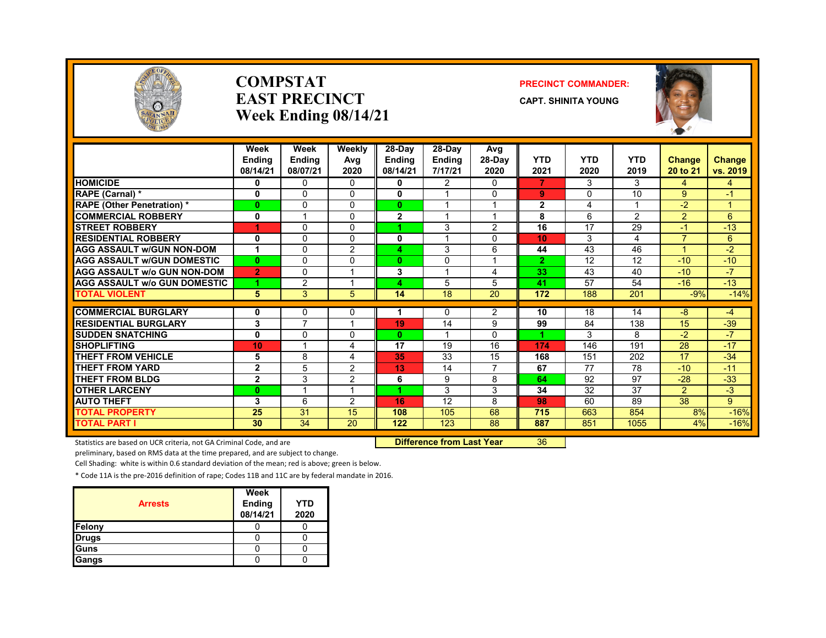

#### **COMPSTATEAST PRECINCTWeek Ending 08/14/21**

#### **PRECINCT COMMANDER:**

**CAPT. SHINITA YOUNG**



|                                     | Week           | Week                    | Weekly         | $28-Dav$      | 28-Day        | Avg                     |                |                |                 |                |             |
|-------------------------------------|----------------|-------------------------|----------------|---------------|---------------|-------------------------|----------------|----------------|-----------------|----------------|-------------|
|                                     | <b>Endina</b>  | <b>Ending</b>           | Avg            | <b>Ending</b> | <b>Ending</b> | 28-Day                  | <b>YTD</b>     | <b>YTD</b>     | <b>YTD</b>      | Change         | Change      |
|                                     | 08/14/21       | 08/07/21                | 2020           | 08/14/21      | 7/17/21       | 2020                    | 2021           | 2020           | 2019            | 20 to 21       | vs. 2019    |
| <b>HOMICIDE</b>                     | 0              | 0                       | $\Omega$       | 0             | 2             | 0                       | 7              | 3              | 3               | 4              | 4           |
| RAPE (Carnal) *                     | 0              | 0                       | $\Omega$       | 0             |               | 0                       | 9              | $\Omega$       | 10              | 9              | -1          |
| <b>RAPE (Other Penetration) *</b>   | $\mathbf{0}$   | 0                       | $\Omega$       | $\mathbf{0}$  | 4             | $\overline{1}$          | $\mathbf{2}$   | $\overline{4}$ | 1               | $-2$           | 1           |
| <b>COMMERCIAL ROBBERY</b>           | 0              | и                       | $\Omega$       | $\mathbf{2}$  |               | 4                       | 8              | 6              | $\overline{2}$  | 2              | 6           |
| <b>STREET ROBBERY</b>               | 1              | 0                       | $\Omega$       |               | 3             | $\overline{2}$          | 16             | 17             | 29              | $-1$           | $-13$       |
| <b>RESIDENTIAL ROBBERY</b>          | 0              | 0                       | $\Omega$       | 0             |               | 0                       | 10             | 3              | 4               | 7              | 6           |
| <b>AGG ASSAULT W/GUN NON-DOM</b>    | 1              | 0                       | $\overline{2}$ | 4             | 3             | 6                       | 44             | 43             | 46              |                | $-2$        |
| <b>AGG ASSAULT W/GUN DOMESTIC</b>   | $\mathbf{0}$   | 0                       | $\Omega$       | $\mathbf{0}$  | 0             | $\overline{\mathbf{A}}$ | $\overline{2}$ | 12             | 12              | $-10$          | $-10$       |
| <b>AGG ASSAULT w/o GUN NON-DOM</b>  | $\overline{2}$ | 0                       |                | 3             | 4             | 4                       | 33             | 43             | 40              | $-10$          | $-7$        |
| <b>AGG ASSAULT W/o GUN DOMESTIC</b> | 1              | $\overline{2}$          |                | 4             | 5             | 5                       | 41             | 57             | 54              | $-16$          | $-13$       |
| <b>TOTAL VIOLENT</b>                | 5              | 3                       | 5 <sup>5</sup> | 14            | 18            | 20                      | 172            | 188            | 201             | $-9%$          | $-14%$      |
|                                     |                |                         |                |               |               |                         |                |                |                 |                |             |
| <b>COMMERCIAL BURGLARY</b>          | 0              | 0<br>7                  | 0<br>и         |               | 0             | 2                       | 10             | 18             | 14              | -8             | $-4$        |
| <b>RESIDENTIAL BURGLARY</b>         | 3              |                         |                | 19            | 14            | 9                       | 99             | 84             | 138             | 15             | $-39$       |
| <b>SUDDEN SNATCHING</b>             | $\bf{0}$       | 0                       | $\Omega$       | $\mathbf{0}$  |               | 0                       |                | 3              | 8               | $-2$           | $-7$        |
| <b>SHOPLIFTING</b>                  | 10             |                         | 4              | 17            | 19            | 16                      | 174            | 146            | 191             | 28             | $-17$       |
| <b>THEFT FROM VEHICLE</b>           | 5              | 8                       | 4              | 35            | 33            | 15                      | 168            | 151            | 202             | 17             | $-34$       |
| <b>THEFT FROM YARD</b>              | $\mathbf 2$    | 5                       | 2              | 13            | 14            | $\overline{7}$          | 67             | 77             | $\overline{78}$ | $-10$          | $-11$       |
| <b>THEFT FROM BLDG</b>              | $\mathbf 2$    | 3                       | 2              | 6             | 9             | 8                       | 64             | 92             | 97              | $-28$          | $-33$       |
| <b>OTHER LARCENY</b>                | $\mathbf{0}$   | $\overline{\mathbf{A}}$ | $\overline{ }$ | и             | 3             | 3                       | 34             | 32             | 37              | $\overline{2}$ | $-3$        |
| <b>AUTO THEFT</b>                   | 3              | 6                       | 2              | 16            | 12            | 8                       | 98             | 60             | 89              | 38             | $9^{\circ}$ |
| <b>TOTAL PROPERTY</b>               | 25             | 31                      | 15             | 108           | 105           | 68                      | 715            | 663            | 854             | 8%             | $-16%$      |
| <b>TOTAL PART I</b>                 | 30             | 34                      | 20             | 122           | 123           | 88                      | 887            | 851            | 1055            | 4%             | $-16%$      |

Statistics are based on UCR criteria, not GA Criminal Code, and are **Difference from Last Year** 36

preliminary, based on RMS data at the time prepared, and are subject to change.

Cell Shading: white is within 0.6 standard deviation of the mean; red is above; green is below.

| <b>Arrests</b> | Week<br><b>Ending</b><br>08/14/21 | YTD<br>2020 |
|----------------|-----------------------------------|-------------|
| Felony         |                                   |             |
| <b>Drugs</b>   |                                   |             |
| Guns           |                                   |             |
| Gangs          |                                   |             |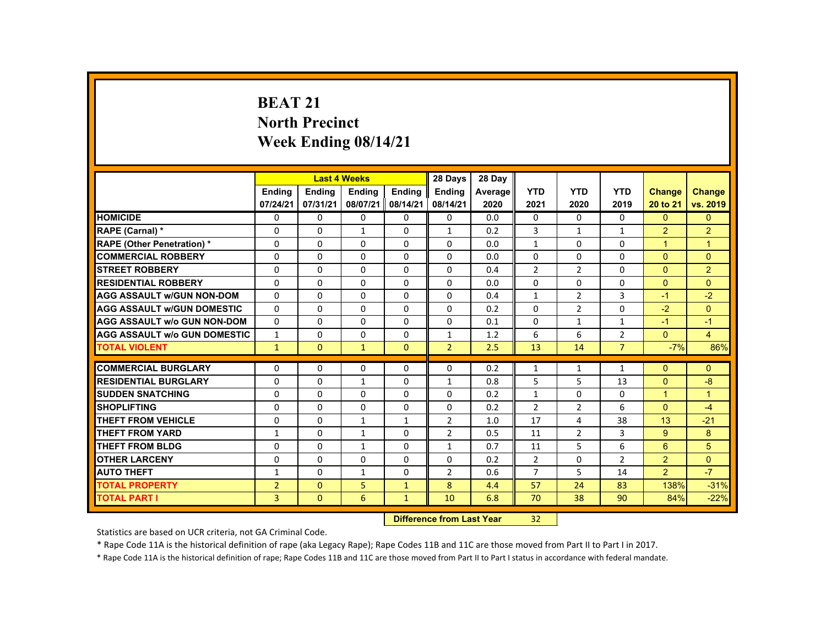# **BEAT 21 North Precinct Week Ending 08/14/21**

|                                     |                | <b>Last 4 Weeks</b> |               |               | 28 Days                          | 28 Day  |                |                |                |                      |                |
|-------------------------------------|----------------|---------------------|---------------|---------------|----------------------------------|---------|----------------|----------------|----------------|----------------------|----------------|
|                                     | <b>Ending</b>  | <b>Ending</b>       | <b>Ending</b> | <b>Ending</b> | <b>Ending</b>                    | Average | <b>YTD</b>     | <b>YTD</b>     | <b>YTD</b>     | <b>Change</b>        | <b>Change</b>  |
|                                     | 07/24/21       | 07/31/21            | 08/07/21      | 08/14/21      | 08/14/21                         | 2020    | 2021           | 2020           | 2019           | 20 to 21             | vs. 2019       |
| <b>HOMICIDE</b>                     | 0              | $\Omega$            | $\Omega$      | $\mathbf 0$   | $\mathbf 0$                      | 0.0     | 0              | $\mathbf 0$    | 0              | $\Omega$             | $\overline{0}$ |
| RAPE (Carnal) *                     | $\Omega$       | $\Omega$            | $\mathbf{1}$  | $\Omega$      | $\mathbf{1}$                     | 0.2     | 3              | $\mathbf{1}$   | $\mathbf{1}$   | $\overline{2}$       | $\overline{2}$ |
| <b>RAPE (Other Penetration) *</b>   | 0              | $\Omega$            | $\Omega$      | $\Omega$      | $\Omega$                         | 0.0     | $\mathbf{1}$   | $\Omega$       | 0              | $\overline{1}$       | $\mathbf{1}$   |
| <b>COMMERCIAL ROBBERY</b>           | $\Omega$       | $\Omega$            | $\Omega$      | $\Omega$      | $\Omega$                         | 0.0     | $\Omega$       | $\Omega$       | $\Omega$       | $\Omega$             | $\Omega$       |
| <b>ISTREET ROBBERY</b>              | 0              | $\Omega$            | $\Omega$      | $\Omega$      | 0                                | 0.4     | $\overline{2}$ | $\overline{2}$ | 0              | $\mathbf{0}$         | $\overline{2}$ |
| <b>RESIDENTIAL ROBBERY</b>          | $\Omega$       | $\Omega$            | $\Omega$      | $\Omega$      | $\Omega$                         | 0.0     | 0              | 0              | $\Omega$       | $\Omega$             | $\Omega$       |
| <b>AGG ASSAULT W/GUN NON-DOM</b>    | $\mathbf{0}$   | $\Omega$            | $\Omega$      | $\Omega$      | $\Omega$                         | 0.4     | $\mathbf{1}$   | $\overline{2}$ | 3              | $-1$                 | $-2$           |
| <b>AGG ASSAULT W/GUN DOMESTIC</b>   | $\Omega$       | $\Omega$            | $\Omega$      | $\Omega$      | $\Omega$                         | 0.2     | $\Omega$       | $\overline{2}$ | $\Omega$       | $-2$                 | $\Omega$       |
| <b>AGG ASSAULT w/o GUN NON-DOM</b>  | $\Omega$       | $\Omega$            | $\mathbf{0}$  | $\mathbf{0}$  | 0                                | 0.1     | $\Omega$       | $\mathbf{1}$   | $\mathbf{1}$   | $-1$                 | $-1$           |
| <b>AGG ASSAULT W/o GUN DOMESTIC</b> | $\mathbf{1}$   | $\Omega$            | $\Omega$      | $\Omega$      | $\mathbf{1}$                     | 1.2     | 6              | 6              | $\overline{2}$ | $\mathbf{0}$         | $\overline{4}$ |
| <b>TOTAL VIOLENT</b>                | $\mathbf{1}$   | $\mathbf{0}$        | $\mathbf{1}$  | $\mathbf{0}$  | $\overline{2}$                   | 2.5     | 13             | 14             | $\overline{7}$ | $-7%$                | 86%            |
| <b>COMMERCIAL BURGLARY</b>          | $\Omega$       | $\mathbf{0}$        | $\mathbf{0}$  | 0             | 0                                | 0.2     | 1              | 1              | 1              | $\mathbf{0}$         | $\Omega$       |
| <b>RESIDENTIAL BURGLARY</b>         | $\Omega$       | $\Omega$            | $\mathbf{1}$  | $\Omega$      | $\mathbf{1}$                     | 0.8     | 5              | 5              | 13             | $\Omega$             | $-8$           |
| <b>SUDDEN SNATCHING</b>             | $\Omega$       | $\Omega$            | $\Omega$      | $\Omega$      | $\Omega$                         | 0.2     | $\mathbf{1}$   | $\Omega$       | $\Omega$       | $\blacktriangleleft$ | $\mathbf{1}$   |
| <b>SHOPLIFTING</b>                  | 0              | $\Omega$            | $\mathbf{0}$  | $\mathbf{0}$  | 0                                | 0.2     | $\overline{2}$ | $\overline{2}$ | 6              | $\mathbf{0}$         | $-4$           |
| <b>THEFT FROM VEHICLE</b>           | $\Omega$       | $\Omega$            | $\mathbf{1}$  | $\mathbf{1}$  | $\overline{2}$                   | 1.0     | 17             | 4              | 38             | 13                   | $-21$          |
| <b>THEFT FROM YARD</b>              | $\mathbf{1}$   | $\Omega$            | $\mathbf{1}$  | $\Omega$      | $\overline{2}$                   | 0.5     | 11             | $\overline{2}$ | 3              | 9                    | 8              |
| <b>THEFT FROM BLDG</b>              | $\Omega$       | $\Omega$            | $\mathbf{1}$  | $\Omega$      | $\mathbf{1}$                     | 0.7     | 11             | 5              | 6              | 6                    | 5              |
| <b>OTHER LARCENY</b>                | $\Omega$       | $\Omega$            | $\Omega$      | $\Omega$      | $\Omega$                         | 0.2     | $\overline{2}$ | 0              | $\overline{2}$ | $\overline{2}$       | $\overline{0}$ |
| <b>AUTO THEFT</b>                   | 1              | $\Omega$            | $\mathbf{1}$  | $\Omega$      | $\overline{2}$                   | 0.6     | $\overline{7}$ | 5              | 14             | $\overline{2}$       | $-7$           |
| <b>TOTAL PROPERTY</b>               | $\overline{2}$ | $\Omega$            | 5             | $\mathbf{1}$  | 8                                | 4.4     | 57             | 24             | 83             | 138%                 | $-31%$         |
| <b>TOTAL PART I</b>                 | $\overline{3}$ | $\mathbf{0}$        | 6             | $\mathbf{1}$  | 10                               | 6.8     | 70             | 38             | 90             | 84%                  | $-22%$         |
|                                     |                |                     |               |               | <b>Difference from Last Year</b> |         | 32             |                |                |                      |                |

Statistics are based on UCR criteria, not GA Criminal Code.

\* Rape Code 11A is the historical definition of rape (aka Legacy Rape); Rape Codes 11B and 11C are those moved from Part II to Part I in 2017.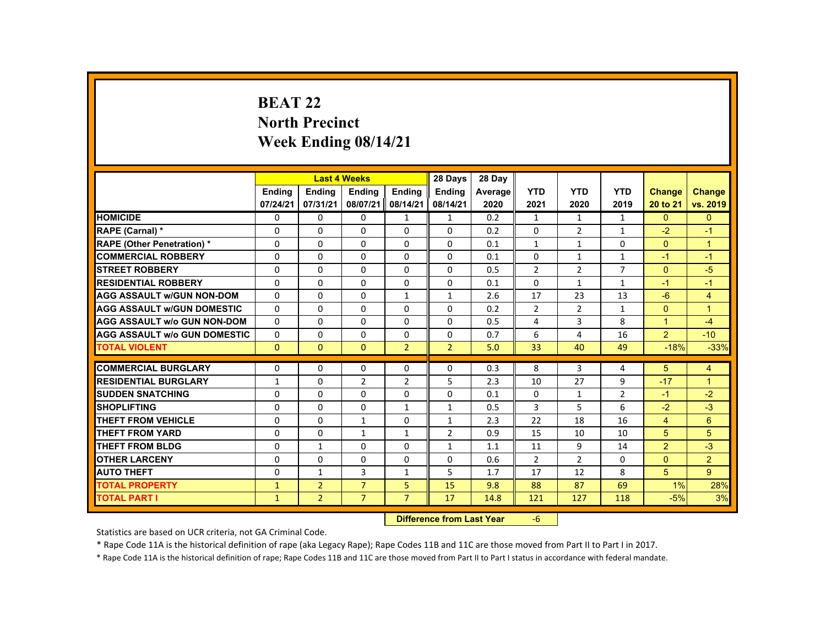# **BEAT 22 North Precinct Week Ending 08/14/21**

|                                     |               |                | <b>Last 4 Weeks</b> |                | 28 Days                   | 28 Day  |                |                |                |                |                |
|-------------------------------------|---------------|----------------|---------------------|----------------|---------------------------|---------|----------------|----------------|----------------|----------------|----------------|
|                                     | <b>Endina</b> | Ending         | Ending              | Ending         | <b>Endina</b>             | Average | <b>YTD</b>     | <b>YTD</b>     | <b>YTD</b>     | Change         | <b>Change</b>  |
|                                     | 07/24/21      | 07/31/21       | 08/07/21            | 08/14/21       | 08/14/21                  | 2020    | 2021           | 2020           | 2019           | 20 to 21       | vs. 2019       |
| <b>HOMICIDE</b>                     | 0             | $\Omega$       | $\Omega$            | $\mathbf{1}$   | $\mathbf{1}$              | 0.2     | $\mathbf{1}$   | $\mathbf{1}$   | $\mathbf{1}$   | $\Omega$       | $\overline{0}$ |
| RAPE (Carnal) *                     | 0             | $\Omega$       | $\Omega$            | $\Omega$       | $\Omega$                  | 0.2     | $\Omega$       | $\overline{2}$ | $\mathbf{1}$   | $-2$           | $-1$           |
| <b>RAPE (Other Penetration) *</b>   | 0             | $\Omega$       | $\Omega$            | $\Omega$       | $\Omega$                  | 0.1     | $\mathbf{1}$   | $\mathbf{1}$   | $\Omega$       | $\Omega$       | $\mathbf{1}$   |
| <b>COMMERCIAL ROBBERY</b>           | $\Omega$      | $\Omega$       | $\Omega$            | $\Omega$       | $\Omega$                  | 0.1     | $\Omega$       | $\mathbf{1}$   | $\mathbf{1}$   | $-1$           | $-1$           |
| <b>STREET ROBBERY</b>               | $\Omega$      | $\Omega$       | $\Omega$            | $\Omega$       | $\Omega$                  | 0.5     | $\overline{2}$ | $\overline{2}$ | $\overline{7}$ | $\Omega$       | $-5$           |
| <b>RESIDENTIAL ROBBERY</b>          | 0             | $\Omega$       | $\mathbf{0}$        | $\mathbf{0}$   | 0                         | 0.1     | 0              | $\mathbf{1}$   | $\mathbf{1}$   | $-1$           | $-1$           |
| <b>AGG ASSAULT W/GUN NON-DOM</b>    | $\Omega$      | $\Omega$       | $\Omega$            | $\mathbf{1}$   | $\mathbf{1}$              | 2.6     | 17             | 23             | 13             | $-6$           | $\overline{4}$ |
| <b>AGG ASSAULT W/GUN DOMESTIC</b>   | $\Omega$      | $\Omega$       | $\Omega$            | $\Omega$       | $\Omega$                  | 0.2     | $\overline{2}$ | $\overline{2}$ | $\mathbf{1}$   | $\Omega$       | $\overline{1}$ |
| <b>AGG ASSAULT w/o GUN NON-DOM</b>  | $\Omega$      | $\Omega$       | $\Omega$            | $\Omega$       | $\Omega$                  | 0.5     | 4              | 3              | 8              | $\mathbf{1}$   | $-4$           |
| <b>AGG ASSAULT W/o GUN DOMESTIC</b> | $\Omega$      | $\Omega$       | $\mathbf{0}$        | $\mathbf{0}$   | 0                         | 0.7     | 6              | 4              | 16             | $\overline{2}$ | $-10$          |
| <b>TOTAL VIOLENT</b>                | $\Omega$      | $\mathbf{0}$   | $\mathbf{0}$        | $\overline{2}$ | $\overline{2}$            | 5.0     | 33             | 40             | 49             | $-18%$         | $-33%$         |
| <b>COMMERCIAL BURGLARY</b>          | 0             | $\Omega$       | $\Omega$            | $\mathbf{0}$   | 0                         | 0.3     | 8              | 3              | 4              | 5              | $\overline{4}$ |
| <b>RESIDENTIAL BURGLARY</b>         | $\mathbf{1}$  | $\Omega$       | 2                   | 2              | 5                         | 2.3     | 10             | 27             | 9              | $-17$          | $\overline{1}$ |
| <b>SUDDEN SNATCHING</b>             | $\Omega$      | $\Omega$       | $\Omega$            | $\Omega$       | $\Omega$                  | 0.1     | 0              | $\mathbf{1}$   | $\overline{2}$ | $-1$           | $-2$           |
| <b>SHOPLIFTING</b>                  | $\Omega$      | $\Omega$       | $\Omega$            | $\mathbf{1}$   | $\mathbf{1}$              | 0.5     | 3              | 5              | 6              | $-2$           | $-3$           |
| <b>THEFT FROM VEHICLE</b>           | $\Omega$      | $\Omega$       | $\mathbf{1}$        | $\Omega$       | $\mathbf{1}$              | 2.3     | 22             | 18             | 16             | $\overline{4}$ | 6              |
| <b>THEFT FROM YARD</b>              | $\Omega$      | $\Omega$       | $\mathbf{1}$        | $\mathbf{1}$   | $\overline{2}$            | 0.9     | 15             | 10             | 10             | 5              | 5              |
| <b>THEFT FROM BLDG</b>              | 0             | $\mathbf{1}$   | $\mathbf{0}$        | $\Omega$       | $\mathbf{1}$              | 1.1     | 11             | 9              | 14             | $\overline{2}$ | $-3$           |
| <b>OTHER LARCENY</b>                | $\Omega$      | $\Omega$       | $\Omega$            | 0              | 0                         | 0.6     | $\overline{2}$ | 2              | 0              | $\Omega$       | $\overline{2}$ |
|                                     |               |                |                     |                |                           |         |                |                |                |                |                |
| <b>AUTO THEFT</b>                   | $\Omega$      | $\mathbf{1}$   | 3                   | $\mathbf{1}$   | 5                         | 1.7     | 17             | 12             | 8              | 5              | 9              |
| <b>TOTAL PROPERTY</b>               | $\mathbf{1}$  | 2 <sup>1</sup> | $\overline{7}$      | 5              | 15                        | 9.8     | 88             | 87             | 69             | $1\%$          | 28%            |
| <b>TOTAL PART I</b>                 | $\mathbf{1}$  | $\overline{2}$ | $\overline{7}$      | $\overline{7}$ | 17                        | 14.8    | 121            | 127            | 118            | $-5%$          | 3%             |
|                                     |               |                |                     |                | Difference from Leat Vaca |         | $\epsilon$     |                |                |                |                |

 **Difference from Last Year**‐6

Statistics are based on UCR criteria, not GA Criminal Code.

\* Rape Code 11A is the historical definition of rape (aka Legacy Rape); Rape Codes 11B and 11C are those moved from Part II to Part I in 2017.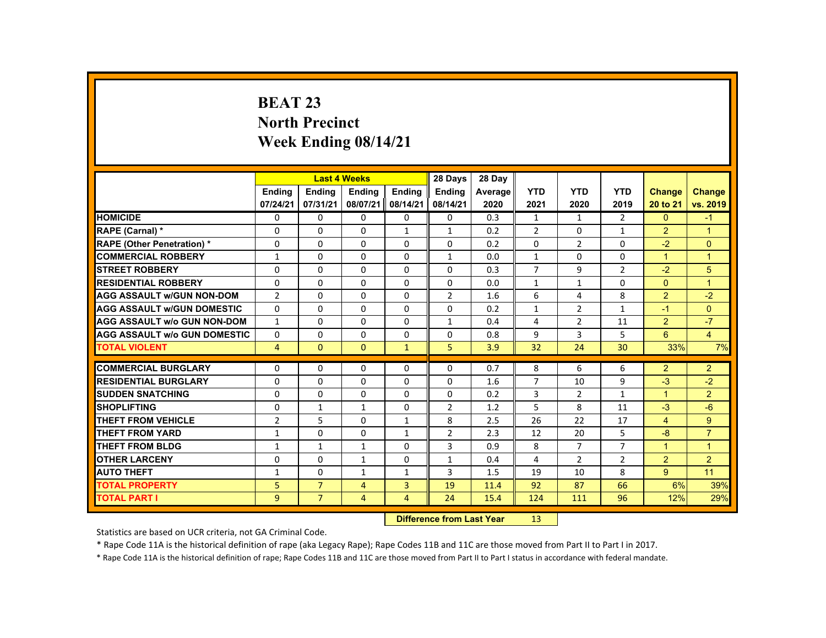# **BEAT 23 North Precinct Week Ending 08/14/21**

|                                     |                |                | <b>Last 4 Weeks</b> |                | 28 Days                   | 28 Day  |                |                |                |                |                |
|-------------------------------------|----------------|----------------|---------------------|----------------|---------------------------|---------|----------------|----------------|----------------|----------------|----------------|
|                                     | <b>Endina</b>  | Ending         | Ending              | Ending         | <b>Endina</b>             | Average | <b>YTD</b>     | <b>YTD</b>     | <b>YTD</b>     | <b>Change</b>  | <b>Change</b>  |
|                                     | 07/24/21       | 07/31/21       | 08/07/21            | 08/14/21       | 08/14/21                  | 2020    | 2021           | 2020           | 2019           | 20 to 21       | vs. 2019       |
| <b>HOMICIDE</b>                     | 0              | $\Omega$       | $\Omega$            | $\Omega$       | 0                         | 0.3     | $\mathbf{1}$   | $\mathbf{1}$   | $\overline{2}$ | $\mathbf{0}$   | $-1$           |
| RAPE (Carnal) *                     | 0              | $\Omega$       | $\Omega$            | $\mathbf{1}$   | $\mathbf{1}$              | 0.2     | $\overline{2}$ | $\mathbf{0}$   | $\mathbf{1}$   | $\overline{2}$ | $\overline{1}$ |
| <b>RAPE (Other Penetration) *</b>   | $\mathbf 0$    | $\Omega$       | $\Omega$            | $\Omega$       | $\Omega$                  | 0.2     | $\Omega$       | $\overline{2}$ | $\Omega$       | $-2$           | $\mathbf{0}$   |
| <b>COMMERCIAL ROBBERY</b>           | $\mathbf{1}$   | $\Omega$       | $\Omega$            | $\Omega$       | $\mathbf{1}$              | 0.0     | $\mathbf{1}$   | $\Omega$       | $\Omega$       | $\mathbf{1}$   | $\overline{1}$ |
| <b>STREET ROBBERY</b>               | $\Omega$       | $\Omega$       | $\Omega$            | $\Omega$       | $\Omega$                  | 0.3     | $\overline{7}$ | 9              | $\overline{2}$ | $-2$           | 5              |
| <b>RESIDENTIAL ROBBERY</b>          | $\Omega$       | $\Omega$       | $\mathbf{0}$        | $\mathbf{0}$   | 0                         | 0.0     | $\mathbf{1}$   | $\mathbf{1}$   | 0              | $\Omega$       | $\overline{1}$ |
| <b>AGG ASSAULT w/GUN NON-DOM</b>    | $\overline{2}$ | $\Omega$       | $\Omega$            | $\Omega$       | $\overline{2}$            | 1.6     | 6              | 4              | 8              | $\overline{2}$ | $-2$           |
| <b>AGG ASSAULT W/GUN DOMESTIC</b>   | $\Omega$       | $\Omega$       | $\Omega$            | $\Omega$       | $\Omega$                  | 0.2     | $\mathbf{1}$   | $\overline{2}$ | $\mathbf{1}$   | $-1$           | $\overline{0}$ |
| <b>AGG ASSAULT w/o GUN NON-DOM</b>  | $\mathbf{1}$   | $\Omega$       | $\Omega$            | $\Omega$       | $\mathbf{1}$              | 0.4     | 4              | $\overline{2}$ | 11             | $\overline{2}$ | $-7$           |
| <b>AGG ASSAULT W/o GUN DOMESTIC</b> | $\Omega$       | $\mathbf{0}$   | 0                   | $\mathbf{0}$   | 0                         | 0.8     | 9              | 3              | 5              | 6              | $\overline{4}$ |
| <b>TOTAL VIOLENT</b>                | $\overline{4}$ | $\mathbf{0}$   | $\Omega$            | $\mathbf{1}$   | 5                         | 3.9     | 32             | 24             | 30             | 33%            | 7%             |
| <b>COMMERCIAL BURGLARY</b>          | $\Omega$       | $\Omega$       | $\Omega$            | $\Omega$       | $\Omega$                  | 0.7     | 8              | 6              | 6              | $\overline{2}$ | $\overline{2}$ |
| <b>RESIDENTIAL BURGLARY</b>         | 0              | $\Omega$       | $\Omega$            | $\Omega$       | $\Omega$                  | 1.6     | $\overline{7}$ | 10             | 9              | $-3$           | $-2$           |
| <b>SUDDEN SNATCHING</b>             | $\Omega$       | $\Omega$       | $\Omega$            | $\Omega$       | $\Omega$                  | 0.2     | 3              | $\overline{2}$ | $\mathbf{1}$   | $\mathbf{1}$   | $\overline{2}$ |
| <b>SHOPLIFTING</b>                  | $\Omega$       | $\mathbf{1}$   | $\mathbf{1}$        | $\Omega$       | $\overline{2}$            | 1.2     | 5              | 8              | 11             | $-3$           | $-6$           |
| <b>THEFT FROM VEHICLE</b>           | $\overline{2}$ | 5              | $\Omega$            | $\mathbf{1}$   | 8                         | 2.5     | 26             | 22             | 17             | $\overline{4}$ | 9              |
| <b>THEFT FROM YARD</b>              | $\mathbf{1}$   | $\Omega$       | $\Omega$            | $\mathbf{1}$   | 2                         | 2.3     | 12             | 20             | 5              | $-8$           | $\overline{7}$ |
| <b>THEFT FROM BLDG</b>              | $\mathbf{1}$   | $\mathbf{1}$   | $\mathbf{1}$        | $\mathbf{0}$   | 3                         | 0.9     | 8              | $\overline{7}$ | $\overline{7}$ | $\mathbf{1}$   | $\mathbf{1}$   |
| <b>OTHER LARCENY</b>                | $\Omega$       | $\Omega$       | $\mathbf{1}$        | $\Omega$       | $\mathbf{1}$              | 0.4     | 4              | $\overline{2}$ | $\overline{2}$ | $\overline{2}$ | $\overline{2}$ |
| <b>AUTO THEFT</b>                   | $\mathbf{1}$   | $\Omega$       | $\mathbf{1}$        | $\mathbf{1}$   | 3                         | 1.5     | 19             | 10             | 8              | $9^{\circ}$    | 11             |
| <b>TOTAL PROPERTY</b>               | 5              | $\overline{7}$ | $\overline{4}$      | $\overline{3}$ | 19                        | 11.4    | 92             | 87             | 66             | 6%             | 39%            |
| <b>TOTAL PART I</b>                 | 9              | $\overline{7}$ | $\overline{4}$      | 4              | 24                        | 15.4    | 124            | 111            | 96             | 12%            | 29%            |
|                                     |                |                |                     |                | Difference from Loot Voor |         | 12             |                |                |                |                |

 **Difference from Last Year**r 13

Statistics are based on UCR criteria, not GA Criminal Code.

\* Rape Code 11A is the historical definition of rape (aka Legacy Rape); Rape Codes 11B and 11C are those moved from Part II to Part I in 2017.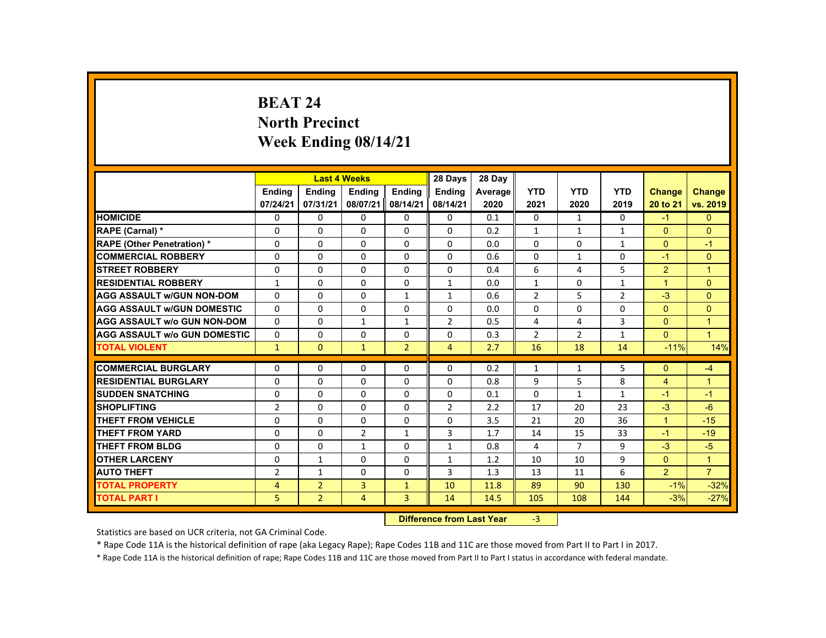# **BEAT 24 North Precinct Week Ending 08/14/21**

|                                     |                |                | <b>Last 4 Weeks</b> |                 | 28 Days                                                                                                                                                                                                                        | 28 Day  |                |                |                |                |                |
|-------------------------------------|----------------|----------------|---------------------|-----------------|--------------------------------------------------------------------------------------------------------------------------------------------------------------------------------------------------------------------------------|---------|----------------|----------------|----------------|----------------|----------------|
|                                     | <b>Endina</b>  | <b>Ending</b>  | <b>Ending</b>       | Ending          | <b>Endina</b>                                                                                                                                                                                                                  | Average | <b>YTD</b>     | <b>YTD</b>     | <b>YTD</b>     | <b>Change</b>  | <b>Change</b>  |
|                                     | 07/24/21       | 07/31/21       | 08/07/21            | 08/14/21        | 08/14/21                                                                                                                                                                                                                       | 2020    | 2021           | 2020           | 2019           | 20 to 21       | vs. 2019       |
| <b>HOMICIDE</b>                     | 0              | $\Omega$       | $\Omega$            | $\Omega$        | 0                                                                                                                                                                                                                              | 0.1     | 0              | $\mathbf{1}$   | $\mathbf{0}$   | $-1$           | $\mathbf{0}$   |
| RAPE (Carnal) *                     | 0              | $\Omega$       | $\mathbf{0}$        | $\mathbf{0}$    | 0                                                                                                                                                                                                                              | 0.2     | $\mathbf{1}$   | $\mathbf{1}$   | $\mathbf{1}$   | $\Omega$       | $\Omega$       |
| <b>RAPE (Other Penetration) *</b>   | $\Omega$       | $\Omega$       | $\Omega$            | $\Omega$        | $\Omega$                                                                                                                                                                                                                       | 0.0     | $\Omega$       | $\Omega$       | $\mathbf{1}$   | $\Omega$       | $-1$           |
| <b>COMMERCIAL ROBBERY</b>           | $\Omega$       | $\Omega$       | $\Omega$            | $\Omega$        | $\Omega$                                                                                                                                                                                                                       | 0.6     | $\Omega$       | $\mathbf{1}$   | $\Omega$       | $-1$           | $\Omega$       |
| <b>STREET ROBBERY</b>               | $\Omega$       | $\Omega$       | $\Omega$            | $\Omega$        | $\Omega$                                                                                                                                                                                                                       | 0.4     | 6              | 4              | 5              | $\overline{2}$ | $\overline{1}$ |
| <b>RESIDENTIAL ROBBERY</b>          | $\mathbf{1}$   | 0              | $\mathbf{0}$        | 0               | $\mathbf{1}$                                                                                                                                                                                                                   | 0.0     | $\mathbf{1}$   | 0              | $\mathbf{1}$   | $\mathbf{1}$   | $\mathbf{0}$   |
| <b>AGG ASSAULT W/GUN NON-DOM</b>    | 0              | $\Omega$       | $\Omega$            | $\mathbf{1}$    | $\mathbf{1}$                                                                                                                                                                                                                   | 0.6     | $\overline{2}$ | 5              | $\overline{2}$ | $-3$           | $\Omega$       |
| <b>AGG ASSAULT W/GUN DOMESTIC</b>   | $\Omega$       | $\Omega$       | $\Omega$            | $\Omega$        | $\Omega$                                                                                                                                                                                                                       | 0.0     | $\Omega$       | $\Omega$       | $\Omega$       | $\Omega$       | $\Omega$       |
| <b>AGG ASSAULT w/o GUN NON-DOM</b>  | $\Omega$       | $\Omega$       | $\mathbf{1}$        | $\mathbf{1}$    | $\overline{2}$                                                                                                                                                                                                                 | 0.5     | 4              | 4              | $\overline{3}$ | $\Omega$       | $\overline{1}$ |
| <b>AGG ASSAULT W/o GUN DOMESTIC</b> | $\Omega$       | $\Omega$       | $\Omega$            | $\Omega$        | $\Omega$                                                                                                                                                                                                                       | 0.3     | $\overline{2}$ | $\overline{2}$ | $\mathbf{1}$   | $\Omega$       | $\overline{1}$ |
| <b>TOTAL VIOLENT</b>                | $\mathbf{1}$   | $\mathbf{0}$   | $\mathbf{1}$        | $\overline{2}$  | $\overline{4}$                                                                                                                                                                                                                 | 2.7     | 16             | 18             | 14             | $-11%$         | 14%            |
|                                     |                |                |                     |                 |                                                                                                                                                                                                                                |         |                |                |                |                |                |
| <b>COMMERCIAL BURGLARY</b>          | 0              | $\Omega$       | $\Omega$            | $\Omega$        | $\Omega$                                                                                                                                                                                                                       | 0.2     | $\mathbf{1}$   | $\mathbf{1}$   | 5              | $\Omega$       | $-4$           |
| <b>RESIDENTIAL BURGLARY</b>         | $\Omega$       | $\Omega$       | $\Omega$            | $\Omega$        | $\Omega$                                                                                                                                                                                                                       | 0.8     | 9              | 5              | 8              | $\overline{4}$ | $\overline{1}$ |
| <b>SUDDEN SNATCHING</b>             | 0              | $\Omega$       | $\mathbf{0}$        | 0               | 0                                                                                                                                                                                                                              | 0.1     | 0              | $\mathbf{1}$   | $\mathbf{1}$   | $-1$           | $-1$           |
| <b>SHOPLIFTING</b>                  | $\overline{2}$ | $\Omega$       | $\Omega$            | $\Omega$        | $\overline{2}$                                                                                                                                                                                                                 | 2.2     | 17             | 20             | 23             | $-3$           | $-6$           |
| <b>THEFT FROM VEHICLE</b>           | $\Omega$       | $\Omega$       | $\Omega$            | $\Omega$        | $\Omega$                                                                                                                                                                                                                       | 3.5     | 21             | 20             | 36             | $\mathbf{1}$   | $-15$          |
| <b>THEFT FROM YARD</b>              | $\Omega$       | $\Omega$       | $\overline{2}$      | $\mathbf{1}$    | 3                                                                                                                                                                                                                              | 1.7     | 14             | 15             | 33             | $-1$           | $-19$          |
| <b>THEFT FROM BLDG</b>              | $\Omega$       | $\Omega$       | $\mathbf{1}$        | $\Omega$        | $\mathbf{1}$                                                                                                                                                                                                                   | 0.8     | 4              | $\overline{7}$ | 9              | $-3$           | $-5$           |
| <b>OTHER LARCENY</b>                | $\Omega$       | $\mathbf{1}$   | $\Omega$            | $\Omega$        | 1                                                                                                                                                                                                                              | 1.2     | 10             | 10             | 9              | $\mathbf{0}$   | $\overline{1}$ |
| <b>AUTO THEFT</b>                   | $\overline{2}$ | $\mathbf{1}$   | $\Omega$            | $\Omega$        | 3                                                                                                                                                                                                                              | 1.3     | 13             | 11             | 6              | $\overline{2}$ | $\overline{7}$ |
| <b>TOTAL PROPERTY</b>               | $\overline{4}$ | $\overline{2}$ | 3                   | $\mathbf{1}$    | 10                                                                                                                                                                                                                             | 11.8    | 89             | 90             | 130            | $-1%$          | $-32%$         |
| <b>TOTAL PART I</b>                 | 5.             | $\overline{2}$ | $\overline{4}$      | 3               | 14                                                                                                                                                                                                                             | 14.5    | 105            | 108            | 144            | $-3%$          | $-27%$         |
|                                     |                |                |                     | <b>CALLED A</b> | and the second control of the second second second the second second second second second second second second second second second second second second second second second second second second second second second second |         | $\sim$         |                |                |                |                |

 **Difference from Last Year**r -3

Statistics are based on UCR criteria, not GA Criminal Code.

\* Rape Code 11A is the historical definition of rape (aka Legacy Rape); Rape Codes 11B and 11C are those moved from Part II to Part I in 2017.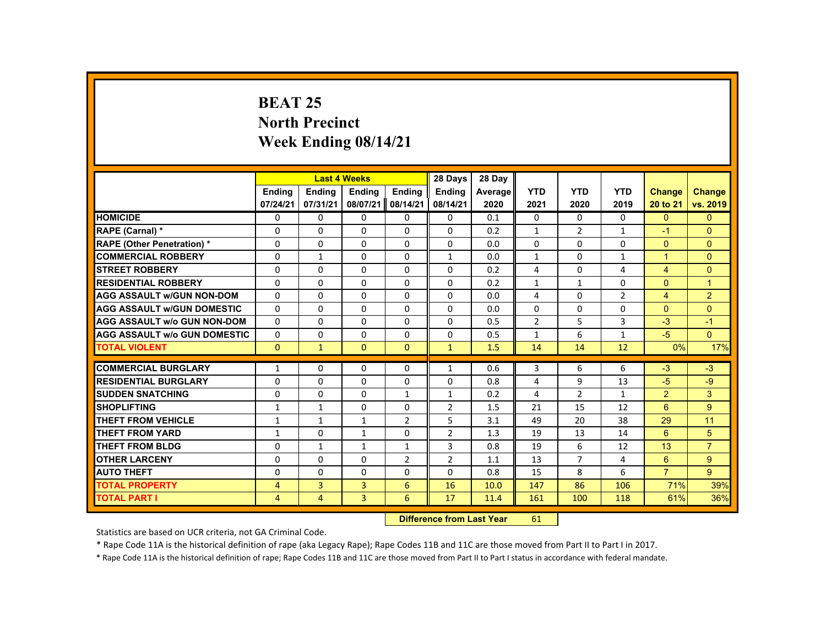# **BEAT 25 North Precinct Week Ending 08/14/21**

|                                     |                |                                   | <b>Last 4 Weeks</b> |                | 28 Days        | 28 Day  |                |                |                |                |                |
|-------------------------------------|----------------|-----------------------------------|---------------------|----------------|----------------|---------|----------------|----------------|----------------|----------------|----------------|
|                                     | <b>Ending</b>  | <b>Ending</b>                     | <b>Ending</b>       | Ending         | <b>Ending</b>  | Average | <b>YTD</b>     | <b>YTD</b>     | <b>YTD</b>     | <b>Change</b>  | <b>Change</b>  |
|                                     | 07/24/21       | 07/31/21                          | 08/07/21            | 08/14/21       | 08/14/21       | 2020    | 2021           | 2020           | 2019           | 20 to 21       | vs. 2019       |
| <b>HOMICIDE</b>                     | $\Omega$       | $\Omega$                          | $\mathbf{0}$        | $\Omega$       | 0              | 0.1     | 0              | $\Omega$       | $\Omega$       | $\Omega$       | $\Omega$       |
| RAPE (Carnal) *                     | 0              | $\Omega$                          | $\Omega$            | $\Omega$       | $\Omega$       | 0.2     | $\mathbf{1}$   | $\overline{2}$ | $\mathbf{1}$   | $-1$           | $\overline{0}$ |
| <b>RAPE (Other Penetration) *</b>   | $\Omega$       | $\Omega$                          | $\Omega$            | $\Omega$       | $\Omega$       | 0.0     | $\Omega$       | $\Omega$       | $\Omega$       | $\Omega$       | $\Omega$       |
| <b>COMMERCIAL ROBBERY</b>           | $\Omega$       | $\mathbf{1}$                      | $\Omega$            | $\Omega$       | $\mathbf{1}$   | 0.0     | $\mathbf{1}$   | $\Omega$       | $\mathbf{1}$   | $\mathbf{1}$   | $\Omega$       |
| <b>STREET ROBBERY</b>               | $\Omega$       | $\Omega$                          | $\Omega$            | $\Omega$       | $\Omega$       | 0.2     | 4              | $\Omega$       | 4              | $\overline{4}$ | $\Omega$       |
| <b>RESIDENTIAL ROBBERY</b>          | $\mathbf{0}$   | $\Omega$                          | $\Omega$            | 0              | $\Omega$       | 0.2     | $\mathbf{1}$   | $\mathbf{1}$   | $\Omega$       | $\Omega$       | $\mathbf{1}$   |
| <b>AGG ASSAULT W/GUN NON-DOM</b>    | $\Omega$       | $\Omega$                          | $\Omega$            | $\Omega$       | $\Omega$       | 0.0     | 4              | $\Omega$       | $\overline{2}$ | $\overline{4}$ | 2 <sup>1</sup> |
| <b>AGG ASSAULT W/GUN DOMESTIC</b>   | $\mathbf{0}$   | $\Omega$                          | $\Omega$            | $\Omega$       | $\Omega$       | 0.0     | $\Omega$       | $\Omega$       | $\Omega$       | $\Omega$       | $\Omega$       |
| <b>AGG ASSAULT w/o GUN NON-DOM</b>  | $\Omega$       | $\Omega$                          | $\Omega$            | $\Omega$       | $\Omega$       | 0.5     | $\overline{2}$ | 5              | $\overline{3}$ | $-3$           | $-1$           |
| <b>AGG ASSAULT W/o GUN DOMESTIC</b> | $\Omega$       | $\Omega$                          | $\Omega$            | $\Omega$       | $\Omega$       | 0.5     | $\mathbf{1}$   | 6              | $\mathbf{1}$   | $-5$           | $\mathbf{0}$   |
| <b>TOTAL VIOLENT</b>                | $\Omega$       | $\mathbf{1}$                      | $\mathbf{0}$        | $\mathbf{0}$   | $\mathbf{1}$   | 1.5     | 14             | 14             | 12             | 0%             | 17%            |
|                                     |                |                                   |                     |                |                |         |                |                |                |                |                |
| <b>COMMERCIAL BURGLARY</b>          | $\mathbf{1}$   | $\Omega$                          | $\Omega$            | $\mathbf{0}$   | $\mathbf{1}$   | 0.6     | 3              | 6              | 6              | $-3$           | $-3$           |
| <b>RESIDENTIAL BURGLARY</b>         | $\Omega$       | $\Omega$                          | $\Omega$            | $\Omega$       | $\Omega$       | 0.8     | 4              | 9              | 13             | $-5$           | $-9$           |
| <b>SUDDEN SNATCHING</b>             | $\mathbf 0$    | $\Omega$                          | $\mathbf{0}$        | $\mathbf{1}$   | $\mathbf{1}$   | 0.2     | 4              | $\overline{2}$ | $\mathbf{1}$   | 2              | 3 <sup>1</sup> |
| <b>SHOPLIFTING</b>                  | 1              | $\mathbf{1}$                      | $\Omega$            | $\Omega$       | $\overline{2}$ | 1.5     | 21             | 15             | 12             | 6              | 9              |
| <b>THEFT FROM VEHICLE</b>           | 1              | $\mathbf{1}$                      | $\mathbf{1}$        | $\overline{2}$ | 5              | 3.1     | 49             | 20             | 38             | 29             | 11             |
| <b>THEFT FROM YARD</b>              | $\mathbf{1}$   | $\Omega$                          | $\mathbf{1}$        | $\Omega$       | $\overline{2}$ | 1.3     | 19             | 13             | 14             | 6              | 5              |
| <b>THEFT FROM BLDG</b>              | 0              | $\mathbf{1}$                      | 1                   | $\mathbf{1}$   | 3              | 0.8     | 19             | 6              | 12             | 13             | $\overline{7}$ |
| <b>OTHER LARCENY</b>                | $\Omega$       | $\Omega$                          | $\Omega$            | $\overline{2}$ | $\overline{2}$ | 1.1     | 13             | $\overline{7}$ | 4              | 6              | 9 <sup>°</sup> |
| <b>AUTO THEFT</b>                   | $\Omega$       | $\Omega$                          | $\Omega$            | $\Omega$       | 0              | 0.8     | 15             | 8              | 6              | $\overline{7}$ | 9              |
| <b>TOTAL PROPERTY</b>               | $\overline{4}$ | $\overline{3}$                    | $\overline{3}$      | 6              | 16             | 10.0    | 147            | 86             | 106            | 71%            | 39%            |
| <b>TOTAL PART I</b>                 | $\overline{4}$ | $\overline{4}$                    | 3                   | 6              | 17             | 11.4    | 161            | 100            | 118            | 61%            | 36%            |
|                                     |                | <b>Difference from Least Vanc</b> |                     | C4             |                |         |                |                |                |                |                |

 **Difference from Last Year**r 61

Statistics are based on UCR criteria, not GA Criminal Code.

\* Rape Code 11A is the historical definition of rape (aka Legacy Rape); Rape Codes 11B and 11C are those moved from Part II to Part I in 2017.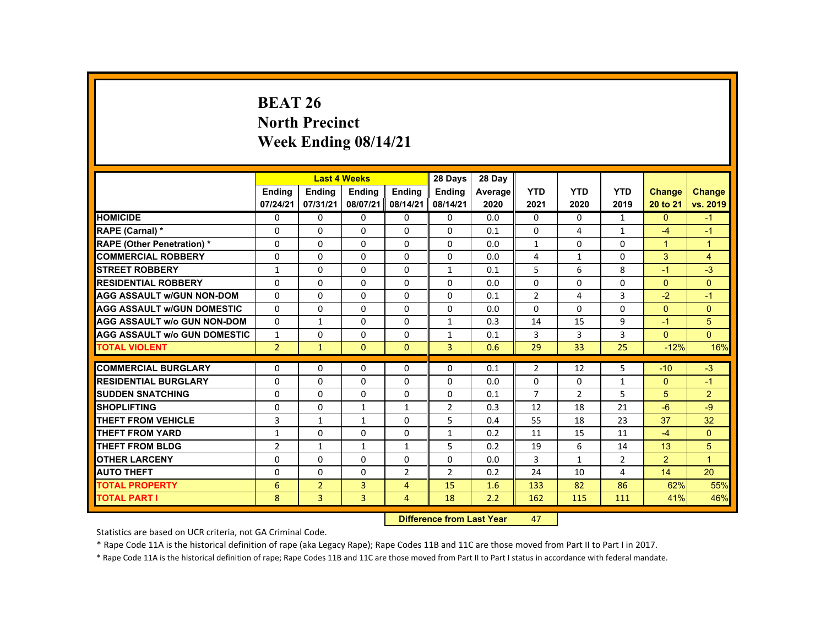# **BEAT 26 North Precinct Week Ending 08/14/21**

|                                     |                 |                | <b>Last 4 Weeks</b> |                | 28 Days        | 28 Day                                                                                                                                                                                                                         |                |                |                |                |                |
|-------------------------------------|-----------------|----------------|---------------------|----------------|----------------|--------------------------------------------------------------------------------------------------------------------------------------------------------------------------------------------------------------------------------|----------------|----------------|----------------|----------------|----------------|
|                                     | <b>Ending</b>   | <b>Ending</b>  | <b>Ending</b>       | <b>Endina</b>  | <b>Endina</b>  | Average                                                                                                                                                                                                                        | <b>YTD</b>     | <b>YTD</b>     | <b>YTD</b>     | <b>Change</b>  | <b>Change</b>  |
|                                     | 07/24/21        | 07/31/21       | 08/07/21            | 08/14/21       | 08/14/21       | 2020                                                                                                                                                                                                                           | 2021           | 2020           | 2019           | 20 to 21       | vs. 2019       |
| <b>HOMICIDE</b>                     | 0               | $\Omega$       | 0                   | $\Omega$       | 0              | 0.0                                                                                                                                                                                                                            | $\mathbf{0}$   | 0              | $\mathbf{1}$   | $\mathbf{0}$   | $-1$           |
| RAPE (Carnal) *                     | 0               | $\Omega$       | 0                   | $\Omega$       | $\Omega$       | 0.1                                                                                                                                                                                                                            | $\Omega$       | 4              | $\mathbf{1}$   | $-4$           | $-1$           |
| <b>RAPE (Other Penetration) *</b>   | $\Omega$        | $\Omega$       | $\Omega$            | $\Omega$       | $\Omega$       | 0.0                                                                                                                                                                                                                            | $\mathbf{1}$   | $\Omega$       | $\Omega$       | $\mathbf{1}$   | $\overline{1}$ |
| <b>COMMERCIAL ROBBERY</b>           | $\Omega$        | $\Omega$       | $\Omega$            | $\Omega$       | $\Omega$       | 0.0                                                                                                                                                                                                                            | 4              | $\mathbf{1}$   | $\Omega$       | 3              | $\overline{4}$ |
| <b>STREET ROBBERY</b>               | $\mathbf{1}$    | $\Omega$       | $\Omega$            | $\Omega$       | $\mathbf{1}$   | 0.1                                                                                                                                                                                                                            | 5              | 6              | 8              | $-1$           | $-3$           |
| <b>RESIDENTIAL ROBBERY</b>          | 0               | $\mathbf{0}$   | 0                   | 0              | 0              | 0.0                                                                                                                                                                                                                            | 0              | 0              | 0              | $\mathbf{0}$   | $\mathbf{0}$   |
| <b>AGG ASSAULT W/GUN NON-DOM</b>    | $\Omega$        | $\Omega$       | 0                   | $\Omega$       | $\Omega$       | 0.1                                                                                                                                                                                                                            | $\overline{2}$ | 4              | 3              | $-2$           | $-1$           |
| <b>AGG ASSAULT W/GUN DOMESTIC</b>   | $\Omega$        | $\Omega$       | $\Omega$            | $\Omega$       | $\Omega$       | 0.0                                                                                                                                                                                                                            | $\Omega$       | $\Omega$       | $\Omega$       | $\Omega$       | $\Omega$       |
| <b>AGG ASSAULT W/o GUN NON-DOM</b>  | $\Omega$        | $\mathbf{1}$   | $\Omega$            | $\Omega$       | $\mathbf{1}$   | 0.3                                                                                                                                                                                                                            | 14             | 15             | 9              | $-1$           | 5              |
| <b>AGG ASSAULT W/o GUN DOMESTIC</b> | $\mathbf{1}$    | $\Omega$       | $\Omega$            | $\Omega$       | $\mathbf{1}$   | 0.1                                                                                                                                                                                                                            | 3              | 3              | $\overline{3}$ | $\Omega$       | $\Omega$       |
| <b>TOTAL VIOLENT</b>                | 2 <sup>1</sup>  | $\mathbf{1}$   | $\mathbf{0}$        | $\mathbf{0}$   | 3              | 0.6                                                                                                                                                                                                                            | 29             | 33             | 25             | $-12%$         | 16%            |
|                                     |                 |                |                     |                |                |                                                                                                                                                                                                                                |                |                |                |                |                |
| <b>COMMERCIAL BURGLARY</b>          | $\Omega$        | $\Omega$       | $\Omega$            | 0              | 0              | 0.1                                                                                                                                                                                                                            | $\overline{2}$ | 12             | 5              | $-10$          | $-3$           |
| <b>RESIDENTIAL BURGLARY</b>         | $\Omega$        | $\Omega$       | $\Omega$            | $\Omega$       | $\Omega$       | 0.0                                                                                                                                                                                                                            | $\Omega$       | $\Omega$       | $\mathbf{1}$   | $\Omega$       | $-1$           |
| <b>SUDDEN SNATCHING</b>             | 0               | $\mathbf{0}$   | 0                   | 0              | 0              | 0.1                                                                                                                                                                                                                            | $\overline{7}$ | $\overline{2}$ | 5              | 5              | $\overline{2}$ |
| <b>SHOPLIFTING</b>                  | 0               | $\mathbf{0}$   | $\mathbf{1}$        | $\mathbf{1}$   | $\overline{2}$ | 0.3                                                                                                                                                                                                                            | 12             | 18             | 21             | $-6$           | $-9$           |
| <b>THEFT FROM VEHICLE</b>           | 3               | $\mathbf{1}$   | $\mathbf{1}$        | $\Omega$       | 5              | 0.4                                                                                                                                                                                                                            | 55             | 18             | 23             | 37             | 32             |
| <b>THEFT FROM YARD</b>              | $\mathbf{1}$    | $\Omega$       | $\Omega$            | $\Omega$       | $\mathbf{1}$   | 0.2                                                                                                                                                                                                                            | 11             | 15             | 11             | $-4$           | $\Omega$       |
| <b>THEFT FROM BLDG</b>              | $\overline{2}$  | $\mathbf{1}$   | $\mathbf{1}$        | $\mathbf{1}$   | 5              | 0.2                                                                                                                                                                                                                            | 19             | 6              | 14             | 13             | 5              |
| <b>OTHER LARCENY</b>                | $\Omega$        | $\Omega$       | $\Omega$            | 0              | 0              | 0.0                                                                                                                                                                                                                            | 3              | $\mathbf{1}$   | $\overline{2}$ | $\overline{2}$ | $\overline{1}$ |
| <b>AUTO THEFT</b>                   | $\Omega$        | $\Omega$       | $\Omega$            | $\overline{2}$ | $\overline{2}$ | 0.2                                                                                                                                                                                                                            | 24             | 10             | 4              | 14             | 20             |
| <b>TOTAL PROPERTY</b>               | $6\phantom{1}6$ | $\overline{2}$ | 3                   | $\overline{4}$ | 15             | 1.6                                                                                                                                                                                                                            | 133            | 82             | 86             | 62%            | 55%            |
| <b>TOTAL PART I</b>                 | 8               | 3              | 3                   | $\overline{4}$ | 18             | 2.2                                                                                                                                                                                                                            | 162            | 115            | 111            | 41%            | 46%            |
|                                     |                 |                |                     |                |                | and the second control of the second second second to the second second second the second second second second second second second second second second second second second second second second second second second second | $-$            |                |                |                |                |

 **Difference from Last Year**r 47

Statistics are based on UCR criteria, not GA Criminal Code.

\* Rape Code 11A is the historical definition of rape (aka Legacy Rape); Rape Codes 11B and 11C are those moved from Part II to Part I in 2017.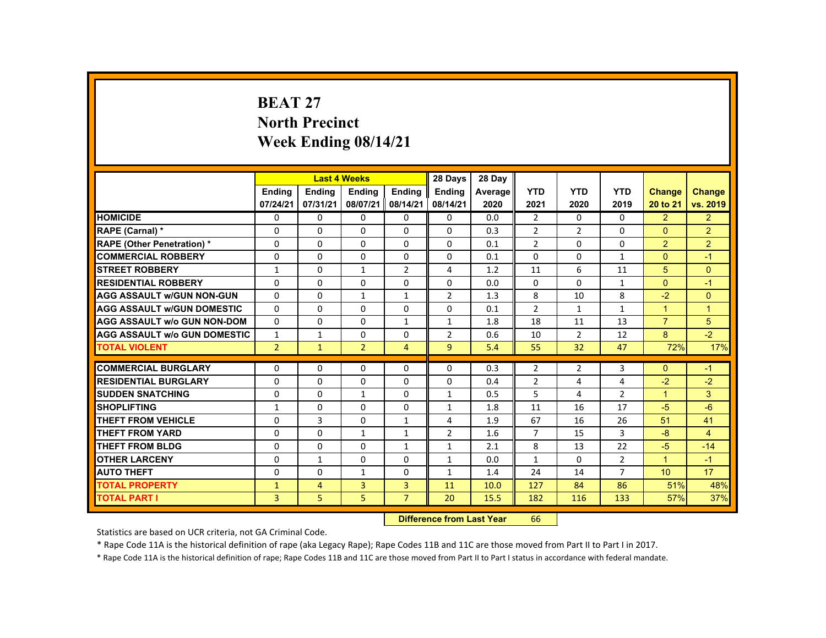# **BEAT 27 North Precinct Week Ending 08/14/21**

|                                     |                |                | <b>Last 4 Weeks</b> |                | 28 Days                           | 28 Day  |                |                |                |                      |                |
|-------------------------------------|----------------|----------------|---------------------|----------------|-----------------------------------|---------|----------------|----------------|----------------|----------------------|----------------|
|                                     | <b>Ending</b>  | <b>Ending</b>  | <b>Ending</b>       | <b>Ending</b>  | Ending                            | Average | <b>YTD</b>     | <b>YTD</b>     | <b>YTD</b>     | <b>Change</b>        | <b>Change</b>  |
|                                     | 07/24/21       | 07/31/21       | 08/07/21            | 08/14/21       | 08/14/21                          | 2020    | 2021           | 2020           | 2019           | 20 to 21             | vs. 2019       |
| <b>HOMICIDE</b>                     | $\Omega$       | $\Omega$       | $\Omega$            | $\Omega$       | 0                                 | 0.0     | $\overline{2}$ | $\Omega$       | $\Omega$       | 2                    | 2 <sup>1</sup> |
| RAPE (Carnal) *                     | 0              | $\Omega$       | $\Omega$            | $\Omega$       | $\Omega$                          | 0.3     | $\overline{2}$ | $\overline{2}$ | $\Omega$       | $\Omega$             | $\overline{2}$ |
| <b>RAPE (Other Penetration) *</b>   | $\Omega$       | $\Omega$       | $\Omega$            | $\Omega$       | $\Omega$                          | 0.1     | $\overline{2}$ | $\Omega$       | $\Omega$       | $\overline{2}$       | $\overline{2}$ |
| <b>COMMERCIAL ROBBERY</b>           | $\Omega$       | $\Omega$       | $\Omega$            | $\Omega$       | $\Omega$                          | 0.1     | $\Omega$       | $\Omega$       | $\mathbf{1}$   | $\Omega$             | $-1$           |
| <b>STREET ROBBERY</b>               | $\mathbf{1}$   | $\Omega$       | $\mathbf{1}$        | $\overline{2}$ | 4                                 | 1.2     | 11             | 6              | 11             | 5                    | $\Omega$       |
| <b>RESIDENTIAL ROBBERY</b>          | $\Omega$       | $\Omega$       | $\Omega$            | 0              | $\Omega$                          | 0.0     | $\Omega$       | $\Omega$       | $\mathbf{1}$   | $\Omega$             | $-1$           |
| <b>AGG ASSAULT W/GUN NON-GUN</b>    | $\Omega$       | $\Omega$       | $\mathbf{1}$        | $\mathbf{1}$   | $\overline{2}$                    | 1.3     | 8              | 10             | 8              | $-2$                 | $\Omega$       |
| <b>AGG ASSAULT W/GUN DOMESTIC</b>   | $\Omega$       | $\Omega$       | $\Omega$            | $\Omega$       | $\Omega$                          | 0.1     | $\overline{2}$ | $\mathbf{1}$   | $\mathbf{1}$   | $\overline{1}$       | $\mathbf{1}$   |
| <b>AGG ASSAULT w/o GUN NON-DOM</b>  | $\Omega$       | $\Omega$       | $\Omega$            | $\mathbf{1}$   | $\mathbf{1}$                      | 1.8     | 18             | 11             | 13             | $\overline{7}$       | 5              |
| <b>AGG ASSAULT W/o GUN DOMESTIC</b> | $\mathbf{1}$   | $\mathbf{1}$   | $\Omega$            | $\Omega$       | 2                                 | 0.6     | 10             | $\overline{2}$ | 12             | 8                    | $-2$           |
| <b>TOTAL VIOLENT</b>                | $\overline{2}$ | $\mathbf{1}$   | $\overline{2}$      | $\overline{4}$ | 9                                 | 5.4     | 55             | 32             | 47             | 72%                  | 17%            |
|                                     |                |                |                     |                |                                   |         |                |                |                |                      |                |
| <b>COMMERCIAL BURGLARY</b>          | $\Omega$       | $\Omega$       | $\Omega$            | $\Omega$       | $\Omega$                          | 0.3     | $\overline{2}$ | $\overline{2}$ | 3              | $\mathbf{0}$         | $-1$           |
| <b>RESIDENTIAL BURGLARY</b>         | $\Omega$       | $\Omega$       | $\Omega$            | $\Omega$       | $\Omega$                          | 0.4     | $\overline{2}$ | 4              | 4              | $-2$                 | $-2$           |
| <b>SUDDEN SNATCHING</b>             | $\mathbf{0}$   | $\Omega$       | 1                   | $\mathbf{0}$   | 1                                 | 0.5     | 5              | 4              | $\overline{2}$ | $\mathbf{1}$         | $\mathbf{3}$   |
| <b>SHOPLIFTING</b>                  | $\mathbf{1}$   | $\Omega$       | $\Omega$            | $\Omega$       | $\mathbf{1}$                      | 1.8     | 11             | 16             | 17             | $-5$                 | $-6$           |
| <b>THEFT FROM VEHICLE</b>           | $\mathbf{0}$   | $\overline{3}$ | $\Omega$            | $\mathbf{1}$   | 4                                 | 1.9     | 67             | 16             | 26             | 51                   | 41             |
| <b>THEFT FROM YARD</b>              | $\Omega$       | $\Omega$       | $\mathbf{1}$        | $\mathbf{1}$   | 2                                 | 1.6     | $\overline{7}$ | 15             | 3              | $-8$                 | $\overline{4}$ |
| <b>THEFT FROM BLDG</b>              | 0              | $\Omega$       | $\mathbf{0}$        | $\mathbf{1}$   | $\mathbf{1}$                      | 2.1     | 8              | 13             | 22             | $-5$                 | $-14$          |
| <b>OTHER LARCENY</b>                | $\Omega$       | $\mathbf{1}$   | $\Omega$            | $\Omega$       | 1                                 | 0.0     | $\mathbf{1}$   | $\Omega$       | $\overline{2}$ | $\blacktriangleleft$ | $-1$           |
| <b>AUTO THEFT</b>                   | $\Omega$       | $\Omega$       | $\mathbf{1}$        | $\Omega$       | $\mathbf{1}$                      | 1.4     | 24             | 14             | $\overline{7}$ | 10                   | 17             |
| <b>TOTAL PROPERTY</b>               | $\mathbf{1}$   | $\overline{4}$ | 3                   | $\overline{3}$ | 11                                | 10.0    | 127            | 84             | 86             | 51%                  | 48%            |
| <b>TOTAL PART I</b>                 | 3              | 5              | 5                   | $\overline{7}$ | 20                                | 15.5    | 182            | 116            | 133            | 57%                  | 37%            |
|                                     |                |                |                     |                | <b>Difference from Least Vanc</b> |         | $\epsilon$     |                |                |                      |                |

 **Difference from Last Year**r 66

Statistics are based on UCR criteria, not GA Criminal Code.

\* Rape Code 11A is the historical definition of rape (aka Legacy Rape); Rape Codes 11B and 11C are those moved from Part II to Part I in 2017.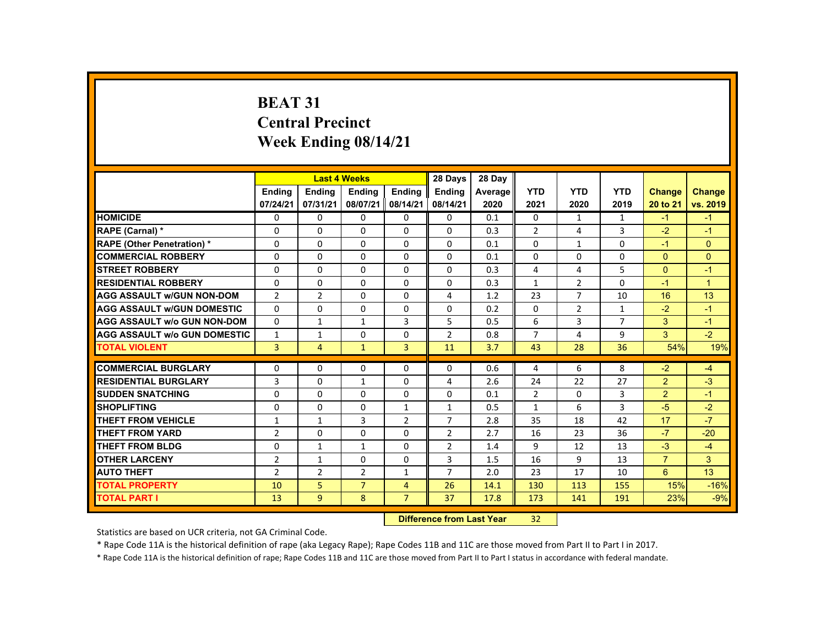# **BEAT 31 Central Precinct Week Ending 08/14/21**

|                                     |                |                | <b>Last 4 Weeks</b> |                | 28 Days                   | 28 Day  |                |                |                |                |                |
|-------------------------------------|----------------|----------------|---------------------|----------------|---------------------------|---------|----------------|----------------|----------------|----------------|----------------|
|                                     | <b>Endina</b>  | <b>Endina</b>  | <b>Endina</b>       | <b>Endina</b>  | <b>Endina</b>             | Average | <b>YTD</b>     | <b>YTD</b>     | <b>YTD</b>     | <b>Change</b>  | <b>Change</b>  |
|                                     | 07/24/21       | 07/31/21       | 08/07/21            | 08/14/21       | 08/14/21                  | 2020    | 2021           | 2020           | 2019           | 20 to 21       | vs. 2019       |
| <b>HOMICIDE</b>                     | $\mathbf{0}$   | 0              | $\Omega$            | 0              | 0                         | 0.1     | 0              | $\mathbf{1}$   | $\mathbf{1}$   | $-1$           | $-1$           |
| <b>RAPE (Carnal) *</b>              | 0              | 0              | 0                   | 0              | 0                         | 0.3     | $\overline{2}$ | 4              | 3              | $-2$           | $-1$           |
| <b>RAPE (Other Penetration) *</b>   | $\Omega$       | $\Omega$       | $\Omega$            | $\Omega$       | $\Omega$                  | 0.1     | $\Omega$       | $\mathbf{1}$   | $\Omega$       | $-1$           | $\Omega$       |
| <b>COMMERCIAL ROBBERY</b>           | $\Omega$       | $\Omega$       | $\Omega$            | $\Omega$       | $\Omega$                  | 0.1     | $\Omega$       | $\Omega$       | $\Omega$       | $\Omega$       | $\mathbf{0}$   |
| <b>STREET ROBBERY</b>               | $\Omega$       | $\Omega$       | $\Omega$            | $\Omega$       | $\Omega$                  | 0.3     | 4              | 4              | 5              | $\Omega$       | $-1$           |
| <b>RESIDENTIAL ROBBERY</b>          | 0              | 0              | 0                   | 0              | 0                         | 0.3     | $\mathbf{1}$   | $\overline{2}$ | 0              | $-1$           | $\overline{1}$ |
| <b>AGG ASSAULT W/GUN NON-DOM</b>    | $\overline{2}$ | $\overline{2}$ | $\Omega$            | $\Omega$       | 4                         | 1.2     | 23             | $\overline{7}$ | 10             | 16             | 13             |
| <b>AGG ASSAULT W/GUN DOMESTIC</b>   | $\Omega$       | $\Omega$       | $\Omega$            | $\Omega$       | $\Omega$                  | 0.2     | $\Omega$       | 2              | $\mathbf{1}$   | $-2$           | $-1$           |
| <b>AGG ASSAULT w/o GUN NON-DOM</b>  | $\Omega$       | $\mathbf{1}$   | $\mathbf{1}$        | $\overline{3}$ | 5                         | 0.5     | 6              | $\overline{3}$ | $\overline{7}$ | 3              | $-1$           |
| <b>AGG ASSAULT w/o GUN DOMESTIC</b> | $\mathbf{1}$   | $\mathbf{1}$   | $\Omega$            | $\Omega$       | $\overline{2}$            | 0.8     | $\overline{7}$ | 4              | 9              | 3              | $-2$           |
| <b>TOTAL VIOLENT</b>                | $\overline{3}$ | $\overline{4}$ | $\mathbf{1}$        | $\overline{3}$ | 11                        | 3.7     | 43             | 28             | 36             | 54%            | 19%            |
| <b>COMMERCIAL BURGLARY</b>          | $\Omega$       | $\Omega$       | $\Omega$            | $\Omega$       | $\Omega$                  | 0.6     | 4              | 6              | 8              | $-2$           | $-4$           |
| <b>RESIDENTIAL BURGLARY</b>         | 3              | 0              | 1                   | 0              | 4                         | 2.6     | 24             | 22             | 27             | 2              | $-3$           |
| <b>SUDDEN SNATCHING</b>             | $\Omega$       | $\Omega$       | $\Omega$            | $\Omega$       | $\Omega$                  | 0.1     | $\overline{2}$ | 0              | 3              | $\overline{2}$ | $-1$           |
| <b>SHOPLIFTING</b>                  | $\Omega$       | $\Omega$       | $\Omega$            | $\mathbf{1}$   | $\mathbf{1}$              | 0.5     | $\mathbf{1}$   | 6              | 3              | $-5$           | $-2$           |
| <b>THEFT FROM VEHICLE</b>           | $\mathbf{1}$   | $\mathbf{1}$   | $\overline{3}$      | $\overline{2}$ | $\overline{7}$            | 2.8     | 35             | 18             | 42             | 17             | $-7$           |
| <b>THEFT FROM YARD</b>              | $\overline{2}$ | $\Omega$       | $\Omega$            | $\Omega$       | $\overline{2}$            | 2.7     | 16             | 23             | 36             | $-7$           | $-20$          |
| <b>THEFT FROM BLDG</b>              | 0              | $\mathbf{1}$   | $\mathbf{1}$        | $\Omega$       | $\overline{2}$            | 1.4     | 9              | 12             | 13             | $-3$           | $-4$           |
| <b>OTHER LARCENY</b>                | $\overline{2}$ | $\mathbf{1}$   | $\Omega$            | $\Omega$       | 3                         | 1.5     | 16             | 9              | 13             | $\overline{7}$ | $\mathbf{3}$   |
| <b>AUTO THEFT</b>                   | $\overline{2}$ | $\overline{2}$ | $\overline{2}$      | $\mathbf{1}$   | $\overline{7}$            | 2.0     | 23             | 17             | 10             | 6              | 13             |
| <b>TOTAL PROPERTY</b>               | 10             | 5              | $\overline{7}$      | $\overline{4}$ | 26                        | 14.1    | 130            | 113            | 155            | 15%            | $-16%$         |
| <b>TOTAL PART I</b>                 | 13             | 9              | 8                   | $\overline{7}$ | 37                        | 17.8    | 173            | 141            | 191            | 23%            | $-9%$          |
|                                     |                |                |                     |                | Difference from Loot Voor |         | າາ             |                |                |                |                |

 **Difference from Last Year**r 32

Statistics are based on UCR criteria, not GA Criminal Code.

\* Rape Code 11A is the historical definition of rape (aka Legacy Rape); Rape Codes 11B and 11C are those moved from Part II to Part I in 2017.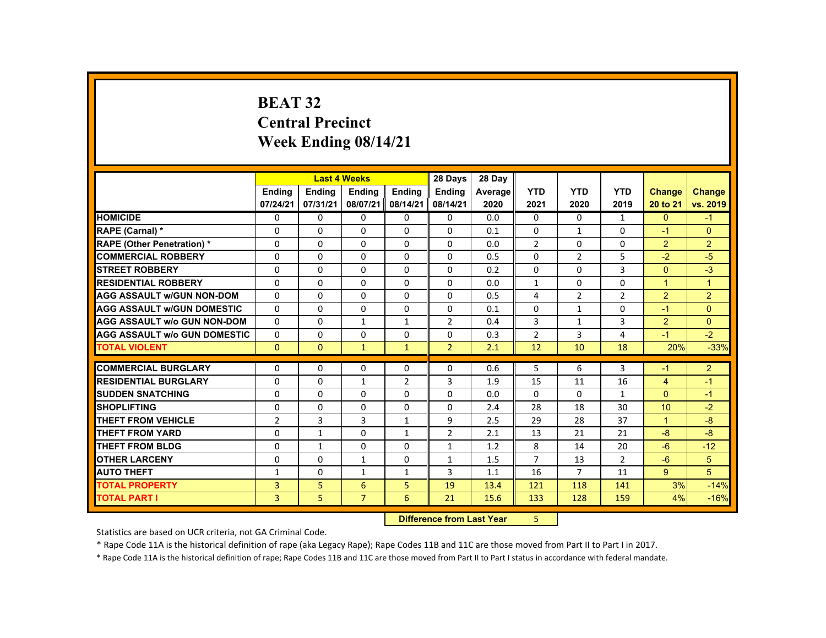# **BEAT 32 Central PrecinctWeek Ending 08/14/21**

|                                     |                |               | <b>Last 4 Weeks</b> |                | 28 Days        | 28 Day  |                |                |                |                |                |
|-------------------------------------|----------------|---------------|---------------------|----------------|----------------|---------|----------------|----------------|----------------|----------------|----------------|
|                                     | <b>Ending</b>  | <b>Ending</b> | <b>Ending</b>       | <b>Ending</b>  | <b>Ending</b>  | Average | <b>YTD</b>     | <b>YTD</b>     | <b>YTD</b>     | Change         | <b>Change</b>  |
|                                     | 07/24/21       | 07/31/21      | 08/07/21            | 08/14/21       | 08/14/21       | 2020    | 2021           | 2020           | 2019           | 20 to 21       | vs. 2019       |
| <b>HOMICIDE</b>                     | $\Omega$       | $\Omega$      | 0                   | $\Omega$       | 0              | 0.0     | $\mathbf{0}$   | $\Omega$       | $\mathbf{1}$   | $\mathbf{0}$   | $-1$           |
| <b>RAPE (Carnal) *</b>              | $\mathbf{0}$   | $\Omega$      | $\Omega$            | $\Omega$       | $\Omega$       | 0.1     | $\Omega$       | $\mathbf{1}$   | $\Omega$       | $-1$           | $\Omega$       |
| <b>RAPE (Other Penetration) *</b>   | $\Omega$       | $\Omega$      | $\Omega$            | $\Omega$       | $\Omega$       | 0.0     | $\overline{2}$ | $\Omega$       | $\Omega$       | $\overline{2}$ | $\overline{2}$ |
| <b>COMMERCIAL ROBBERY</b>           | 0              | $\Omega$      | $\Omega$            | $\Omega$       | $\Omega$       | 0.5     | $\mathbf 0$    | $\overline{2}$ | 5              | $-2$           | $-5$           |
| <b>STREET ROBBERY</b>               | $\Omega$       | $\Omega$      | $\Omega$            | $\Omega$       | $\Omega$       | 0.2     | $\Omega$       | $\Omega$       | $\overline{3}$ | $\Omega$       | $-3$           |
| <b>RESIDENTIAL ROBBERY</b>          | $\Omega$       | $\Omega$      | $\Omega$            | 0              | 0              | 0.0     | $\mathbf{1}$   | 0              | $\Omega$       | $\mathbf{1}$   | $\overline{1}$ |
| <b>AGG ASSAULT W/GUN NON-DOM</b>    | $\Omega$       | $\Omega$      | $\Omega$            | 0              | 0              | 0.5     | 4              | 2              | $\overline{2}$ | $\overline{2}$ | $\overline{2}$ |
| <b>AGG ASSAULT W/GUN DOMESTIC</b>   | $\Omega$       | $\Omega$      | $\Omega$            | $\Omega$       | $\Omega$       | 0.1     | $\Omega$       | $\mathbf{1}$   | $\Omega$       | $-1$           | $\Omega$       |
| <b>AGG ASSAULT W/o GUN NON-DOM</b>  | $\Omega$       | $\Omega$      | $\mathbf{1}$        | $\mathbf{1}$   | $\overline{2}$ | 0.4     | $\overline{3}$ | $\mathbf{1}$   | $\overline{3}$ | $\overline{2}$ | $\Omega$       |
| <b>AGG ASSAULT W/o GUN DOMESTIC</b> | $\Omega$       | $\Omega$      | $\Omega$            | $\Omega$       | $\Omega$       | 0.3     | $\overline{2}$ | 3              | 4              | $-1$           | $-2$           |
| <b>TOTAL VIOLENT</b>                | $\Omega$       | $\mathbf{0}$  | $\mathbf{1}$        | $\mathbf{1}$   | $\overline{2}$ | 2.1     | 12             | 10             | 18             | 20%            | $-33%$         |
| <b>COMMERCIAL BURGLARY</b>          | $\Omega$       | $\Omega$      | $\Omega$            | $\Omega$       | $\Omega$       | 0.6     | 5              | 6              | 3              | $-1$           | $\overline{2}$ |
| <b>RESIDENTIAL BURGLARY</b>         | $\Omega$       | $\Omega$      | $\mathbf{1}$        | $\overline{2}$ | 3              | 1.9     | 15             | 11             | 16             | $\overline{4}$ | $-1$           |
| <b>SUDDEN SNATCHING</b>             | 0              | $\mathbf{0}$  | 0                   | 0              | $\Omega$       | 0.0     | $\Omega$       | 0              | $\mathbf{1}$   | $\Omega$       | $-1$           |
| <b>SHOPLIFTING</b>                  | $\Omega$       | $\Omega$      | $\Omega$            | 0              | 0              | 2.4     | 28             | 18             | 30             | 10             | $-2$           |
| <b>THEFT FROM VEHICLE</b>           | $\overline{2}$ | 3             | 3                   | $\mathbf{1}$   | 9              | 2.5     | 29             | 28             | 37             | $\mathbf{1}$   | $-8$           |
| <b>THEFT FROM YARD</b>              | $\Omega$       | $\mathbf{1}$  | $\Omega$            | $\mathbf{1}$   | $\overline{2}$ | 2.1     | 13             | 21             | 21             | $-8$           | $-8$           |
| THEFT FROM BLDG                     | $\Omega$       | $\mathbf{1}$  | $\Omega$            | $\Omega$       | $\mathbf{1}$   | 1.2     | 8              | 14             | 20             | $-6$           | $-12$          |
| <b>OTHER LARCENY</b>                | 0              | $\mathbf{0}$  | $\mathbf{1}$        | 0              | $\mathbf{1}$   | 1.5     | $\overline{7}$ | 13             | $\overline{2}$ | $-6$           | 5              |
| <b>AUTO THEFT</b>                   | 1              | $\mathbf{0}$  | $\mathbf{1}$        | $\mathbf{1}$   | 3              | 1.1     | 16             | 7              | 11             | 9 <sup>°</sup> | 5              |
| <b>TOTAL PROPERTY</b>               | 3              | 5             | 6                   | 5              | 19             | 13.4    | 121            | 118            | 141            | 3%             | $-14%$         |
| <b>TOTAL PART I</b>                 | $\overline{3}$ | 5             | $\overline{7}$      | 6              | 21             | 15.6    | 133            | 128            | 159            | 4%             | $-16%$         |
|                                     |                |               |                     |                |                |         |                |                |                |                |                |

 **Difference from Last Year**5

Statistics are based on UCR criteria, not GA Criminal Code.

\* Rape Code 11A is the historical definition of rape (aka Legacy Rape); Rape Codes 11B and 11C are those moved from Part II to Part I in 2017.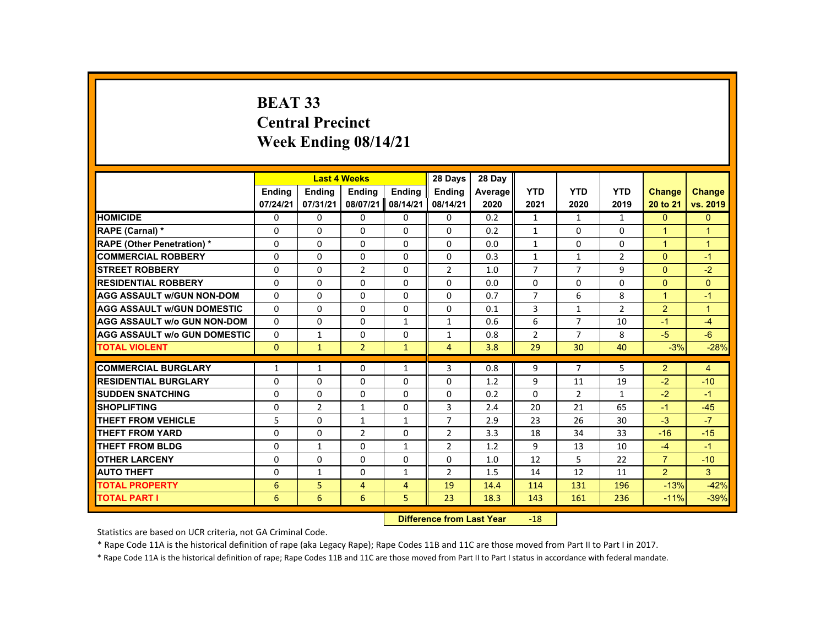# **BEAT 33 Central Precinct Week Ending 08/14/21**

|                                     |               |                | <b>Last 4 Weeks</b>       |                | 28 Days        | 28 Day  |                |                |                |                |                |
|-------------------------------------|---------------|----------------|---------------------------|----------------|----------------|---------|----------------|----------------|----------------|----------------|----------------|
|                                     | <b>Endina</b> | <b>Endina</b>  | <b>Ending</b>             | <b>Endina</b>  | <b>Endina</b>  | Average | <b>YTD</b>     | <b>YTD</b>     | <b>YTD</b>     | Change         | <b>Change</b>  |
|                                     | 07/24/21      | 07/31/21       | 08/07/21                  | 08/14/21       | 08/14/21       | 2020    | 2021           | 2020           | 2019           | 20 to 21       | vs. 2019       |
| <b>HOMICIDE</b>                     | 0             | 0              | 0                         | 0              | 0              | 0.2     | $\mathbf{1}$   | 1              | $\mathbf{1}$   | $\mathbf{0}$   | $\overline{0}$ |
| RAPE (Carnal) *                     | 0             | 0              | 0                         | 0              | 0              | 0.2     | $\mathbf{1}$   | 0              | 0              | -1             | $\overline{1}$ |
| <b>RAPE (Other Penetration) *</b>   | $\Omega$      | $\Omega$       | $\Omega$                  | $\Omega$       | $\Omega$       | 0.0     | $\mathbf{1}$   | $\Omega$       | $\Omega$       | $\overline{1}$ | $\overline{1}$ |
| <b>COMMERCIAL ROBBERY</b>           | $\Omega$      | $\Omega$       | $\Omega$                  | $\Omega$       | $\Omega$       | 0.3     | $\mathbf{1}$   | $\mathbf{1}$   | $\overline{2}$ | $\mathbf{0}$   | $-1$           |
| <b>STREET ROBBERY</b>               | $\Omega$      | $\Omega$       | $\overline{2}$            | $\Omega$       | $\overline{2}$ | 1.0     | $\overline{7}$ | $\overline{7}$ | 9              | $\Omega$       | $-2$           |
| <b>RESIDENTIAL ROBBERY</b>          | $\Omega$      | 0              | $\Omega$                  | 0              | $\Omega$       | 0.0     | $\Omega$       | 0              | 0              | $\Omega$       | $\Omega$       |
| <b>AGG ASSAULT w/GUN NON-DOM</b>    | $\Omega$      | $\Omega$       | $\Omega$                  | $\Omega$       | $\Omega$       | 0.7     | $\overline{7}$ | 6              | 8              | $\overline{1}$ | $-1$           |
| <b>AGG ASSAULT w/GUN DOMESTIC</b>   | $\Omega$      | $\Omega$       | $\Omega$                  | $\Omega$       | $\Omega$       | 0.1     | 3              | $\mathbf{1}$   | $\overline{2}$ | $\overline{2}$ | $\overline{1}$ |
| <b>AGG ASSAULT w/o GUN NON-DOM</b>  | $\Omega$      | $\Omega$       | $\Omega$                  | $\mathbf{1}$   | $\mathbf{1}$   | 0.6     | 6              | $\overline{7}$ | 10             | $-1$           | $-4$           |
| <b>AGG ASSAULT w/o GUN DOMESTIC</b> | 0             | 1              | 0                         | $\Omega$       | 1              | 0.8     | $\overline{2}$ | $\overline{7}$ | 8              | $-5$           | $-6$           |
| <b>TOTAL VIOLENT</b>                | $\mathbf{0}$  | $\mathbf{1}$   | $\overline{2}$            | $\mathbf{1}$   | $\overline{4}$ | 3.8     | 29             | 30             | 40             | $-3%$          | $-28%$         |
| <b>COMMERCIAL BURGLARY</b>          | $\mathbf{1}$  | $\mathbf{1}$   | $\Omega$                  | $\mathbf{1}$   | 3              | 0.8     | 9              | $\overline{7}$ | 5.             | $\overline{2}$ | 4              |
| <b>RESIDENTIAL BURGLARY</b>         | 0             | $\Omega$       | $\Omega$                  | $\Omega$       | 0              | 1.2     | 9              | 11             | 19             | $-2$           | $-10$          |
| <b>SUDDEN SNATCHING</b>             | 0             | 0              | 0                         | 0              | 0              | 0.2     | $\Omega$       | $\overline{2}$ | $\mathbf{1}$   | $-2$           | $-1$           |
| <b>SHOPLIFTING</b>                  | $\Omega$      | $\overline{2}$ | $\mathbf{1}$              | $\Omega$       | 3              | 2.4     | 20             | 21             | 65             | $-1$           | $-45$          |
| <b>THEFT FROM VEHICLE</b>           | 5             | $\Omega$       | $\mathbf{1}$              | $\mathbf{1}$   | $\overline{7}$ | 2.9     | 23             | 26             | 30             | $-3$           | $-7$           |
| <b>THEFT FROM YARD</b>              | 0             | $\Omega$       | $\overline{2}$            | 0              | $\overline{2}$ | 3.3     | 18             | 34             | 33             | $-16$          | $-15$          |
| <b>THEFT FROM BLDG</b>              | 0             | $\mathbf{1}$   | $\Omega$                  | $\mathbf{1}$   | $\overline{2}$ | 1.2     | 9              | 13             | 10             | $-4$           | $-1$           |
| <b>OTHER LARCENY</b>                | 0             | 0              | 0                         | 0              | 0              | 1.0     | 12             | 5              | 22             | $\overline{7}$ | $-10$          |
| <b>AUTO THEFT</b>                   | 0             | $\mathbf{1}$   | $\Omega$                  | $\mathbf{1}$   | $\overline{2}$ | 1.5     | 14             | 12             | 11             | $\overline{2}$ | $\overline{3}$ |
| <b>TOTAL PROPERTY</b>               | 6             | 5              | 4                         | $\overline{4}$ | 19             | 14.4    | 114            | 131            | 196            | $-13%$         | $-42%$         |
| <b>TOTAL PART I</b>                 | 6             | 6              | 6                         | 5              | 23             | 18.3    | 143            | 161            | 236            | $-11%$         | $-39%$         |
|                                     |               |                | Difference from Last Vear |                | $-1Q$          |         |                |                |                |                |                |

 **Difference from Last Year**r -18

Statistics are based on UCR criteria, not GA Criminal Code.

\* Rape Code 11A is the historical definition of rape (aka Legacy Rape); Rape Codes 11B and 11C are those moved from Part II to Part I in 2017.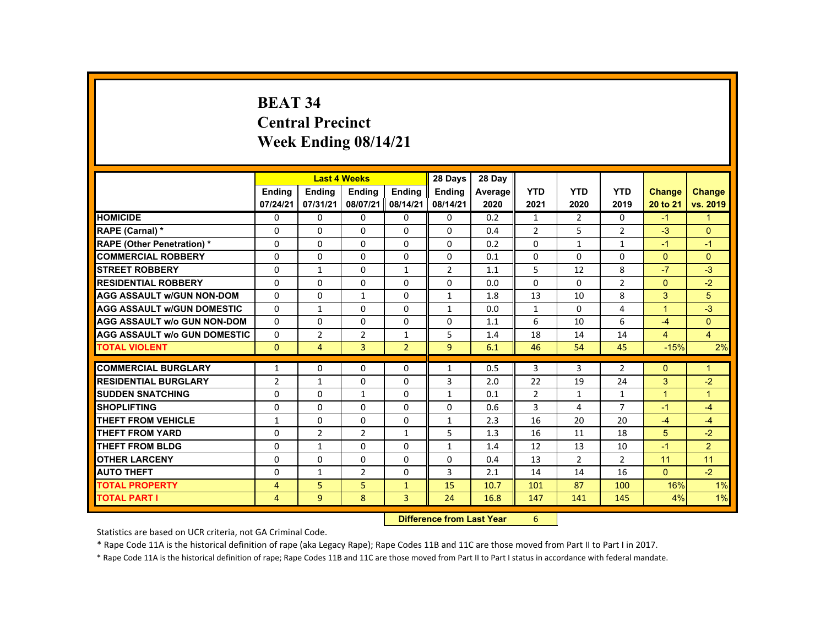# **BEAT 34 Central Precinct Week Ending 08/14/21**

|                                     |                  |                       | <b>Last 4 Weeks</b> |                | 28 Days       | 28 Day  |                |                |                |                |                |
|-------------------------------------|------------------|-----------------------|---------------------|----------------|---------------|---------|----------------|----------------|----------------|----------------|----------------|
|                                     | <b>Ending</b>    | Ending                | <b>Ending</b>       | Ending         | <b>Ending</b> | Average | <b>YTD</b>     | <b>YTD</b>     | <b>YTD</b>     | <b>Change</b>  | <b>Change</b>  |
|                                     | 07/24/21         | 07/31/21              | 08/07/21            | 08/14/21       | 08/14/21      | 2020    | 2021           | 2020           | 2019           | 20 to 21       | vs. 2019       |
| <b>HOMICIDE</b>                     | $\Omega$         | $\Omega$              | $\Omega$            | $\Omega$       | 0             | 0.2     | $\mathbf{1}$   | $\overline{2}$ | 0              | $-1$           | $\mathbf{1}$   |
| RAPE (Carnal) *                     | $\Omega$         | $\Omega$              | $\Omega$            | $\Omega$       | $\Omega$      | 0.4     | $\overline{2}$ | 5              | $\overline{2}$ | $-3$           | $\Omega$       |
| <b>RAPE (Other Penetration) *</b>   | $\Omega$         | $\Omega$              | $\Omega$            | $\Omega$       | $\Omega$      | 0.2     | $\Omega$       | $\mathbf{1}$   | $\mathbf{1}$   | $-1$           | $-1$           |
| <b>COMMERCIAL ROBBERY</b>           | $\Omega$         | $\Omega$              | $\Omega$            | $\Omega$       | $\Omega$      | 0.1     | $\Omega$       | $\Omega$       | $\Omega$       | $\Omega$       | $\Omega$       |
| <b>STREET ROBBERY</b>               | $\Omega$         | $\mathbf{1}$          | $\Omega$            | $\mathbf{1}$   | 2             | 1.1     | 5              | 12             | 8              | $-7$           | $-3$           |
| <b>RESIDENTIAL ROBBERY</b>          | $\Omega$         | $\mathbf{0}$          | $\mathbf{0}$        | 0              | 0             | 0.0     | $\Omega$       | 0              | $\overline{2}$ | $\Omega$       | $-2$           |
| <b>AGG ASSAULT W/GUN NON-DOM</b>    | $\Omega$         | $\Omega$              | $\mathbf{1}$        | $\Omega$       | $\mathbf{1}$  | 1.8     | 13             | 10             | 8              | 3              | 5              |
| <b>AGG ASSAULT W/GUN DOMESTIC</b>   | $\Omega$         | $\mathbf{1}$          | $\Omega$            | 0              | $\mathbf{1}$  | 0.0     | $\mathbf{1}$   | 0              | 4              | $\overline{1}$ | $-3$           |
| <b>AGG ASSAULT w/o GUN NON-DOM</b>  | $\Omega$         | $\Omega$              | $\Omega$            | $\Omega$       | $\Omega$      | 1.1     | 6              | 10             | 6              | $-4$           | $\Omega$       |
| <b>AGG ASSAULT w/o GUN DOMESTIC</b> | $\Omega$         | $\overline{2}$        | 2                   | $\mathbf{1}$   | 5             | 1.4     | 18             | 14             | 14             | $\overline{4}$ | $\overline{4}$ |
| <b>TOTAL VIOLENT</b>                | $\Omega$         | $\overline{4}$        | $\overline{3}$      | $\overline{2}$ | 9             | 6.1     | 46             | 54             | 45             | $-15%$         | 2%             |
|                                     |                  |                       | $\Omega$            | $\Omega$       |               |         |                |                |                |                |                |
| <b>COMMERCIAL BURGLARY</b>          | $\mathbf{1}$     | $\Omega$              |                     |                | $\mathbf{1}$  | 0.5     | 3              | 3              | $\overline{2}$ | $\Omega$       | $\overline{1}$ |
| <b>RESIDENTIAL BURGLARY</b>         | $\overline{2}$   | $\mathbf{1}$          | $\Omega$            | $\Omega$       | 3             | 2.0     | 22             | 19             | 24             | 3              | $-2$           |
| <b>SUDDEN SNATCHING</b>             | $\mathbf{0}$     | $\Omega$              | 1                   | $\mathbf{0}$   | $\mathbf{1}$  | 0.1     | $\overline{2}$ | $\mathbf{1}$   | $\mathbf{1}$   | $\mathbf{1}$   | $\mathbf{1}$   |
| <b>SHOPLIFTING</b>                  | $\Omega$         | $\Omega$              | $\Omega$            | $\Omega$       | $\Omega$      | 0.6     | 3              | 4              | $\overline{7}$ | $-1$           | $-4$           |
| <b>THEFT FROM VEHICLE</b>           | $\mathbf{1}$     | $\Omega$              | $\Omega$            | $\Omega$       | $\mathbf{1}$  | 2.3     | 16             | 20             | 20             | $-4$           | $-4$           |
| <b>THEFT FROM YARD</b>              | $\Omega$         | $\overline{2}$        | $\overline{2}$      | $\mathbf{1}$   | 5             | 1.3     | 16             | 11             | 18             | 5              | $-2$           |
| <b>THEFT FROM BLDG</b>              | 0                | $\mathbf{1}$          | $\Omega$            | $\Omega$       | $\mathbf{1}$  | 1.4     | 12             | 13             | 10             | $-1$           | $\overline{2}$ |
| <b>OTHER LARCENY</b>                | $\Omega$         | $\Omega$              | $\Omega$            | $\Omega$       | 0             | 0.4     | 13             | $\overline{2}$ | $\overline{2}$ | 11             | 11             |
| <b>AUTO THEFT</b>                   | $\Omega$         | $\mathbf{1}$          | $\overline{2}$      | $\Omega$       | 3             | 2.1     | 14             | 14             | 16             | $\Omega$       | $-2$           |
| <b>TOTAL PROPERTY</b>               | $\overline{4}$   | 5 <sup>1</sup>        | 5                   | $\mathbf{1}$   | 15            | 10.7    | 101            | 87             | 100            | 16%            | 1%             |
| <b>TOTAL PART I</b>                 | $\overline{4}$   | 9                     | 8                   | $\overline{3}$ | 24            | 16.8    | 147            | 141            | 145            | 4%             | 1%             |
|                                     | <b>INSECTION</b> | and formed and Manual |                     | $\sim$         |               |         |                |                |                |                |                |

 **Difference from Last Year**r 6

Statistics are based on UCR criteria, not GA Criminal Code.

\* Rape Code 11A is the historical definition of rape (aka Legacy Rape); Rape Codes 11B and 11C are those moved from Part II to Part I in 2017.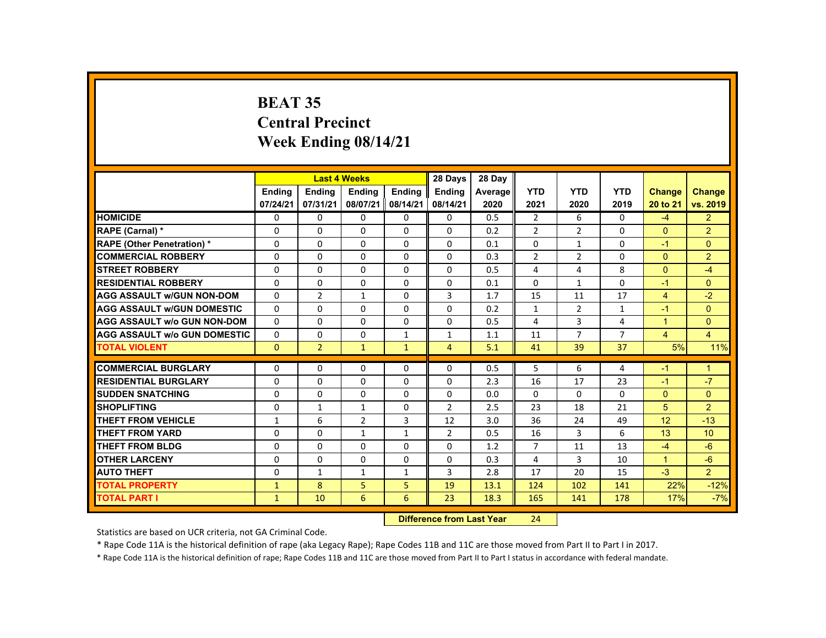# **BEAT 35 Central Precinct Week Ending 08/14/21**

|                                     |               |                | <b>Last 4 Weeks</b> |                | 28 Days                   | 28 Day  |                |                |                |                      |                      |
|-------------------------------------|---------------|----------------|---------------------|----------------|---------------------------|---------|----------------|----------------|----------------|----------------------|----------------------|
|                                     | <b>Endina</b> | <b>Endina</b>  | <b>Endina</b>       | <b>Endina</b>  | <b>Endina</b>             | Average | <b>YTD</b>     | <b>YTD</b>     | <b>YTD</b>     | Change               | <b>Change</b>        |
|                                     | 07/24/21      | 07/31/21       | 08/07/21            | 08/14/21       | 08/14/21                  | 2020    | 2021           | 2020           | 2019           | 20 to 21             | vs. 2019             |
| <b>HOMICIDE</b>                     | $\mathbf{0}$  | 0              | $\Omega$            | 0              | 0                         | 0.5     | $\overline{2}$ | 6              | $\Omega$       | $-4$                 | 2 <sup>1</sup>       |
| <b>RAPE (Carnal) *</b>              | 0             | 0              | 0                   | 0              | 0                         | 0.2     | $\overline{2}$ | $\overline{2}$ | 0              | $\mathbf{0}$         | $\overline{2}$       |
| <b>RAPE (Other Penetration) *</b>   | $\Omega$      | $\Omega$       | $\Omega$            | $\Omega$       | $\Omega$                  | 0.1     | $\Omega$       | $\mathbf{1}$   | $\Omega$       | $-1$                 | $\mathbf{0}$         |
| <b>COMMERCIAL ROBBERY</b>           | $\Omega$      | $\Omega$       | $\Omega$            | $\Omega$       | $\Omega$                  | 0.3     | $\overline{2}$ | 2              | $\Omega$       | $\Omega$             | $\overline{2}$       |
| <b>STREET ROBBERY</b>               | $\Omega$      | $\Omega$       | $\Omega$            | $\Omega$       | $\Omega$                  | 0.5     | 4              | 4              | 8              | $\Omega$             | $-4$                 |
| <b>RESIDENTIAL ROBBERY</b>          | 0             | 0              | 0                   | 0              | 0                         | 0.1     | 0              | $\mathbf{1}$   | 0              | $-1$                 | $\overline{0}$       |
| <b>AGG ASSAULT W/GUN NON-DOM</b>    | $\Omega$      | $\overline{2}$ | $\mathbf{1}$        | $\Omega$       | 3                         | 1.7     | 15             | 11             | 17             | $\overline{4}$       | $-2$                 |
| <b>AGG ASSAULT W/GUN DOMESTIC</b>   | $\Omega$      | $\Omega$       | $\Omega$            | $\Omega$       | $\Omega$                  | 0.2     | $\mathbf{1}$   | 2              | $\mathbf{1}$   | $-1$                 | $\Omega$             |
| <b>AGG ASSAULT w/o GUN NON-DOM</b>  | $\Omega$      | $\Omega$       | $\Omega$            | $\Omega$       | $\Omega$                  | 0.5     | 4              | $\overline{3}$ | 4              | $\overline{1}$       | $\Omega$             |
| <b>AGG ASSAULT w/o GUN DOMESTIC</b> | $\Omega$      | $\Omega$       | $\Omega$            | $\mathbf{1}$   | $\mathbf{1}$              | 1.1     | 11             | $\overline{7}$ | $\overline{7}$ | $\overline{4}$       | $\overline{4}$       |
| <b>TOTAL VIOLENT</b>                | $\Omega$      | $\overline{2}$ | $\mathbf{1}$        | $\mathbf{1}$   | $\overline{4}$            | 5.1     | 41             | 39             | 37             | 5%                   | 11%                  |
| <b>COMMERCIAL BURGLARY</b>          | $\Omega$      | $\Omega$       | $\Omega$            | $\Omega$       | $\Omega$                  | 0.5     | 5              | 6              | 4              | $-1$                 | $\blacktriangleleft$ |
| <b>RESIDENTIAL BURGLARY</b>         | $\Omega$      | $\Omega$       | 0                   | 0              | 0                         | 2.3     | 16             | 17             | 23             | $-1$                 | $-7$                 |
| <b>SUDDEN SNATCHING</b>             | $\Omega$      | $\Omega$       | $\Omega$            | $\Omega$       | $\Omega$                  | 0.0     | $\Omega$       | 0              | $\Omega$       | $\mathbf{0}$         | $\mathbf{0}$         |
| <b>SHOPLIFTING</b>                  | $\Omega$      | $\mathbf{1}$   | $\mathbf{1}$        | $\Omega$       | 2                         | 2.5     | 23             | 18             | 21             | 5                    | $\overline{2}$       |
| <b>THEFT FROM VEHICLE</b>           | $\mathbf{1}$  | 6              | $\overline{2}$      | $\overline{3}$ | 12                        | 3.0     | 36             | 24             | 49             | 12                   | $-13$                |
| <b>THEFT FROM YARD</b>              | 0             | $\Omega$       | $\mathbf{1}$        | $\mathbf{1}$   | $\overline{2}$            | 0.5     | 16             | 3              | 6              | 13                   | 10                   |
| <b>THEFT FROM BLDG</b>              | 0             | $\Omega$       | $\Omega$            | $\Omega$       | $\Omega$                  | 1.2     | $\overline{7}$ | 11             | 13             | $-4$                 | $-6$                 |
| <b>OTHER LARCENY</b>                | $\Omega$      | $\Omega$       | $\Omega$            | $\Omega$       | $\Omega$                  | 0.3     | 4              | 3              | 10             | $\blacktriangleleft$ | $-6$                 |
| <b>AUTO THEFT</b>                   | 0             | $\mathbf{1}$   | $\mathbf{1}$        | $\mathbf{1}$   | 3                         | 2.8     | 17             | 20             | 15             | $-3$                 | 2 <sup>1</sup>       |
| <b>TOTAL PROPERTY</b>               | $\mathbf{1}$  | 8              | 5                   | 5              | 19                        | 13.1    | 124            | 102            | 141            | 22%                  | $-12%$               |
| <b>TOTAL PART I</b>                 | $\mathbf{1}$  | 10             | 6                   | 6              | 23                        | 18.3    | 165            | 141            | 178            | 17%                  | $-7%$                |
|                                     |               |                |                     |                | Difference from Loot Voor |         | 21             |                |                |                      |                      |

 **Difference from Last Year**r 24

Statistics are based on UCR criteria, not GA Criminal Code.

\* Rape Code 11A is the historical definition of rape (aka Legacy Rape); Rape Codes 11B and 11C are those moved from Part II to Part I in 2017.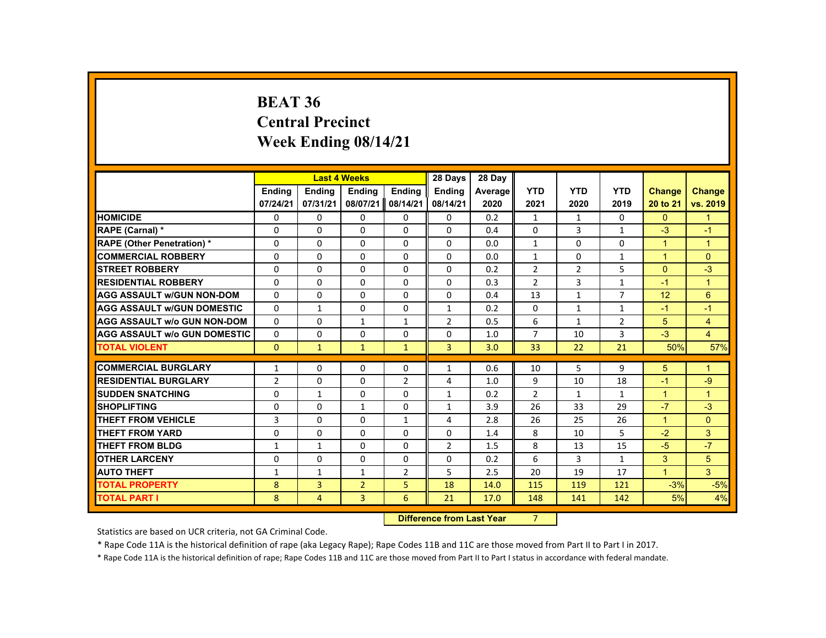### **BEAT 36 Central PrecinctWeek Ending 08/14/21**

|                                     |                | <b>Last 4 Weeks</b> |                |                | 28 Days        | 28 Day  |                |              |                |                      |                |
|-------------------------------------|----------------|---------------------|----------------|----------------|----------------|---------|----------------|--------------|----------------|----------------------|----------------|
|                                     | <b>Ending</b>  | <b>Ending</b>       | <b>Ending</b>  | <b>Ending</b>  | <b>Ending</b>  | Average | <b>YTD</b>     | <b>YTD</b>   | <b>YTD</b>     | <b>Change</b>        | <b>Change</b>  |
|                                     | 07/24/21       | 07/31/21            | 08/07/21       | 08/14/21       | 08/14/21       | 2020    | 2021           | 2020         | 2019           | 20 to 21             | vs. 2019       |
| <b>HOMICIDE</b>                     | 0              | 0                   | 0              | 0              | 0              | 0.2     | $\mathbf{1}$   | $\mathbf{1}$ | 0              | $\mathbf{0}$         | 1              |
| RAPE (Carnal) *                     | $\Omega$       | $\Omega$            | $\Omega$       | $\Omega$       | $\Omega$       | 0.4     | $\Omega$       | 3            | $\mathbf{1}$   | $-3$                 | $-1$           |
| <b>RAPE (Other Penetration) *</b>   | 0              | 0                   | 0              | 0              | 0              | 0.0     | 1              | 0            | 0              | $\mathbf{1}$         | $\mathbf 1$    |
| <b>COMMERCIAL ROBBERY</b>           | 0              | 0                   | 0              | 0              | 0              | 0.0     | $\mathbf{1}$   | 0            | $\mathbf{1}$   | $\overline{1}$       | $\Omega$       |
| <b>STREET ROBBERY</b>               | $\Omega$       | $\Omega$            | $\Omega$       | 0              | $\Omega$       | 0.2     | $\overline{2}$ | 2            | 5              | $\Omega$             | $-3$           |
| <b>RESIDENTIAL ROBBERY</b>          | $\Omega$       | $\Omega$            | $\Omega$       | $\Omega$       | $\Omega$       | 0.3     | $\overline{2}$ | 3            | $\mathbf{1}$   | $-1$                 | $\overline{1}$ |
| <b>AGG ASSAULT w/GUN NON-DOM</b>    | 0              | 0                   | 0              | 0              | 0              | 0.4     | 13             | $\mathbf{1}$ | $\overline{7}$ | 12                   | 6              |
| <b>AGG ASSAULT w/GUN DOMESTIC</b>   | $\Omega$       | $\mathbf{1}$        | 0              | 0              | $\mathbf{1}$   | 0.2     | 0              | $\mathbf{1}$ | $\mathbf{1}$   | $-1$                 | $-1$           |
| <b>AGG ASSAULT w/o GUN NON-DOM</b>  | $\Omega$       | $\Omega$            | $\mathbf{1}$   | $\mathbf{1}$   | $\overline{2}$ | 0.5     | 6              | $\mathbf{1}$ | $\overline{2}$ | 5                    | $\overline{4}$ |
| <b>AGG ASSAULT W/o GUN DOMESTIC</b> | $\Omega$       | $\Omega$            | $\Omega$       | $\Omega$       | $\Omega$       | 1.0     | $\overline{7}$ | 10           | 3              | $-3$                 | $\overline{4}$ |
| <b>TOTAL VIOLENT</b>                | $\mathbf{0}$   | $\mathbf{1}$        | $\mathbf{1}$   | $\mathbf{1}$   | 3              | 3.0     | 33             | 22           | 21             | 50%                  | 57%            |
|                                     |                |                     |                |                |                |         |                |              |                |                      |                |
| <b>COMMERCIAL BURGLARY</b>          | $\mathbf{1}$   | 0                   | 0              | 0              | $\mathbf{1}$   | 0.6     | 10             | 5            | 9              | 5                    | $\mathbf 1$    |
| <b>RESIDENTIAL BURGLARY</b>         | $\overline{2}$ | $\Omega$            | $\Omega$       | $\overline{2}$ | 4              | 1.0     | 9              | 10           | 18             | $-1$                 | $-9$           |
| <b>SUDDEN SNATCHING</b>             | $\Omega$       | $\mathbf{1}$        | $\Omega$       | 0              | $\mathbf{1}$   | 0.2     | $\overline{2}$ | $\mathbf{1}$ | $\mathbf{1}$   | $\blacktriangleleft$ | $\mathbf{1}$   |
| <b>SHOPLIFTING</b>                  | 0              | 0                   | 1              | 0              | 1              | 3.9     | 26             | 33           | 29             | $-7$                 | $-3$           |
| <b>THEFT FROM VEHICLE</b>           | 3              | $\Omega$            | $\Omega$       | $\mathbf{1}$   | 4              | 2.8     | 26             | 25           | 26             | $\overline{1}$       | $\mathbf{0}$   |
| <b>THEFT FROM YARD</b>              | $\Omega$       | $\Omega$            | $\Omega$       | $\Omega$       | $\Omega$       | 1.4     | 8              | 10           | 5              | $-2$                 | 3              |
| <b>THEFT FROM BLDG</b>              | $\mathbf{1}$   | $\mathbf{1}$        | $\Omega$       | $\Omega$       | $\overline{2}$ | 1.5     | 8              | 13           | 15             | $-5$                 | $-7$           |
| <b>OTHER LARCENY</b>                | $\Omega$       | 0                   | $\Omega$       | 0              | 0              | 0.2     | 6              | 3            | 1              | 3                    | 5              |
| <b>AUTO THEFT</b>                   | $\mathbf{1}$   | $\mathbf{1}$        | $\mathbf{1}$   | $\overline{2}$ | 5              | 2.5     | 20             | 19           | 17             | $\mathbf{1}$         | 3              |
| <b>TOTAL PROPERTY</b>               | 8              | 3                   | $\overline{2}$ | 5              | 18             | 14.0    | 115            | 119          | 121            | $-3%$                | $-5%$          |
| <b>TOTAL PART I</b>                 | 8              | $\overline{4}$      | 3              | 6              | 21             | 17.0    | 148            | 141          | 142            | 5%                   | 4%             |
|                                     |                |                     |                |                |                |         |                |              |                |                      |                |

**Difference from Last Year** 7

Statistics are based on UCR criteria, not GA Criminal Code.

\* Rape Code 11A is the historical definition of rape (aka Legacy Rape); Rape Codes 11B and 11C are those moved from Part II to Part I in 2017.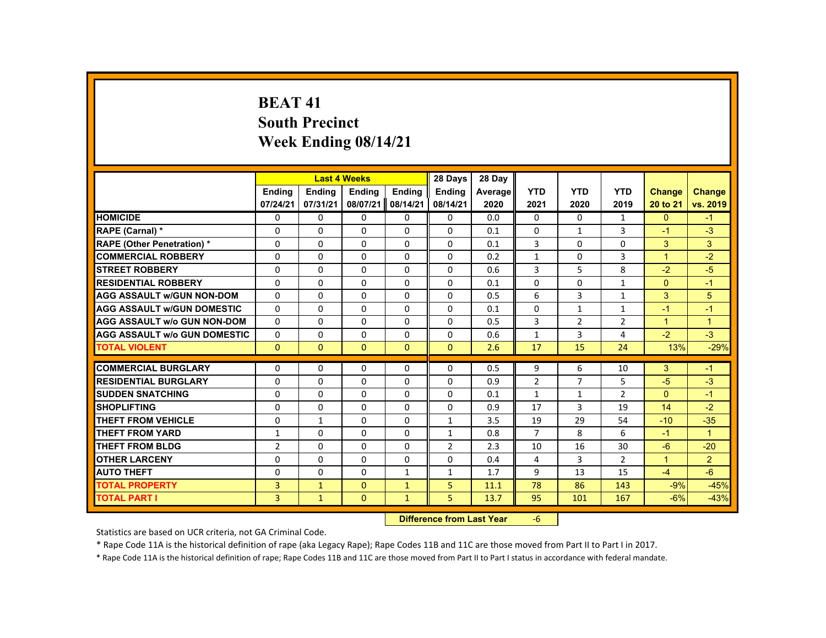# **BEAT 41South Precinct Week Ending 08/14/21**

|                                     |                |               | <b>Last 4 Weeks</b> |                | 28 Days        | 28 Day  |                |                   |                |                      |                |
|-------------------------------------|----------------|---------------|---------------------|----------------|----------------|---------|----------------|-------------------|----------------|----------------------|----------------|
|                                     | <b>Ending</b>  | <b>Ending</b> | <b>Ending</b>       | Ending         | <b>Endina</b>  | Average | <b>YTD</b>     | <b>YTD</b>        | <b>YTD</b>     | <b>Change</b>        | <b>Change</b>  |
|                                     | 07/24/21       | 07/31/21      | 08/07/21            | 08/14/21       | 08/14/21       | 2020    | 2021           | 2020              | 2019           | 20 to 21             | vs. 2019       |
| <b>HOMICIDE</b>                     | $\Omega$       | $\Omega$      | $\Omega$            | $\Omega$       | 0              | 0.0     | $\Omega$       | $\Omega$          | $\mathbf{1}$   | $\Omega$             | $-1$           |
| RAPE (Carnal) *                     | $\Omega$       | $\Omega$      | $\Omega$            | $\Omega$       | 0              | 0.1     | $\Omega$       | $\mathbf{1}$      | 3              | $-1$                 | $-3$           |
| <b>RAPE (Other Penetration) *</b>   | $\Omega$       | $\Omega$      | $\Omega$            | $\Omega$       | $\Omega$       | 0.1     | 3              | $\Omega$          | $\Omega$       | 3                    | 3              |
| <b>COMMERCIAL ROBBERY</b>           | $\Omega$       | $\Omega$      | $\Omega$            | $\Omega$       | $\Omega$       | 0.2     | $\mathbf{1}$   | $\Omega$          | 3              | $\overline{1}$       | $-2$           |
| <b>STREET ROBBERY</b>               | $\Omega$       | $\Omega$      | $\Omega$            | $\Omega$       | $\Omega$       | 0.6     | $\overline{3}$ | 5                 | 8              | $-2$                 | $-5$           |
| <b>RESIDENTIAL ROBBERY</b>          | $\Omega$       | $\Omega$      | $\Omega$            | $\Omega$       | 0              | 0.1     | $\Omega$       | 0                 | $\mathbf{1}$   | $\Omega$             | $-1$           |
| <b>AGG ASSAULT W/GUN NON-DOM</b>    | $\Omega$       | $\Omega$      | $\Omega$            | $\Omega$       | $\Omega$       | 0.5     | 6              | $\overline{3}$    | $\mathbf{1}$   | 3                    | 5              |
| <b>AGG ASSAULT W/GUN DOMESTIC</b>   | $\Omega$       | $\Omega$      | $\Omega$            | $\Omega$       | $\Omega$       | 0.1     | $\Omega$       | $\mathbf{1}$      | $\mathbf{1}$   | $-1$                 | $-1$           |
| <b>AGG ASSAULT w/o GUN NON-DOM</b>  | $\mathbf{0}$   | $\Omega$      | $\Omega$            | $\Omega$       | $\Omega$       | 0.5     | 3              | $\overline{2}$    | $\overline{2}$ | $\mathbf{1}$         | $\mathbf{1}$   |
| <b>AGG ASSAULT w/o GUN DOMESTIC</b> | $\Omega$       | $\Omega$      | $\Omega$            | $\Omega$       | $\Omega$       | 0.6     | $\mathbf{1}$   | $\overline{3}$    | 4              | $-2$                 | $-3$           |
| <b>TOTAL VIOLENT</b>                | $\mathbf{0}$   | $\mathbf{0}$  | $\mathbf{0}$        | $\mathbf{0}$   | $\mathbf{0}$   | 2.6     | 17             | 15                | 24             | 13%                  | $-29%$         |
| <b>COMMERCIAL BURGLARY</b>          | $\Omega$       | $\Omega$      | $\Omega$            | $\Omega$       | 0              | 0.5     | 9              | 6                 | 10             | 3                    | $-1$           |
| <b>RESIDENTIAL BURGLARY</b>         | $\Omega$       | $\Omega$      | $\Omega$            | $\Omega$       | $\Omega$       |         | $\overline{2}$ | $\overline{7}$    | 5              | $-5$                 | $-3$           |
| <b>SUDDEN SNATCHING</b>             |                |               |                     |                |                | 0.9     |                |                   |                |                      |                |
|                                     | 0              | $\Omega$      | $\Omega$            | 0              | 0              | 0.1     | $\mathbf{1}$   | 1<br>$\mathbf{3}$ | $\overline{2}$ | $\mathbf{0}$         | -1             |
| <b>SHOPLIFTING</b>                  | $\Omega$       | $\Omega$      | $\Omega$            | $\Omega$       | $\Omega$       | 0.9     | 17             |                   | 19             | 14                   | $-2$           |
| <b>THEFT FROM VEHICLE</b>           | $\Omega$       | $\mathbf{1}$  | $\Omega$            | $\Omega$       | $\mathbf{1}$   | 3.5     | 19             | 29                | 54             | $-10$                | $-35$          |
| <b>THEFT FROM YARD</b>              | $\mathbf{1}$   | $\Omega$      | $\Omega$            | $\Omega$       | $\mathbf{1}$   | 0.8     | $\overline{7}$ | 8                 | 6              | $-1$                 | $\mathbf{1}$   |
| <b>THEFT FROM BLDG</b>              | $\overline{2}$ | $\Omega$      | $\Omega$            | $\Omega$       | $\overline{2}$ | 2.3     | 10             | 16                | 30             | $-6$                 | $-20$          |
| <b>OTHER LARCENY</b>                | $\mathbf{0}$   | $\Omega$      | $\Omega$            | 0              | 0              | 0.4     | 4              | 3                 | $\overline{2}$ | $\blacktriangleleft$ | 2 <sup>1</sup> |
| <b>AUTO THEFT</b>                   | $\Omega$       | $\Omega$      | $\Omega$            | $\mathbf{1}$   | $\mathbf{1}$   | 1.7     | 9              | 13                | 15             | $-4$                 | $-6$           |
| <b>TOTAL PROPERTY</b>               | 3              | $\mathbf{1}$  | $\Omega$            | $\mathbf{1}$   | 5              | 11.1    | 78             | 86                | 143            | $-9%$                | $-45%$         |
| <b>TOTAL PART I</b>                 | $\overline{3}$ | $\mathbf{1}$  | $\mathbf{0}$        | $\mathbf{1}$   | 5              | 13.7    | 95             | 101               | 167            | $-6%$                | $-43%$         |
|                                     |                |               |                     | <b>Section</b> |                |         |                |                   |                |                      |                |

 **Difference from Last Year**‐6

Statistics are based on UCR criteria, not GA Criminal Code.

\* Rape Code 11A is the historical definition of rape (aka Legacy Rape); Rape Codes 11B and 11C are those moved from Part II to Part I in 2017.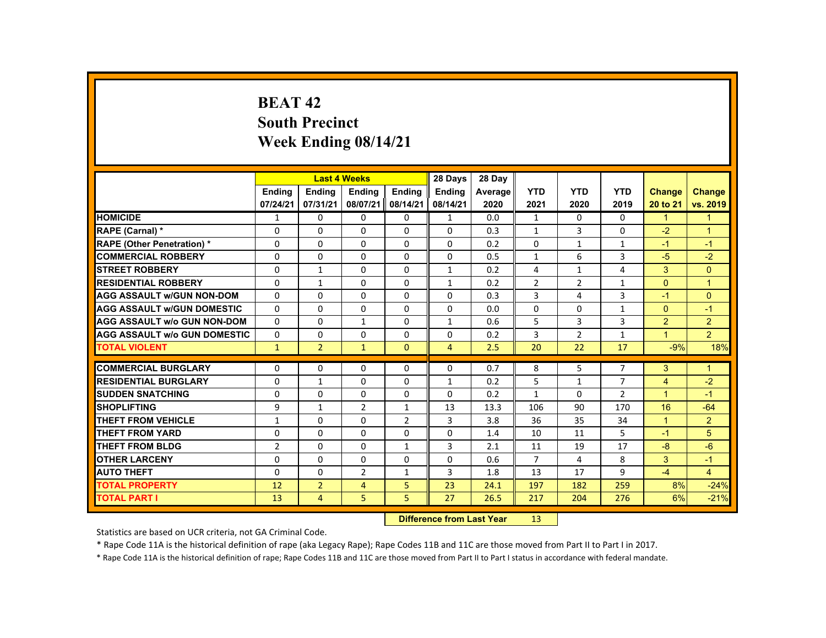# **BEAT 42South Precinct Week Ending 08/14/21**

|                                     |                |                | <b>Last 4 Weeks</b> |                | 28 Days                           | 28 Day  |                  |                |                |                      |                |
|-------------------------------------|----------------|----------------|---------------------|----------------|-----------------------------------|---------|------------------|----------------|----------------|----------------------|----------------|
|                                     | <b>Ending</b>  | <b>Ending</b>  | <b>Endina</b>       | <b>Endina</b>  | <b>Endina</b>                     | Average | <b>YTD</b>       | <b>YTD</b>     | <b>YTD</b>     | Change               | <b>Change</b>  |
|                                     | 07/24/21       | 07/31/21       | 08/07/21            | 08/14/21       | 08/14/21                          | 2020    | 2021             | 2020           | 2019           | 20 to 21             | vs. 2019       |
| <b>HOMICIDE</b>                     | $\mathbf{1}$   | $\mathbf{0}$   | 0                   | 0              | 1                                 | 0.0     | $\mathbf{1}$     | 0              | $\mathbf{0}$   | $\mathbf{1}$         | 1              |
| <b>RAPE (Carnal) *</b>              | $\Omega$       | $\Omega$       | $\Omega$            | $\Omega$       | $\Omega$                          | 0.3     | $\mathbf{1}$     | 3              | $\Omega$       | $-2$                 | $\overline{1}$ |
| <b>RAPE (Other Penetration) *</b>   | 0              | $\Omega$       | $\Omega$            | 0              | 0                                 | 0.2     | $\mathbf 0$      | $\mathbf{1}$   | $\mathbf{1}$   | $-1$                 | $-1$           |
| <b>COMMERCIAL ROBBERY</b>           | $\Omega$       | $\Omega$       | $\Omega$            | $\Omega$       | $\Omega$                          | 0.5     | $\mathbf{1}$     | 6              | $\overline{3}$ | $-5$                 | $-2$           |
| <b>STREET ROBBERY</b>               | $\Omega$       | $\mathbf{1}$   | $\Omega$            | $\Omega$       | $\mathbf{1}$                      | 0.2     | 4                | $\mathbf{1}$   | 4              | 3                    | $\Omega$       |
| <b>RESIDENTIAL ROBBERY</b>          | $\mathbf{0}$   | $\mathbf{1}$   | 0                   | $\Omega$       | 1                                 | 0.2     | $\overline{2}$   | $\overline{2}$ | $\mathbf{1}$   | $\Omega$             | $\mathbf{1}$   |
| <b>AGG ASSAULT W/GUN NON-DOM</b>    | $\Omega$       | $\Omega$       | $\Omega$            | $\Omega$       | $\Omega$                          | 0.3     | 3                | 4              | 3              | $-1$                 | $\Omega$       |
| <b>AGG ASSAULT W/GUN DOMESTIC</b>   | $\Omega$       | $\Omega$       | $\Omega$            | $\Omega$       | $\Omega$                          | 0.0     | $\Omega$         | $\Omega$       | $\mathbf{1}$   | $\Omega$             | $-1$           |
| <b>AGG ASSAULT w/o GUN NON-DOM</b>  | $\Omega$       | $\Omega$       | $\mathbf{1}$        | $\Omega$       | $\mathbf{1}$                      | 0.6     | 5                | 3              | $\overline{3}$ | $\overline{2}$       | $\overline{2}$ |
| <b>AGG ASSAULT W/o GUN DOMESTIC</b> | 0              | $\mathbf{0}$   | 0                   | 0              | 0                                 | 0.2     | 3                | 2              | $\mathbf{1}$   | $\blacktriangleleft$ | $\overline{2}$ |
| <b>TOTAL VIOLENT</b>                | $\mathbf{1}$   | $\overline{2}$ | $\mathbf{1}$        | $\mathbf{0}$   | $\overline{4}$                    | 2.5     | 20               | 22             | 17             | $-9%$                | 18%            |
| <b>COMMERCIAL BURGLARY</b>          | $\Omega$       | $\Omega$       | $\Omega$            | $\Omega$       | $\Omega$                          | 0.7     | 8                | 5              | $\overline{7}$ | 3                    | $\mathbf{1}$   |
| <b>RESIDENTIAL BURGLARY</b>         | 0              | $\mathbf{1}$   | $\Omega$            | $\Omega$       | $\mathbf{1}$                      | 0.2     | 5                | $\mathbf{1}$   | $\overline{7}$ | 4                    | $-2$           |
| <b>SUDDEN SNATCHING</b>             | $\Omega$       | $\Omega$       | $\Omega$            | $\Omega$       | $\Omega$                          | 0.2     | $\mathbf{1}$     | 0              | $\overline{2}$ | $\mathbf{1}$         | $-1$           |
| <b>SHOPLIFTING</b>                  | 9              | $\mathbf{1}$   | $\overline{2}$      | $\mathbf{1}$   | 13                                | 13.3    | 106              | 90             | 170            | 16                   | $-64$          |
| <b>THEFT FROM VEHICLE</b>           | $\mathbf{1}$   | $\Omega$       | $\Omega$            | $\overline{2}$ | 3                                 | 3.8     | 36               | 35             | 34             | $\mathbf{1}$         | $\overline{2}$ |
| <b>THEFT FROM YARD</b>              | $\Omega$       | $\Omega$       | $\Omega$            | $\Omega$       | $\Omega$                          | 1.4     | 10               | 11             | 5              | $-1$                 | 5              |
| THEFT FROM BLDG                     | $\overline{2}$ | $\Omega$       | $\Omega$            | $\mathbf{1}$   | $\overline{3}$                    | 2.1     | 11               | 19             | 17             | $-8$                 | $-6$           |
| <b>OTHER LARCENY</b>                | $\Omega$       | $\Omega$       | $\Omega$            | $\Omega$       | $\Omega$                          | 0.6     | $\overline{7}$   | 4              | 8              | 3                    | $-1$           |
| <b>AUTO THEFT</b>                   | $\Omega$       | $\Omega$       | $\overline{2}$      | $\mathbf{1}$   | 3                                 | 1.8     | 13               | 17             | 9              | $-4$                 | $\overline{4}$ |
| <b>TOTAL PROPERTY</b>               | 12             | $\overline{2}$ | $\overline{4}$      | 5              | 23                                | 24.1    | 197              | 182            | 259            | 8%                   | $-24%$         |
| <b>TOTAL PART I</b>                 | 13             | 4              | 5                   | 5              | 27                                | 26.5    | 217              | 204            | 276            | 6%                   | $-21%$         |
|                                     |                |                |                     |                | <b>Difference from Least Vacc</b> |         | 4.2 <sub>1</sub> |                |                |                      |                |

 **Difference from Last Year**r 13

Statistics are based on UCR criteria, not GA Criminal Code.

\* Rape Code 11A is the historical definition of rape (aka Legacy Rape); Rape Codes 11B and 11C are those moved from Part II to Part I in 2017.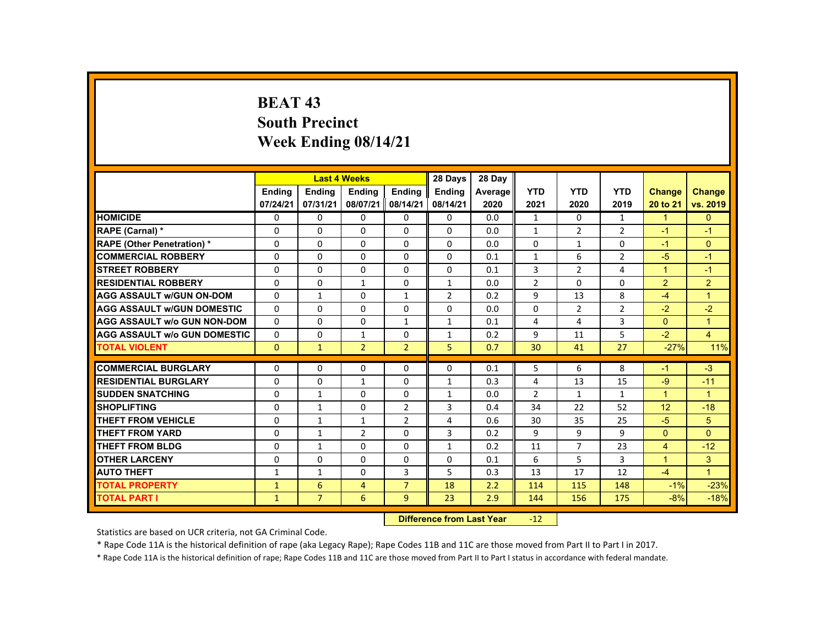# **BEAT 43 South Precinct Week Ending 08/14/21**

|                                     |               |                | <b>Last 4 Weeks</b> |                | 28 Days        | 28 Day                    |                 |                |                |                      |                      |
|-------------------------------------|---------------|----------------|---------------------|----------------|----------------|---------------------------|-----------------|----------------|----------------|----------------------|----------------------|
|                                     | <b>Ending</b> | <b>Ending</b>  | <b>Ending</b>       | <b>Ending</b>  | Ending         | Average                   | <b>YTD</b>      | <b>YTD</b>     | <b>YTD</b>     | <b>Change</b>        | <b>Change</b>        |
|                                     | 07/24/21      | 07/31/21       | 08/07/21            | 08/14/21       | 08/14/21       | 2020                      | 2021            | 2020           | 2019           | 20 to 21             | vs. 2019             |
| <b>HOMICIDE</b>                     | $\Omega$      | $\Omega$       | $\Omega$            | $\Omega$       | 0              | 0.0                       | $\mathbf{1}$    | $\Omega$       | $\mathbf{1}$   | ◆                    | $\Omega$             |
| RAPE (Carnal) *                     | 0             | $\Omega$       | $\Omega$            | $\Omega$       | $\Omega$       | 0.0                       | $\mathbf{1}$    | $\overline{2}$ | $\overline{2}$ | $-1$                 | $-1$                 |
| <b>RAPE (Other Penetration) *</b>   | $\Omega$      | $\Omega$       | $\Omega$            | $\Omega$       | $\Omega$       | 0.0                       | $\Omega$        | 1              | $\Omega$       | $-1$                 | $\Omega$             |
| <b>COMMERCIAL ROBBERY</b>           | $\Omega$      | $\Omega$       | $\Omega$            | $\Omega$       | $\Omega$       | 0.1                       | $\mathbf{1}$    | 6              | $\overline{2}$ | $-5$                 | $-1$                 |
| <b>STREET ROBBERY</b>               | $\Omega$      | $\Omega$       | $\Omega$            | $\Omega$       | $\Omega$       | 0.1                       | 3               | $\overline{2}$ | 4              | $\blacktriangleleft$ | $-1$                 |
| <b>RESIDENTIAL ROBBERY</b>          | $\Omega$      | $\mathbf 0$    | $\mathbf{1}$        | $\Omega$       | $\mathbf{1}$   | 0.0                       | $\overline{2}$  | 0              | 0              | $\overline{2}$       | $\overline{2}$       |
| <b>AGG ASSAULT W/GUN ON-DOM</b>     | $\Omega$      | $\mathbf{1}$   | $\Omega$            | $\mathbf{1}$   | $\overline{2}$ | 0.2                       | 9               | 13             | 8              | $-4$                 | $\blacktriangleleft$ |
| <b>AGG ASSAULT W/GUN DOMESTIC</b>   | $\Omega$      | $\Omega$       | $\Omega$            | $\Omega$       | $\Omega$       | 0.0                       | $\Omega$        | 2              | $\overline{2}$ | $-2$                 | $-2$                 |
| <b>AGG ASSAULT w/o GUN NON-DOM</b>  | $\Omega$      | $\Omega$       | $\Omega$            | $\mathbf{1}$   | $\mathbf{1}$   | 0.1                       | 4               | 4              | $\overline{3}$ | $\Omega$             | $\mathbf{1}$         |
| <b>AGG ASSAULT W/o GUN DOMESTIC</b> | $\Omega$      | $\Omega$       | $\mathbf{1}$        | $\Omega$       | $\mathbf{1}$   | 0.2                       | 9               | 11             | 5              | $-2$                 | $\overline{4}$       |
| <b>TOTAL VIOLENT</b>                | $\Omega$      | $\mathbf{1}$   | $\overline{2}$      | $\overline{2}$ | 5              | 0.7                       | 30              | 41             | 27             | $-27%$               | 11%                  |
| <b>COMMERCIAL BURGLARY</b>          | $\Omega$      | $\Omega$       | $\Omega$            | $\Omega$       | $\Omega$       | 0.1                       | 5               | 6              | 8              | $-1$                 | $-3$                 |
|                                     |               |                |                     |                |                |                           |                 |                |                |                      |                      |
| <b>RESIDENTIAL BURGLARY</b>         | $\Omega$      | $\Omega$       | $\mathbf{1}$        | $\Omega$       | $\mathbf{1}$   | 0.3                       | 4               | 13             | 15             | $-9$                 | $-11$                |
| <b>SUDDEN SNATCHING</b>             | $\Omega$      | $\mathbf{1}$   | $\Omega$            | $\Omega$       | 1              | 0.0                       | $\overline{2}$  | $\mathbf{1}$   | $\mathbf{1}$   | $\mathbf{1}$         | $\blacktriangleleft$ |
| <b>SHOPLIFTING</b>                  | $\Omega$      | $\mathbf{1}$   | $\Omega$            | $\overline{2}$ | 3              | 0.4                       | 34              | 22             | 52             | 12                   | $-18$                |
| <b>THEFT FROM VEHICLE</b>           | $\Omega$      | $\mathbf{1}$   | $\mathbf{1}$        | $\overline{2}$ | 4              | 0.6                       | 30              | 35             | 25             | $-5$                 | 5                    |
| <b>THEFT FROM YARD</b>              | $\mathbf{0}$  | $\mathbf{1}$   | $\overline{2}$      | $\Omega$       | 3              | 0.2                       | 9               | 9              | 9              | $\Omega$             | $\Omega$             |
| <b>THEFT FROM BLDG</b>              | $\mathbf 0$   | $\mathbf{1}$   | $\Omega$            | $\Omega$       | $\mathbf{1}$   | 0.2                       | 11              | $\overline{7}$ | 23             | $\overline{4}$       | $-12$                |
| <b>OTHER LARCENY</b>                | $\mathbf{0}$  | $\Omega$       | $\Omega$            | $\Omega$       | $\Omega$       | 0.1                       | 6               | 5              | 3              | $\blacktriangleleft$ | 3 <sup>1</sup>       |
| <b>AUTO THEFT</b>                   | $\mathbf{1}$  | $\mathbf{1}$   | $\Omega$            | $\overline{3}$ | 5              | 0.3                       | 13              | 17             | 12             | $-4$                 | $\overline{1}$       |
| <b>TOTAL PROPERTY</b>               | $\mathbf{1}$  | 6              | $\overline{4}$      | $\overline{7}$ | 18             | 2.2                       | 114             | 115            | 148            | $-1%$                | $-23%$               |
| <b>TOTAL PART I</b>                 | $\mathbf{1}$  | $\overline{7}$ | 6                   | 9              | 23             | 2.9                       | 144             | 156            | 175            | $-8%$                | $-18%$               |
|                                     |               |                |                     |                |                | Difference from Loot Voor | 12 <sub>1</sub> |                |                |                      |                      |

 **Difference from Last Year**‐12

Statistics are based on UCR criteria, not GA Criminal Code.

\* Rape Code 11A is the historical definition of rape (aka Legacy Rape); Rape Codes 11B and 11C are those moved from Part II to Part I in 2017.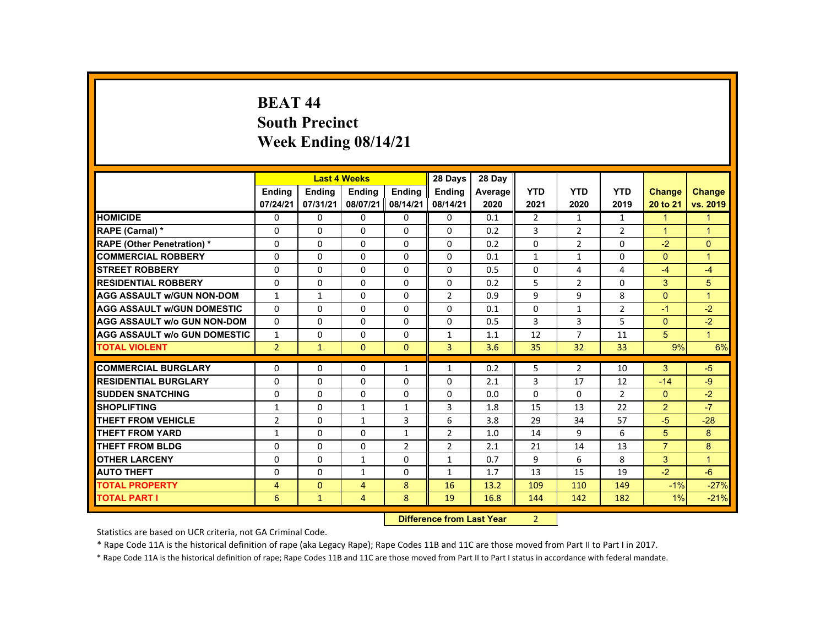## **BEAT 44 South Precinct Week Ending 08/14/21**

|                                     |                |               | <b>Last 4 Weeks</b> |                | 28 Days                   | 28 Day  |                |                |                |                      |                      |
|-------------------------------------|----------------|---------------|---------------------|----------------|---------------------------|---------|----------------|----------------|----------------|----------------------|----------------------|
|                                     | <b>Ending</b>  | <b>Ending</b> | <b>Ending</b>       | <b>Ending</b>  | Ending                    | Average | <b>YTD</b>     | <b>YTD</b>     | <b>YTD</b>     | <b>Change</b>        | <b>Change</b>        |
|                                     | 07/24/21       | 07/31/21      | 08/07/21            | 08/14/21       | 08/14/21                  | 2020    | 2021           | 2020           | 2019           | 20 to 21             | vs. 2019             |
| <b>HOMICIDE</b>                     | $\Omega$       | $\Omega$      | $\Omega$            | $\Omega$       | 0                         | 0.1     | $\overline{2}$ | $\mathbf{1}$   | $\mathbf{1}$   | $\mathbf{1}$         | $\mathbf{1}$         |
| RAPE (Carnal) *                     | 0              | $\Omega$      | $\Omega$            | $\Omega$       | $\Omega$                  | 0.2     | 3              | $\overline{2}$ | $\overline{2}$ | $\blacktriangleleft$ | $\blacktriangleleft$ |
| <b>RAPE (Other Penetration) *</b>   | $\Omega$       | $\Omega$      | $\Omega$            | $\Omega$       | $\Omega$                  | 0.2     | $\Omega$       | $\overline{2}$ | $\Omega$       | $-2$                 | $\Omega$             |
| <b>COMMERCIAL ROBBERY</b>           | $\Omega$       | $\Omega$      | $\Omega$            | $\Omega$       | $\Omega$                  | 0.1     | $\mathbf{1}$   | $\mathbf{1}$   | 0              | $\Omega$             | $\overline{1}$       |
| <b>STREET ROBBERY</b>               | $\Omega$       | $\Omega$      | $\Omega$            | $\Omega$       | $\Omega$                  | 0.5     | $\Omega$       | 4              | 4              | $-4$                 | $-4$                 |
| <b>RESIDENTIAL ROBBERY</b>          | $\mathbf{0}$   | $\Omega$      | $\Omega$            | $\Omega$       | $\Omega$                  | 0.2     | 5              | $\overline{2}$ | 0              | 3                    | 5 <sup>5</sup>       |
| <b>AGG ASSAULT W/GUN NON-DOM</b>    | $\mathbf{1}$   | $\mathbf{1}$  | $\Omega$            | $\Omega$       | $\overline{2}$            | 0.9     | 9              | 9              | 8              | $\Omega$             | $\blacktriangleleft$ |
| <b>AGG ASSAULT W/GUN DOMESTIC</b>   | $\Omega$       | $\Omega$      | $\Omega$            | $\Omega$       | $\Omega$                  | 0.1     | $\Omega$       | $\mathbf{1}$   | $\overline{2}$ | $-1$                 | $-2$                 |
| <b>AGG ASSAULT w/o GUN NON-DOM</b>  | $\Omega$       | $\Omega$      | $\Omega$            | $\Omega$       | $\Omega$                  | 0.5     | 3              | $\overline{3}$ | 5              | $\Omega$             | $-2$                 |
| <b>AGG ASSAULT W/o GUN DOMESTIC</b> | $\mathbf{1}$   | $\Omega$      | $\Omega$            | $\Omega$       | $\mathbf{1}$              | 1.1     | 12             | $\overline{7}$ | 11             | 5                    | $\mathbf{1}$         |
| <b>TOTAL VIOLENT</b>                | $\overline{2}$ | $\mathbf{1}$  | $\Omega$            | $\mathbf{0}$   | 3                         | 3.6     | 35             | 32             | 33             | 9%                   | 6%                   |
| <b>COMMERCIAL BURGLARY</b>          | $\Omega$       | $\Omega$      | $\Omega$            | $\mathbf{1}$   | $\mathbf{1}$              | 0.2     | 5              | $\overline{2}$ | 10             | 3                    | $-5$                 |
| <b>RESIDENTIAL BURGLARY</b>         | $\Omega$       | $\Omega$      | $\Omega$            | $\Omega$       | $\Omega$                  | 2.1     | 3              | 17             | 12             | $-14$                | $-9$                 |
| <b>SUDDEN SNATCHING</b>             | $\Omega$       | $\Omega$      | $\Omega$            | $\Omega$       | $\Omega$                  | 0.0     | $\Omega$       | $\Omega$       | $\overline{2}$ | $\mathbf{0}$         | $-2$                 |
| <b>SHOPLIFTING</b>                  | $\mathbf{1}$   | $\Omega$      | $\mathbf{1}$        | $\mathbf{1}$   | 3                         | 1.8     | 15             | 13             | 22             | 2                    | $-7$                 |
| <b>THEFT FROM VEHICLE</b>           | $\overline{2}$ | $\Omega$      | $\mathbf{1}$        | $\overline{3}$ | 6                         | 3.8     | 29             | 34             | 57             | $-5$                 | $-28$                |
| <b>THEFT FROM YARD</b>              | $\mathbf{1}$   | $\Omega$      | $\Omega$            | $\mathbf{1}$   | $\overline{2}$            | 1.0     | 14             | 9              | 6              | 5                    | 8                    |
| <b>THEFT FROM BLDG</b>              | $\mathbf 0$    | $\Omega$      | $\Omega$            | $\overline{2}$ | $\overline{2}$            | 2.1     | 21             | 14             | 13             | $\overline{7}$       | 8                    |
| <b>OTHER LARCENY</b>                | $\Omega$       | $\Omega$      | $\mathbf{1}$        | $\Omega$       | $\mathbf{1}$              | 0.7     | 9              | 6              | 8              | 3                    | $\blacktriangleleft$ |
| <b>AUTO THEFT</b>                   | $\Omega$       | $\Omega$      | $\mathbf{1}$        | $\Omega$       | $\mathbf{1}$              | 1.7     | 13             | 15             | 19             | $-2$                 | $-6$                 |
| <b>TOTAL PROPERTY</b>               | $\overline{4}$ | $\Omega$      | $\overline{4}$      | 8              | 16                        | 13.2    | 109            | 110            | 149            | $-1%$                | $-27%$               |
| <b>TOTAL PART I</b>                 | 6              | $\mathbf{1}$  | 4                   | 8              | 19                        | 16.8    | 144            | 142            | 182            | 1%                   | $-21%$               |
|                                     |                |               |                     |                | Difference from Loot Voor |         | $\mathcal{L}$  |                |                |                      |                      |

 **Difference from Last Year** 2

Statistics are based on UCR criteria, not GA Criminal Code.

\* Rape Code 11A is the historical definition of rape (aka Legacy Rape); Rape Codes 11B and 11C are those moved from Part II to Part I in 2017.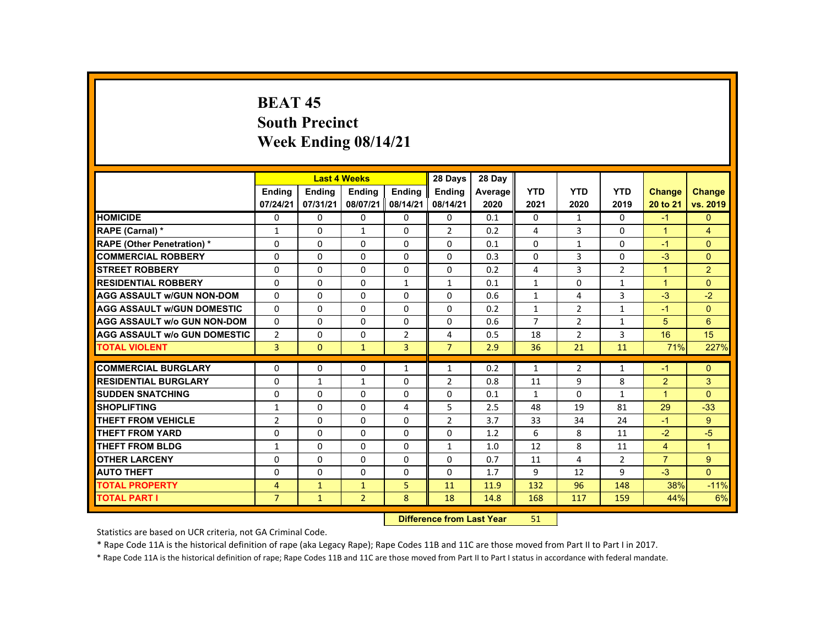# **BEAT 45 South Precinct Week Ending 08/14/21**

|                                     |                |               | <b>Last 4 Weeks</b> |                | 28 Days                   | 28 Day  |                |                |                |                      |                |
|-------------------------------------|----------------|---------------|---------------------|----------------|---------------------------|---------|----------------|----------------|----------------|----------------------|----------------|
|                                     | <b>Ending</b>  | <b>Ending</b> | <b>Ending</b>       | <b>Ending</b>  | Ending                    | Average | <b>YTD</b>     | <b>YTD</b>     | <b>YTD</b>     | <b>Change</b>        | <b>Change</b>  |
|                                     | 07/24/21       | 07/31/21      | 08/07/21            | 08/14/21       | 08/14/21                  | 2020    | 2021           | 2020           | 2019           | 20 to 21             | vs. 2019       |
| <b>HOMICIDE</b>                     | $\Omega$       | $\Omega$      | $\mathbf{0}$        | $\Omega$       | 0                         | 0.1     | 0              | 1              | $\Omega$       | $-1$                 | $\mathbf{0}$   |
| RAPE (Carnal) *                     | $\mathbf{1}$   | $\Omega$      | $\mathbf{1}$        | $\Omega$       | $\overline{2}$            | 0.2     | $\overline{4}$ | 3              | $\Omega$       | $\blacktriangleleft$ | $\overline{4}$ |
| <b>RAPE (Other Penetration) *</b>   | $\Omega$       | $\Omega$      | $\Omega$            | $\Omega$       | $\Omega$                  | 0.1     | $\Omega$       | 1              | $\Omega$       | $-1$                 | $\Omega$       |
| <b>COMMERCIAL ROBBERY</b>           | $\Omega$       | $\Omega$      | $\Omega$            | $\Omega$       | $\Omega$                  | 0.3     | 0              | 3              | 0              | $-3$                 | $\overline{0}$ |
| <b>STREET ROBBERY</b>               | $\Omega$       | $\Omega$      | $\Omega$            | $\Omega$       | $\Omega$                  | 0.2     | 4              | $\overline{3}$ | $\overline{2}$ | $\blacktriangleleft$ | $\overline{2}$ |
| <b>RESIDENTIAL ROBBERY</b>          | $\Omega$       | $\Omega$      | $\Omega$            | 1              | $\mathbf{1}$              | 0.1     | $\mathbf{1}$   | 0              | $\mathbf{1}$   | $\blacktriangleleft$ | $\overline{0}$ |
| <b>AGG ASSAULT W/GUN NON-DOM</b>    | $\Omega$       | $\Omega$      | $\Omega$            | $\Omega$       | $\Omega$                  | 0.6     | $\mathbf{1}$   | 4              | $\overline{3}$ | $-3$                 | $-2$           |
| <b>AGG ASSAULT W/GUN DOMESTIC</b>   | $\Omega$       | $\Omega$      | $\Omega$            | $\Omega$       | $\Omega$                  | 0.2     | $\mathbf{1}$   | 2              | $\mathbf{1}$   | $-1$                 | $\Omega$       |
| <b>AGG ASSAULT w/o GUN NON-DOM</b>  | $\Omega$       | $\Omega$      | $\Omega$            | $\Omega$       | $\Omega$                  | 0.6     | $\overline{7}$ | $\overline{2}$ | $\mathbf{1}$   | 5                    | 6              |
| <b>AGG ASSAULT W/o GUN DOMESTIC</b> | $\overline{2}$ | $\Omega$      | $\Omega$            | $\overline{2}$ | 4                         | 0.5     | 18             | $\overline{2}$ | $\overline{3}$ | 16                   | 15             |
| <b>TOTAL VIOLENT</b>                | $\overline{3}$ | $\mathbf{0}$  | $\mathbf{1}$        | $\overline{3}$ | $\overline{7}$            | 2.9     | 36             | 21             | 11             | 71%                  | 227%           |
| <b>COMMERCIAL BURGLARY</b>          | $\Omega$       | $\Omega$      | $\Omega$            | $\mathbf{1}$   | $\mathbf{1}$              | 0.2     | $\mathbf{1}$   | 2              | $\mathbf{1}$   | $-1$                 | $\mathbf{0}$   |
|                                     |                |               |                     |                |                           |         |                |                |                |                      |                |
| <b>RESIDENTIAL BURGLARY</b>         | $\Omega$       | $\mathbf{1}$  | $\mathbf{1}$        | $\Omega$       | 2                         | 0.8     | 11             | 9              | 8              | 2                    | 3              |
| <b>SUDDEN SNATCHING</b>             | $\Omega$       | $\Omega$      | $\Omega$            | $\Omega$       | $\Omega$                  | 0.1     | $\mathbf{1}$   | $\Omega$       | $\mathbf{1}$   | $\blacktriangleleft$ | $\Omega$       |
| <b>SHOPLIFTING</b>                  | $\mathbf{1}$   | $\Omega$      | $\Omega$            | 4              | 5                         | 2.5     | 48             | 19             | 81             | 29                   | $-33$          |
| <b>THEFT FROM VEHICLE</b>           | $\overline{2}$ | $\Omega$      | $\Omega$            | $\Omega$       | $\overline{2}$            | 3.7     | 33             | 34             | 24             | $-1$                 | 9 <sup>°</sup> |
| <b>THEFT FROM YARD</b>              | $\Omega$       | $\Omega$      | $\Omega$            | $\Omega$       | $\Omega$                  | 1.2     | 6              | 8              | 11             | $-2$                 | $-5$           |
| <b>THEFT FROM BLDG</b>              | 1              | $\Omega$      | $\Omega$            | $\Omega$       | $\mathbf{1}$              | 1.0     | 12             | 8              | 11             | $\overline{4}$       | $\mathbf{1}$   |
| <b>OTHER LARCENY</b>                | $\Omega$       | $\Omega$      | $\Omega$            | $\Omega$       | $\Omega$                  | 0.7     | 11             | $\overline{4}$ | $\overline{2}$ | $\overline{7}$       | $9^{\circ}$    |
| <b>AUTO THEFT</b>                   | $\Omega$       | $\Omega$      | $\Omega$            | $\Omega$       | $\Omega$                  | 1.7     | 9              | 12             | 9              | $-3$                 | $\Omega$       |
| <b>TOTAL PROPERTY</b>               | $\overline{4}$ | $\mathbf{1}$  | $\mathbf{1}$        | 5              | 11                        | 11.9    | 132            | 96             | 148            | 38%                  | $-11%$         |
| <b>TOTAL PART I</b>                 | $\overline{7}$ | $\mathbf{1}$  | $\overline{2}$      | 8              | 18                        | 14.8    | 168            | 117            | 159            | 44%                  | 6%             |
|                                     |                |               |                     |                | Difference from Loot Voor |         | E <sub>1</sub> |                |                |                      |                |

 **Difference from Last Year**r 51

Statistics are based on UCR criteria, not GA Criminal Code.

\* Rape Code 11A is the historical definition of rape (aka Legacy Rape); Rape Codes 11B and 11C are those moved from Part II to Part I in 2017.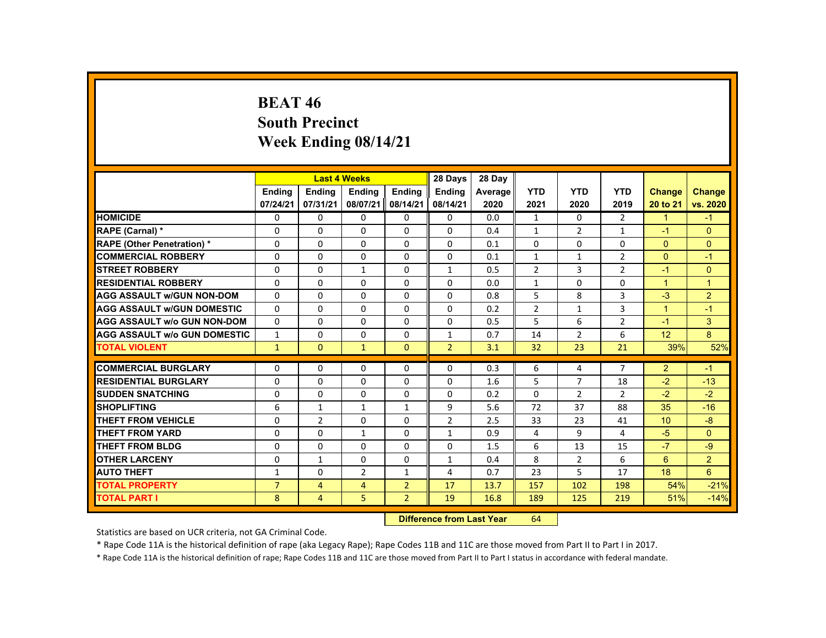# **BEAT 46 South Precinct Week Ending 08/14/21**

|                                     |                |                | <b>Last 4 Weeks</b> |                | 28 Days        | 28 Day  |                |                |                |                |                |
|-------------------------------------|----------------|----------------|---------------------|----------------|----------------|---------|----------------|----------------|----------------|----------------|----------------|
|                                     | <b>Ending</b>  | <b>Ending</b>  | <b>Ending</b>       | <b>Endina</b>  | <b>Endina</b>  | Average | <b>YTD</b>     | <b>YTD</b>     | <b>YTD</b>     | <b>Change</b>  | <b>Change</b>  |
|                                     | 07/24/21       | 07/31/21       | 08/07/21            | 08/14/21       | 08/14/21       | 2020    | 2021           | 2020           | 2019           | 20 to 21       | vs. 2020       |
| <b>HOMICIDE</b>                     | 0              | $\Omega$       | 0                   | $\Omega$       | 0              | 0.0     | $\mathbf{1}$   | 0              | $\overline{2}$ | $\mathbf{1}$   | $-1$           |
| RAPE (Carnal) *                     | 0              | $\mathbf{0}$   | 0                   | $\Omega$       | $\Omega$       | 0.4     | $\mathbf{1}$   | 2              | 1              | $-1$           | $\Omega$       |
| <b>RAPE (Other Penetration) *</b>   | $\Omega$       | $\Omega$       | $\Omega$            | $\Omega$       | $\Omega$       | 0.1     | $\Omega$       | $\Omega$       | $\Omega$       | $\Omega$       | $\Omega$       |
| <b>COMMERCIAL ROBBERY</b>           | $\Omega$       | $\Omega$       | $\Omega$            | $\Omega$       | $\Omega$       | 0.1     | $\mathbf{1}$   | $\mathbf{1}$   | $\overline{2}$ | $\Omega$       | $-1$           |
| <b>STREET ROBBERY</b>               | $\Omega$       | $\Omega$       | $\mathbf{1}$        | $\Omega$       | $\mathbf{1}$   | 0.5     | $\overline{2}$ | 3              | $\overline{2}$ | $-1$           | $\Omega$       |
| <b>RESIDENTIAL ROBBERY</b>          | $\Omega$       | $\mathbf{0}$   | 0                   | 0              | 0              | 0.0     | $\mathbf{1}$   | 0              | 0              | $\mathbf{1}$   | $\mathbf 1$    |
| <b>AGG ASSAULT W/GUN NON-DOM</b>    | $\Omega$       | $\Omega$       | 0                   | 0              | 0              | 0.8     | 5              | 8              | 3              | $-3$           | $\overline{2}$ |
| <b>AGG ASSAULT W/GUN DOMESTIC</b>   | $\Omega$       | $\Omega$       | $\Omega$            | $\Omega$       | $\Omega$       | 0.2     | $\overline{2}$ | $\mathbf{1}$   | $\overline{3}$ | $\mathbf{1}$   | $-1$           |
| <b>AGG ASSAULT W/o GUN NON-DOM</b>  | $\Omega$       | $\Omega$       | $\Omega$            | $\Omega$       | $\Omega$       | 0.5     | 5              | 6              | $\overline{2}$ | $-1$           | 3              |
| <b>AGG ASSAULT W/o GUN DOMESTIC</b> | $\mathbf{1}$   | $\Omega$       | $\Omega$            | $\Omega$       | $\mathbf{1}$   | 0.7     | 14             | $\overline{2}$ | 6              | 12             | 8              |
| <b>TOTAL VIOLENT</b>                | $\mathbf{1}$   | $\mathbf{0}$   | $\mathbf{1}$        | $\mathbf{0}$   | $\overline{2}$ | 3.1     | 32             | 23             | 21             | 39%            | 52%            |
|                                     |                |                |                     |                |                |         |                |                |                |                |                |
| <b>COMMERCIAL BURGLARY</b>          | $\Omega$       | $\Omega$       | $\Omega$            | 0              | 0              | 0.3     | 6              | 4              | $\overline{7}$ | $\overline{2}$ | $-1$           |
| <b>RESIDENTIAL BURGLARY</b>         | $\Omega$       | $\Omega$       | $\Omega$            | $\Omega$       | $\Omega$       | 1.6     | 5              | $\overline{7}$ | 18             | $-2$           | $-13$          |
| <b>SUDDEN SNATCHING</b>             | 0              | $\mathbf{0}$   | 0                   | 0              | 0              | 0.2     | 0              | $\overline{2}$ | $\overline{2}$ | $-2$           | $-2$           |
| <b>SHOPLIFTING</b>                  | 6              | $\mathbf{1}$   | $\mathbf{1}$        | $\mathbf{1}$   | 9              | 5.6     | 72             | 37             | 88             | 35             | $-16$          |
| <b>THEFT FROM VEHICLE</b>           | $\Omega$       | $\overline{2}$ | $\Omega$            | $\Omega$       | $\overline{2}$ | 2.5     | 33             | 23             | 41             | 10             | $-8$           |
| <b>THEFT FROM YARD</b>              | $\Omega$       | $\Omega$       | $\mathbf{1}$        | $\Omega$       | $\mathbf{1}$   | 0.9     | 4              | 9              | 4              | $-5$           | $\Omega$       |
| <b>THEFT FROM BLDG</b>              | $\Omega$       | $\Omega$       | $\Omega$            | $\Omega$       | 0              | 1.5     | 6              | 13             | 15             | $-7$           | $-9$           |
| <b>OTHER LARCENY</b>                | $\Omega$       | $\mathbf{1}$   | $\Omega$            | 0              | $\mathbf{1}$   | 0.4     | 8              | $\overline{2}$ | 6              | 6              | $\overline{2}$ |
| <b>AUTO THEFT</b>                   | $\mathbf{1}$   | $\Omega$       | $\overline{2}$      | $\mathbf{1}$   | 4              | 0.7     | 23             | 5              | 17             | 18             | 6              |
| <b>TOTAL PROPERTY</b>               | $\overline{7}$ | $\overline{4}$ | $\overline{4}$      | $\overline{2}$ | 17             | 13.7    | 157            | 102            | 198            | 54%            | $-21%$         |
| <b>TOTAL PART I</b>                 | 8              | 4              | 5                   | $\overline{2}$ | 19             | 16.8    | 189            | 125            | 219            | 51%            | $-14%$         |
|                                     |                |                |                     |                |                |         |                |                |                |                |                |

 **Difference from Last Year**r 64

Statistics are based on UCR criteria, not GA Criminal Code.

\* Rape Code 11A is the historical definition of rape (aka Legacy Rape); Rape Codes 11B and 11C are those moved from Part II to Part I in 2017.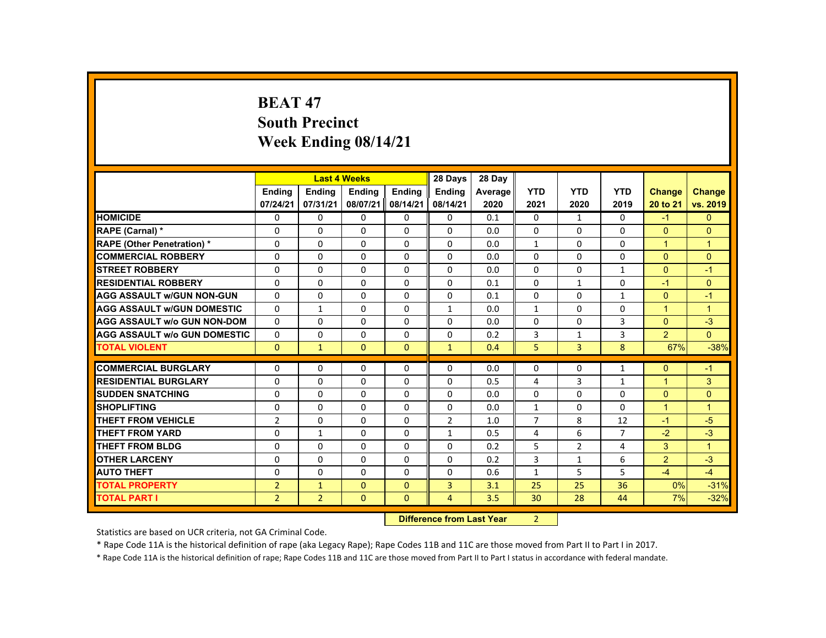# **BEAT 47 South Precinct Week Ending 08/14/21**

|                                     |                |                | <b>Last 4 Weeks</b> |               | 28 Days                           | 28 Day  |                |                |                |                |                |
|-------------------------------------|----------------|----------------|---------------------|---------------|-----------------------------------|---------|----------------|----------------|----------------|----------------|----------------|
|                                     | <b>Endina</b>  | <b>Endina</b>  | <b>Ending</b>       | <b>Endina</b> | <b>Endina</b>                     | Average | <b>YTD</b>     | <b>YTD</b>     | <b>YTD</b>     | Change         | <b>Change</b>  |
|                                     | 07/24/21       | 07/31/21       | 08/07/21            | 08/14/21      | 08/14/21                          | 2020    | 2021           | 2020           | 2019           | 20 to 21       | vs. 2019       |
| <b>HOMICIDE</b>                     | 0              | $\Omega$       | $\Omega$            | $\Omega$      | 0                                 | 0.1     | $\Omega$       | $\mathbf{1}$   | $\Omega$       | $-1$           | $\overline{0}$ |
| <b>RAPE (Carnal) *</b>              | $\Omega$       | $\Omega$       | $\Omega$            | $\Omega$      | 0                                 | 0.0     | 0              | $\Omega$       | $\Omega$       | $\Omega$       | $\mathbf{0}$   |
| <b>RAPE (Other Penetration) *</b>   | $\Omega$       | $\Omega$       | $\Omega$            | $\Omega$      | $\Omega$                          | 0.0     | $\mathbf{1}$   | $\Omega$       | $\Omega$       | $\mathbf{1}$   | $\mathbf{1}$   |
| <b>COMMERCIAL ROBBERY</b>           | $\Omega$       | $\Omega$       | $\Omega$            | $\Omega$      | $\Omega$                          | 0.0     | $\Omega$       | $\Omega$       | $\Omega$       | $\Omega$       | $\mathbf{0}$   |
| <b>STREET ROBBERY</b>               | $\Omega$       | $\Omega$       | $\Omega$            | $\Omega$      | $\Omega$                          | 0.0     | $\Omega$       | $\Omega$       | $\mathbf{1}$   | $\Omega$       | $-1$           |
| <b>RESIDENTIAL ROBBERY</b>          | $\Omega$       | $\mathbf{0}$   | 0                   | 0             | 0                                 | 0.1     | 0              | $\mathbf{1}$   | 0              | $-1$           | $\mathbf{0}$   |
| <b>AGG ASSAULT w/GUN NON-GUN</b>    | $\Omega$       | $\Omega$       | $\Omega$            | $\Omega$      | $\Omega$                          | 0.1     | $\Omega$       | $\Omega$       | $\mathbf{1}$   | $\Omega$       | $-1$           |
| <b>AGG ASSAULT W/GUN DOMESTIC</b>   | $\Omega$       | $\mathbf{1}$   | $\Omega$            | $\Omega$      | $\mathbf{1}$                      | 0.0     | $\mathbf{1}$   | $\Omega$       | $\Omega$       | $\mathbf{1}$   | $\overline{1}$ |
| <b>AGG ASSAULT W/o GUN NON-DOM</b>  | $\Omega$       | $\Omega$       | $\Omega$            | $\Omega$      | $\Omega$                          | 0.0     | $\Omega$       | $\Omega$       | 3              | $\Omega$       | $-3$           |
| <b>AGG ASSAULT W/o GUN DOMESTIC</b> | $\Omega$       | $\Omega$       | $\Omega$            | $\Omega$      | $\Omega$                          | 0.2     | 3              | $\mathbf{1}$   | 3              | $\overline{2}$ | $\Omega$       |
| <b>TOTAL VIOLENT</b>                | $\mathbf{0}$   | $\mathbf{1}$   | $\Omega$            | $\Omega$      | $\mathbf{1}$                      | 0.4     | 5              | $\overline{3}$ | 8              | 67%            | $-38%$         |
| <b>COMMERCIAL BURGLARY</b>          | $\Omega$       | $\Omega$       | $\Omega$            | $\Omega$      | $\Omega$                          | 0.0     | $\Omega$       | $\Omega$       | $\mathbf{1}$   | $\Omega$       | $-1$           |
| <b>RESIDENTIAL BURGLARY</b>         | $\Omega$       | $\Omega$       | $\Omega$            | $\Omega$      | $\Omega$                          | 0.5     | 4              | 3              | $\mathbf{1}$   | $\mathbf{1}$   | 3              |
| <b>SUDDEN SNATCHING</b>             | $\Omega$       | $\Omega$       | $\Omega$            | $\Omega$      | $\Omega$                          | 0.0     | $\Omega$       | $\Omega$       | $\Omega$       | $\Omega$       | $\Omega$       |
| <b>SHOPLIFTING</b>                  | $\Omega$       | $\Omega$       | $\Omega$            | $\Omega$      | $\Omega$                          | 0.0     | $\mathbf{1}$   | $\Omega$       | $\Omega$       | $\mathbf{1}$   | $\overline{1}$ |
| <b>THEFT FROM VEHICLE</b>           | $\overline{2}$ | $\Omega$       | $\Omega$            | $\Omega$      | $\overline{2}$                    | 1.0     | $\overline{7}$ | 8              | 12             | $-1$           | $-5$           |
| <b>THEFT FROM YARD</b>              | $\Omega$       | $\mathbf{1}$   | $\Omega$            | $\Omega$      | $\mathbf{1}$                      | 0.5     | 4              | 6              | $\overline{7}$ | $-2$           | $-3$           |
| <b>THEFT FROM BLDG</b>              | $\Omega$       | $\Omega$       | $\Omega$            | $\Omega$      | $\Omega$                          | 0.2     | 5              | $\overline{2}$ | 4              | 3              | $\overline{1}$ |
| <b>OTHER LARCENY</b>                | $\Omega$       | $\Omega$       | $\Omega$            | $\Omega$      | $\Omega$                          | 0.2     | 3              | $\mathbf{1}$   | 6              | $\overline{2}$ | $-3$           |
| <b>AUTO THEFT</b>                   | $\Omega$       | $\Omega$       | $\Omega$            | $\Omega$      | $\Omega$                          | 0.6     | $\mathbf{1}$   | 5              | 5              | $-4$           | $-4$           |
| <b>TOTAL PROPERTY</b>               | $\overline{2}$ | $\mathbf{1}$   | $\Omega$            | $\Omega$      | $\overline{3}$                    | 3.1     | 25             | 25             | 36             | 0%             | $-31%$         |
| <b>TOTAL PART I</b>                 | $\overline{2}$ | $\overline{2}$ | $\mathbf{0}$        | $\mathbf{0}$  | $\overline{4}$                    | 3.5     | 30             | 28             | 44             | 7%             | $-32%$         |
|                                     |                |                |                     |               | <b>Difference from Least Vanc</b> |         | $\sim$         |                |                |                |                |

 **Difference from Last Year**r 2

Statistics are based on UCR criteria, not GA Criminal Code.

\* Rape Code 11A is the historical definition of rape (aka Legacy Rape); Rape Codes 11B and 11C are those moved from Part II to Part I in 2017.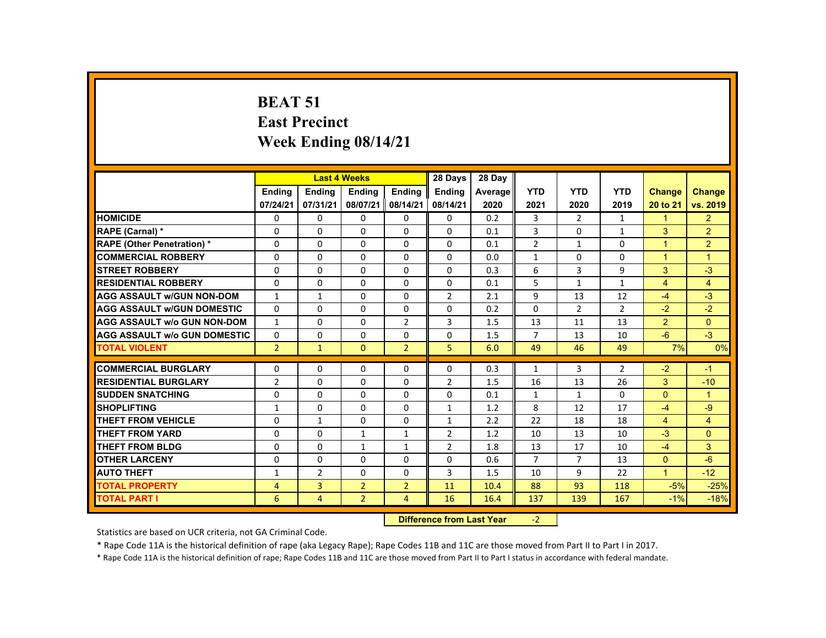# **BEAT 51 East Precinct Week Ending 08/14/21**

|                                     |                | <b>Last 4 Weeks</b> |                                  |                | 28 Days        | 28 Day  |                |                |                |                      |                |
|-------------------------------------|----------------|---------------------|----------------------------------|----------------|----------------|---------|----------------|----------------|----------------|----------------------|----------------|
|                                     | <b>Endina</b>  | Ending              | <b>Ending</b>                    | <b>Endina</b>  | <b>Endina</b>  | Average | <b>YTD</b>     | <b>YTD</b>     | <b>YTD</b>     | <b>Change</b>        | <b>Change</b>  |
|                                     | 07/24/21       | 07/31/21            | 08/07/21                         | 08/14/21       | 08/14/21       | 2020    | 2021           | 2020           | 2019           | 20 to 21             | vs. 2019       |
| <b>HOMICIDE</b>                     | $\Omega$       | $\Omega$            | $\Omega$                         | $\Omega$       | $\Omega$       | 0.2     | 3              | $\overline{2}$ | $\mathbf{1}$   | $\blacktriangleleft$ | 2 <sup>1</sup> |
| RAPE (Carnal) *                     | $\Omega$       | $\Omega$            | $\Omega$                         | $\Omega$       | $\Omega$       | 0.1     | $\overline{3}$ | $\Omega$       | $\mathbf{1}$   | 3                    | $\overline{2}$ |
| <b>RAPE (Other Penetration) *</b>   | $\Omega$       | $\Omega$            | $\Omega$                         | $\Omega$       | $\Omega$       | 0.1     | $\overline{2}$ | $\mathbf{1}$   | $\Omega$       | $\blacktriangleleft$ | $\overline{2}$ |
| <b>COMMERCIAL ROBBERY</b>           | $\Omega$       | $\Omega$            | $\Omega$                         | $\Omega$       | $\Omega$       | 0.0     | $\mathbf{1}$   | $\Omega$       | $\Omega$       | $\overline{1}$       | $\overline{1}$ |
| <b>STREET ROBBERY</b>               | $\Omega$       | $\Omega$            | $\Omega$                         | $\Omega$       | $\Omega$       | 0.3     | 6              | $\overline{3}$ | 9              | 3                    | $-3$           |
| <b>RESIDENTIAL ROBBERY</b>          | $\Omega$       | $\Omega$            | $\Omega$                         | 0              | 0              | 0.1     | 5              | $\mathbf{1}$   | $\mathbf{1}$   | $\overline{4}$       | $\overline{4}$ |
| <b>AGG ASSAULT w/GUN NON-DOM</b>    | $\mathbf{1}$   | $\mathbf{1}$        | $\Omega$                         | $\Omega$       | $\overline{2}$ | 2.1     | 9              | 13             | 12             | $-4$                 | $-3$           |
| <b>AGG ASSAULT w/GUN DOMESTIC</b>   | $\Omega$       | $\Omega$            | $\Omega$                         | $\Omega$       | $\Omega$       | 0.2     | $\Omega$       | 2              | $\overline{2}$ | $-2$                 | $-2$           |
| <b>AGG ASSAULT w/o GUN NON-DOM</b>  | $\mathbf{1}$   | $\Omega$            | $\Omega$                         | $\overline{2}$ | $\overline{3}$ | 1.5     | 13             | 11             | 13             | $\overline{2}$       | $\Omega$       |
| <b>AGG ASSAULT w/o GUN DOMESTIC</b> | $\mathbf{0}$   | 0                   | 0                                | 0              | 0              | 1.5     | $\overline{7}$ | 13             | 10             | $-6$                 | $-3$           |
| <b>TOTAL VIOLENT</b>                | $\overline{2}$ | $\mathbf{1}$        | $\Omega$                         | $\overline{2}$ | 5              | 6.0     | 49             | 46             | 49             | 7%                   | 0%             |
| <b>COMMERCIAL BURGLARY</b>          | 0              | 0                   | 0                                | 0              | 0              | 0.3     | 1              | 3              | $\overline{2}$ | $-2$                 | $-1$           |
| <b>RESIDENTIAL BURGLARY</b>         | $\overline{2}$ | $\Omega$            | $\Omega$                         | $\Omega$       | $\overline{2}$ | 1.5     | 16             | 13             | 26             | 3                    | $-10$          |
| <b>SUDDEN SNATCHING</b>             | 0              | $\Omega$            | $\Omega$                         | 0              | 0              | 0.1     | $\mathbf{1}$   | $\mathbf{1}$   | 0              | $\Omega$             | $\mathbf{1}$   |
| <b>SHOPLIFTING</b>                  | $\mathbf{1}$   | $\Omega$            | $\Omega$                         | $\Omega$       | $\mathbf{1}$   | 1.2     | 8              | 12             | 17             | $-4$                 | $-9$           |
| <b>THEFT FROM VEHICLE</b>           | $\Omega$       | $\mathbf{1}$        | $\Omega$                         | $\Omega$       | $\mathbf{1}$   | 2.2     | 22             | 18             | 18             | $\overline{4}$       | $\overline{4}$ |
| <b>THEFT FROM YARD</b>              | $\Omega$       | $\Omega$            | $\mathbf{1}$                     | $\mathbf{1}$   | $\overline{2}$ | 1.2     | 10             | 13             | 10             | $-3$                 | $\Omega$       |
| <b>THEFT FROM BLDG</b>              | $\Omega$       | $\Omega$            | $\mathbf{1}$                     | $\mathbf{1}$   | $\overline{2}$ | 1.8     | 13             | 17             | 10             | $-4$                 | 3              |
| <b>OTHER LARCENY</b>                | $\Omega$       | $\Omega$            | $\Omega$                         | $\Omega$       | $\Omega$       | 0.6     | $\overline{7}$ | $\overline{7}$ | 13             | $\mathbf{0}$         | $-6$           |
| <b>AUTO THEFT</b>                   | $\mathbf{1}$   | $\overline{2}$      | $\Omega$                         | 0              | 3              | 1.5     | 10             | 9              | 22             | $\blacklozenge$      | $-12$          |
| <b>TOTAL PROPERTY</b>               | 4              | 3                   | $\overline{2}$                   | $\overline{2}$ | 11             | 10.4    | 88             | 93             | 118            | $-5%$                | $-25%$         |
| <b>TOTAL PART I</b>                 | 6              | $\overline{4}$      | $\overline{2}$                   | 4              | 16             | 16.4    | 137            | 139            | 167            | $-1%$                | $-18%$         |
|                                     |                |                     | <b>Difference from Last Year</b> |                | $-2$           |         |                |                |                |                      |                |

Statistics are based on UCR criteria, not GA Criminal Code.

\* Rape Code 11A is the historical definition of rape (aka Legacy Rape); Rape Codes 11B and 11C are those moved from Part II to Part I in 2017.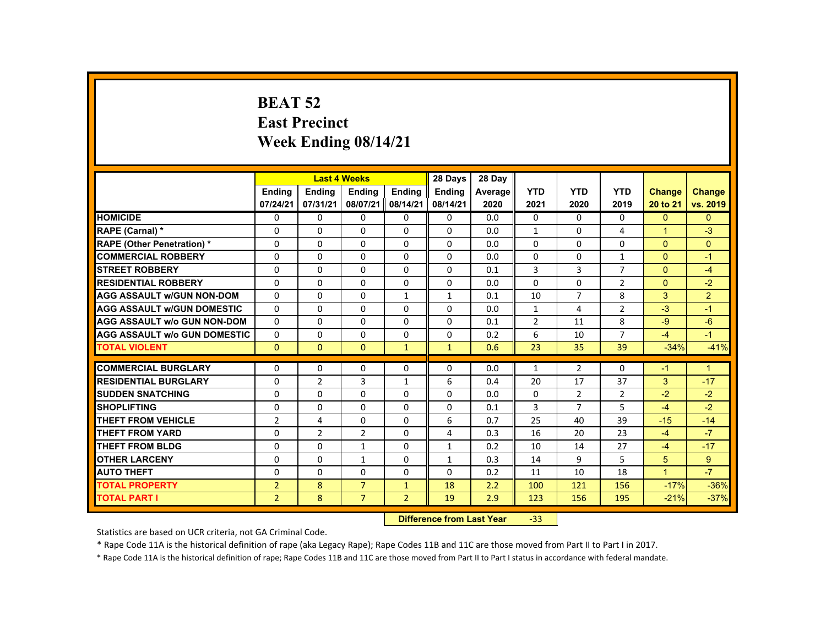# **BEAT 52 East Precinct Week Ending 08/14/21**

|                                     |                  |                         | <b>Last 4 Weeks</b> |                | 28 Days       | 28 Day  |                |                |                |                      |                |
|-------------------------------------|------------------|-------------------------|---------------------|----------------|---------------|---------|----------------|----------------|----------------|----------------------|----------------|
|                                     | <b>Endina</b>    | <b>Endina</b>           | <b>Endina</b>       | <b>Endina</b>  | <b>Endina</b> | Average | <b>YTD</b>     | <b>YTD</b>     | <b>YTD</b>     | <b>Change</b>        | <b>Change</b>  |
|                                     | 07/24/21         | 07/31/21                | 08/07/21            | 08/14/21       | 08/14/21      | 2020    | 2021           | 2020           | 2019           | 20 to 21             | vs. 2019       |
| <b>HOMICIDE</b>                     | $\mathbf{0}$     | 0                       | $\Omega$            | 0              | 0             | 0.0     | 0              | $\Omega$       | $\Omega$       | $\Omega$             | $\Omega$       |
| RAPE (Carnal) *                     | 0                | $\Omega$                | $\Omega$            | $\Omega$       | $\Omega$      | 0.0     | $\mathbf{1}$   | $\Omega$       | 4              | $\blacktriangleleft$ | $-3$           |
| <b>RAPE (Other Penetration) *</b>   | $\Omega$         | $\Omega$                | $\Omega$            | $\Omega$       | $\Omega$      | 0.0     | $\Omega$       | $\Omega$       | $\Omega$       | $\Omega$             | $\Omega$       |
| <b>COMMERCIAL ROBBERY</b>           | $\Omega$         | $\Omega$                | $\Omega$            | $\Omega$       | $\Omega$      | 0.0     | $\Omega$       | $\Omega$       | $\mathbf{1}$   | $\Omega$             | $-1$           |
| <b>STREET ROBBERY</b>               | $\Omega$         | $\Omega$                | $\Omega$            | $\Omega$       | $\Omega$      | 0.1     | 3              | 3              | $\overline{7}$ | $\Omega$             | $-4$           |
| <b>RESIDENTIAL ROBBERY</b>          | 0                | 0                       | $\Omega$            | $\Omega$       | $\Omega$      | 0.0     | $\Omega$       | $\Omega$       | $\overline{2}$ | $\Omega$             | $-2$           |
| <b>AGG ASSAULT w/GUN NON-DOM</b>    | $\Omega$         | $\Omega$                | $\Omega$            | $\mathbf{1}$   | $\mathbf{1}$  | 0.1     | 10             | $\overline{7}$ | 8              | 3                    | $\overline{2}$ |
| <b>AGG ASSAULT W/GUN DOMESTIC</b>   | $\Omega$         | $\Omega$                | $\Omega$            | 0              | $\Omega$      | 0.0     | $\mathbf{1}$   | 4              | $\overline{2}$ | $-3$                 | $-1$           |
| <b>AGG ASSAULT w/o GUN NON-DOM</b>  | $\Omega$         | $\Omega$                | $\Omega$            | $\Omega$       | $\Omega$      | 0.1     | $\overline{2}$ | 11             | 8              | $-9$                 | $-6$           |
| <b>AGG ASSAULT w/o GUN DOMESTIC</b> | $\Omega$         | $\Omega$                | $\Omega$            | $\Omega$       | $\Omega$      | 0.2     | 6              | 10             | $\overline{7}$ | $-4$                 | $-1$           |
| <b>TOTAL VIOLENT</b>                | $\mathbf{0}$     | $\Omega$                | $\Omega$            | $\mathbf{1}$   | $\mathbf{1}$  | 0.6     | 23             | 35             | 39             | $-34%$               | $-41%$         |
|                                     |                  |                         |                     |                | $\Omega$      |         |                |                | $\Omega$       |                      |                |
| <b>COMMERCIAL BURGLARY</b>          | $\Omega$         | $\Omega$                | $\Omega$            | $\Omega$       |               | 0.0     | $\mathbf{1}$   | $\overline{2}$ |                | $-1$                 | $\mathbf{1}$   |
| <b>RESIDENTIAL BURGLARY</b>         | $\Omega$         | $\overline{2}$          | 3                   | $\mathbf{1}$   | 6             | 0.4     | 20             | 17             | 37             | 3                    | $-17$          |
| <b>SUDDEN SNATCHING</b>             | 0                | 0                       | $\Omega$            | 0              | 0             | 0.0     | $\Omega$       | $\overline{2}$ | $\overline{2}$ | $-2$                 | $-2$           |
| <b>SHOPLIFTING</b>                  | $\Omega$         | $\Omega$                | $\Omega$            | $\Omega$       | $\Omega$      | 0.1     | 3              | $\overline{7}$ | 5              | $-4$                 | $-2$           |
| <b>THEFT FROM VEHICLE</b>           | $\overline{2}$   | 4                       | $\Omega$            | $\Omega$       | 6             | 0.7     | 25             | 40             | 39             | $-15$                | $-14$          |
| <b>THEFT FROM YARD</b>              | $\Omega$         | $\overline{2}$          | $\overline{2}$      | $\Omega$       | 4             | 0.3     | 16             | 20             | 23             | $-4$                 | $-7$           |
| <b>THEFT FROM BLDG</b>              | $\Omega$         | 0                       | $\mathbf{1}$        | 0              | $\mathbf{1}$  | 0.2     | 10             | 14             | 27             | $-4$                 | $-17$          |
| <b>OTHER LARCENY</b>                | 0                | 0                       | $\mathbf{1}$        | 0              | $\mathbf{1}$  | 0.3     | 14             | 9              | 5              | 5                    | $9^{\circ}$    |
| <b>AUTO THEFT</b>                   | $\Omega$         | $\Omega$                | $\Omega$            | $\Omega$       | $\Omega$      | 0.2     | 11             | 10             | 18             | $\overline{1}$       | $-7$           |
| <b>TOTAL PROPERTY</b>               | $\overline{2}$   | 8                       | $\overline{7}$      | $\mathbf{1}$   | 18            | 2.2     | 100            | 121            | 156            | $-17%$               | $-36%$         |
| <b>TOTAL PART I</b>                 | $\overline{2}$   | 8                       | $\overline{7}$      | $\overline{2}$ | 19            | 2.9     | 123            | 156            | 195            | $-21%$               | $-37%$         |
|                                     | <b>INSECTION</b> | an a dheann 1 an 140ain |                     | $\sim$         |               |         |                |                |                |                      |                |

 **Difference from Last Year**‐33

Statistics are based on UCR criteria, not GA Criminal Code.

\* Rape Code 11A is the historical definition of rape (aka Legacy Rape); Rape Codes 11B and 11C are those moved from Part II to Part I in 2017.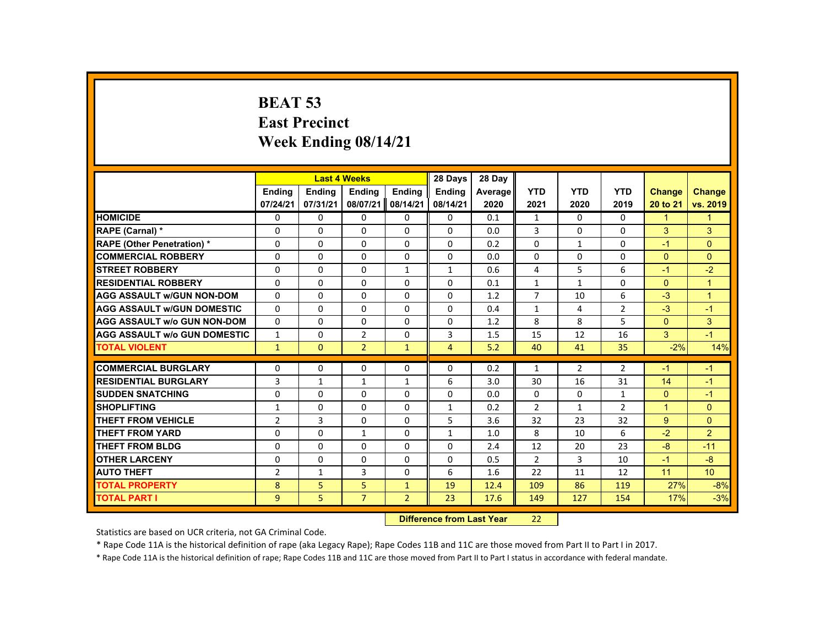# **BEAT 53 East Precinct Week Ending 08/14/21**

|                                     |                |               | <b>Last 4 Weeks</b> |                | 28 Days                   | 28 Day  |                |                |                |                |                      |
|-------------------------------------|----------------|---------------|---------------------|----------------|---------------------------|---------|----------------|----------------|----------------|----------------|----------------------|
|                                     | <b>Ending</b>  | <b>Ending</b> | <b>Ending</b>       | <b>Ending</b>  | <b>Endina</b>             | Average | <b>YTD</b>     | <b>YTD</b>     | <b>YTD</b>     | <b>Change</b>  | <b>Change</b>        |
|                                     | 07/24/21       | 07/31/21      | 08/07/21            | 08/14/21       | 08/14/21                  | 2020    | 2021           | 2020           | 2019           | 20 to 21       | vs. 2019             |
| <b>HOMICIDE</b>                     | $\Omega$       | $\Omega$      | $\Omega$            | $\Omega$       | 0                         | 0.1     | $\mathbf{1}$   | $\Omega$       | $\Omega$       | $\mathbf{1}$   | $\mathbf{1}$         |
| RAPE (Carnal) *                     | $\Omega$       | $\Omega$      | $\Omega$            | $\mathbf{0}$   | $\Omega$                  | 0.0     | 3              | 0              | $\Omega$       | $\mathbf{3}$   | 3                    |
| <b>RAPE (Other Penetration) *</b>   | $\mathbf{0}$   | $\Omega$      | $\Omega$            | $\Omega$       | $\Omega$                  | 0.2     | $\Omega$       | 1              | $\Omega$       | $-1$           | $\Omega$             |
| <b>COMMERCIAL ROBBERY</b>           | $\mathbf{0}$   | $\Omega$      | $\Omega$            | $\Omega$       | 0                         | 0.0     | 0              | $\Omega$       | 0              | $\Omega$       | $\overline{0}$       |
| <b>STREET ROBBERY</b>               | $\Omega$       | $\Omega$      | $\Omega$            | $\mathbf{1}$   | $\mathbf{1}$              | 0.6     | 4              | 5              | 6              | $-1$           | $-2$                 |
| <b>RESIDENTIAL ROBBERY</b>          | 0              | $\mathbf{0}$  | $\mathbf{0}$        | 0              | 0                         | 0.1     | $\mathbf{1}$   | 1              | 0              | $\mathbf{0}$   | $\mathbf{1}$         |
| <b>AGG ASSAULT W/GUN NON-DOM</b>    | $\mathbf{0}$   | $\Omega$      | $\Omega$            | $\Omega$       | $\Omega$                  | 1.2     | $\overline{7}$ | 10             | 6              | $-3$           | $\blacktriangleleft$ |
| <b>AGG ASSAULT W/GUN DOMESTIC</b>   | $\Omega$       | $\Omega$      | $\Omega$            | $\Omega$       | $\Omega$                  | 0.4     | $\mathbf{1}$   | 4              | $\overline{2}$ | $-3$           | $-1$                 |
| <b>AGG ASSAULT w/o GUN NON-DOM</b>  | $\Omega$       | $\Omega$      | $\Omega$            | $\Omega$       | $\Omega$                  | 1.2     | 8              | 8              | 5              | $\overline{0}$ | 3                    |
| <b>AGG ASSAULT W/o GUN DOMESTIC</b> | $\mathbf{1}$   | $\mathbf{0}$  | $\overline{2}$      | $\mathbf{0}$   | 3                         | 1.5     | 15             | 12             | 16             | 3              | $-1$                 |
| <b>TOTAL VIOLENT</b>                | $\mathbf{1}$   | $\mathbf{0}$  | $\overline{2}$      | $\mathbf{1}$   | $\overline{4}$            | 5.2     | 40             | 41             | 35             | $-2%$          | 14%                  |
| <b>COMMERCIAL BURGLARY</b>          | $\mathbf{0}$   | $\Omega$      | $\Omega$            | $\Omega$       | $\Omega$                  | 0.2     | $\mathbf{1}$   | $\overline{2}$ | $\overline{2}$ | $-1$           | $-1$                 |
| <b>RESIDENTIAL BURGLARY</b>         | 3              | $\mathbf{1}$  | $\mathbf{1}$        | $\mathbf{1}$   | 6                         | 3.0     | 30             | 16             | 31             | 14             | $-1$                 |
| <b>SUDDEN SNATCHING</b>             | $\Omega$       | $\Omega$      | $\Omega$            | $\Omega$       | $\Omega$                  | 0.0     | $\Omega$       | $\Omega$       | $\mathbf{1}$   | $\mathbf{0}$   | $-1$                 |
| <b>SHOPLIFTING</b>                  | $\mathbf{1}$   | $\Omega$      | $\Omega$            | $\Omega$       | $\mathbf{1}$              | 0.2     | $\overline{2}$ | $\mathbf{1}$   | $\overline{2}$ | $\mathbf{1}$   | $\Omega$             |
| <b>THEFT FROM VEHICLE</b>           | $\overline{2}$ | 3             | $\Omega$            | $\Omega$       | 5                         | 3.6     | 32             | 23             | 32             | 9              | $\Omega$             |
| <b>THEFT FROM YARD</b>              | $\Omega$       | $\Omega$      | $\mathbf{1}$        | $\mathbf{0}$   | $\mathbf{1}$              | 1.0     | 8              | 10             | 6              | $-2$           | $\overline{2}$       |
| <b>THEFT FROM BLDG</b>              | $\Omega$       | $\mathbf{0}$  | $\mathbf{0}$        | $\mathbf{0}$   | 0                         | 2.4     | 12             | 20             | 23             | $-8$           | $-11$                |
| <b>OTHER LARCENY</b>                | $\mathbf{0}$   | $\Omega$      | $\Omega$            | $\Omega$       | $\Omega$                  | 0.5     | $\overline{2}$ | 3              | 10             | $-1$           | $-8$                 |
| <b>AUTO THEFT</b>                   | $\overline{2}$ | $\mathbf{1}$  | 3                   | $\Omega$       | 6                         | 1.6     | 22             | 11             | 12             | 11             | 10                   |
| <b>TOTAL PROPERTY</b>               | 8              | 5             | 5                   | $\mathbf{1}$   | 19                        | 12.4    | 109            | 86             | 119            | 27%            | $-8%$                |
| <b>TOTAL PART I</b>                 | 9              | 5             | $\overline{7}$      | $\overline{2}$ | 23                        | 17.6    | 149            | 127            | 154            | 17%            | $-3%$                |
|                                     |                |               |                     |                | Difference from Loot Voor |         | ີ              |                |                |                |                      |

 **Difference from Last Year**22

Statistics are based on UCR criteria, not GA Criminal Code.

\* Rape Code 11A is the historical definition of rape (aka Legacy Rape); Rape Codes 11B and 11C are those moved from Part II to Part I in 2017.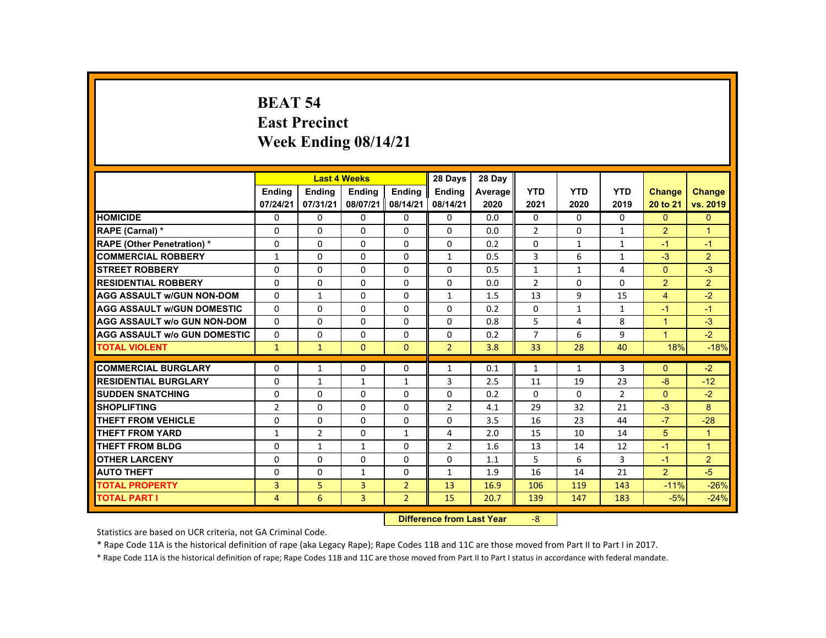### **BEAT 54 East Precinct Week Ending 08/14/21**

|                                     |                                   |                | <b>Last 4 Weeks</b> |                | 28 Days        | 28 Day  |                |              |                |                      |                      |
|-------------------------------------|-----------------------------------|----------------|---------------------|----------------|----------------|---------|----------------|--------------|----------------|----------------------|----------------------|
|                                     | <b>Ending</b>                     | <b>Endina</b>  | <b>Ending</b>       | <b>Ending</b>  | Ending         | Average | <b>YTD</b>     | <b>YTD</b>   | <b>YTD</b>     | <b>Change</b>        | <b>Change</b>        |
|                                     | 07/24/21                          | 07/31/21       | 08/07/21            | 08/14/21       | 08/14/21       | 2020    | 2021           | 2020         | 2019           | 20 to 21             | vs. 2019             |
| <b>HOMICIDE</b>                     | $\Omega$                          | $\Omega$       | $\Omega$            | $\Omega$       | 0              | 0.0     | 0              | $\Omega$     | $\Omega$       | $\Omega$             | $\mathbf{0}$         |
| RAPE (Carnal) *                     | 0                                 | $\Omega$       | $\Omega$            | $\Omega$       | $\Omega$       | 0.0     | $\overline{2}$ | 0            | $\mathbf{1}$   | $\overline{2}$       | $\mathbf 1$          |
| <b>RAPE (Other Penetration) *</b>   | $\Omega$                          | $\Omega$       | $\Omega$            | $\Omega$       | $\Omega$       | 0.2     | $\Omega$       | $\mathbf{1}$ | $\mathbf{1}$   | $-1$                 | $-1$                 |
| <b>COMMERCIAL ROBBERY</b>           | $\mathbf{1}$                      | $\Omega$       | $\Omega$            | $\Omega$       | $\mathbf{1}$   | 0.5     | 3              | 6            | $\mathbf{1}$   | $-3$                 | $\overline{2}$       |
| <b>STREET ROBBERY</b>               | $\Omega$                          | $\Omega$       | $\Omega$            | $\Omega$       | $\Omega$       | 0.5     | $\mathbf{1}$   | $\mathbf{1}$ | 4              | $\Omega$             | $-3$                 |
| <b>RESIDENTIAL ROBBERY</b>          | $\mathbf{0}$                      | $\Omega$       | $\Omega$            | 0              | $\Omega$       | 0.0     | $\overline{2}$ | 0            | $\Omega$       | 2                    | $\overline{2}$       |
| <b>AGG ASSAULT W/GUN NON-DOM</b>    | $\mathbf{0}$                      | $\mathbf{1}$   | $\Omega$            | $\Omega$       | $\mathbf{1}$   | 1.5     | 13             | 9            | 15             | $\overline{4}$       | $-2$                 |
| <b>AGG ASSAULT W/GUN DOMESTIC</b>   | $\Omega$                          | $\Omega$       | $\Omega$            | $\Omega$       | $\Omega$       | 0.2     | $\Omega$       | $\mathbf{1}$ | $\mathbf{1}$   | $-1$                 | $-1$                 |
| <b>AGG ASSAULT w/o GUN NON-DOM</b>  | $\Omega$                          | $\Omega$       | $\Omega$            | $\Omega$       | $\Omega$       | 0.8     | 5              | 4            | 8              | $\blacktriangleleft$ | $-3$                 |
| <b>AGG ASSAULT W/o GUN DOMESTIC</b> | $\Omega$                          | $\Omega$       | $\Omega$            | $\Omega$       | $\Omega$       | 0.2     | $\overline{7}$ | 6            | 9              | $\blacktriangleleft$ | $-2$                 |
| <b>TOTAL VIOLENT</b>                | $\mathbf{1}$                      | $\mathbf{1}$   | $\mathbf{0}$        | $\mathbf{0}$   | $\overline{2}$ | 3.8     | 33             | 28           | 40             | 18%                  | $-18%$               |
|                                     |                                   |                |                     |                |                |         |                |              |                |                      |                      |
| <b>COMMERCIAL BURGLARY</b>          | $\Omega$                          | $\mathbf{1}$   | $\mathbf{0}$        | 0              | $\mathbf{1}$   | 0.1     | $\mathbf{1}$   | 1            | 3              | $\mathbf{0}$         | $-2$                 |
| <b>RESIDENTIAL BURGLARY</b>         | $\Omega$                          | $\mathbf{1}$   | $\mathbf{1}$        | $\mathbf{1}$   | 3              | 2.5     | 11             | 19           | 23             | $-8$                 | $-12$                |
| <b>SUDDEN SNATCHING</b>             | $\mathbf{0}$                      | $\Omega$       | $\mathbf{0}$        | $\mathbf{0}$   | $\Omega$       | 0.2     | $\Omega$       | 0            | $\overline{2}$ | $\mathbf{0}$         | $-2$                 |
| <b>SHOPLIFTING</b>                  | $\overline{2}$                    | $\Omega$       | $\Omega$            | $\Omega$       | 2              | 4.1     | 29             | 32           | 21             | $-3$                 | 8                    |
| <b>THEFT FROM VEHICLE</b>           | $\mathbf{0}$                      | $\Omega$       | $\Omega$            | $\Omega$       | $\Omega$       | 3.5     | 16             | 23           | 44             | $-7$                 | $-28$                |
| <b>THEFT FROM YARD</b>              | $\mathbf{1}$                      | $\overline{2}$ | $\Omega$            | $\mathbf{1}$   | 4              | 2.0     | 15             | 10           | 14             | 5                    | $\mathbf{1}$         |
| <b>THEFT FROM BLDG</b>              | 0                                 | $\mathbf{1}$   | $\mathbf{1}$        | 0              | $\overline{2}$ | 1.6     | 13             | 14           | 12             | $-1$                 | $\blacktriangleleft$ |
| <b>OTHER LARCENY</b>                | $\Omega$                          | $\Omega$       | $\Omega$            | $\Omega$       | $\Omega$       | 1.1     | 5              | 6            | 3              | $-1$                 | $\overline{2}$       |
| <b>AUTO THEFT</b>                   | $\Omega$                          | $\Omega$       | $\mathbf{1}$        | $\Omega$       | $\mathbf{1}$   | 1.9     | 16             | 14           | 21             | 2                    | $-5$                 |
| <b>TOTAL PROPERTY</b>               | 3                                 | 5              | 3                   | $\overline{2}$ | 13             | 16.9    | 106            | 119          | 143            | $-11%$               | $-26%$               |
| <b>TOTAL PART I</b>                 | 4                                 | 6              | 3                   | $\overline{2}$ | 15             | 20.7    | 139            | 147          | 183            | $-5%$                | $-24%$               |
|                                     | <b>Difference from Least Vage</b> |                |                     |                |                |         |                |              |                |                      |                      |

 **Difference from Last Year**‐8

Statistics are based on UCR criteria, not GA Criminal Code.

\* Rape Code 11A is the historical definition of rape (aka Legacy Rape); Rape Codes 11B and 11C are those moved from Part II to Part I in 2017.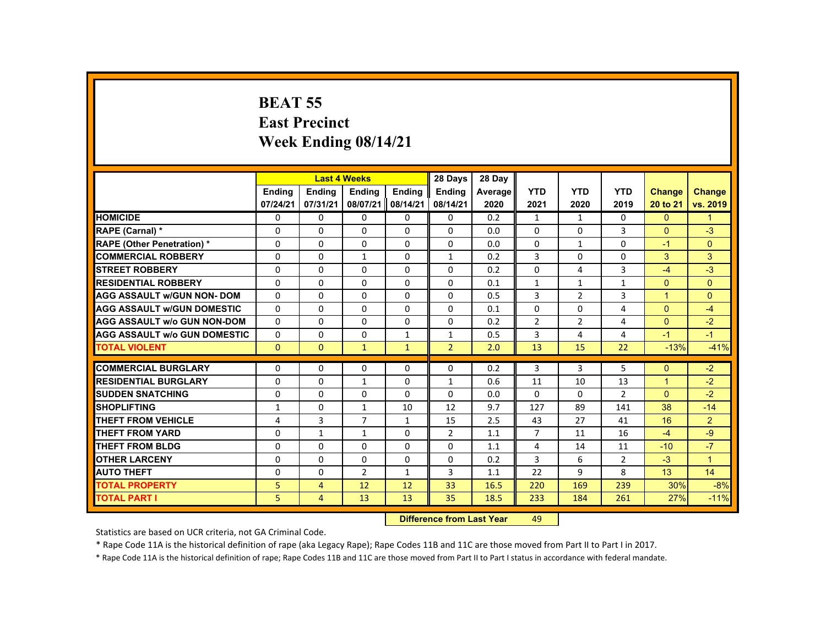# **BEAT 55 East Precinct Week Ending 08/14/21**

|                                               |                  |                                                                                                                                                                                                                                | <b>Last 4 Weeks</b> |               | 28 Days        | 28 Day     |                |                |                |                |                |
|-----------------------------------------------|------------------|--------------------------------------------------------------------------------------------------------------------------------------------------------------------------------------------------------------------------------|---------------------|---------------|----------------|------------|----------------|----------------|----------------|----------------|----------------|
|                                               | <b>Endina</b>    | <b>Endina</b>                                                                                                                                                                                                                  | <b>Ending</b>       | <b>Ending</b> | Ending         | Average    | <b>YTD</b>     | <b>YTD</b>     | <b>YTD</b>     | <b>Change</b>  | <b>Change</b>  |
|                                               | 07/24/21         | 07/31/21                                                                                                                                                                                                                       | 08/07/21            | 08/14/21      | 08/14/21       | 2020       | 2021           | 2020           | 2019           | 20 to 21       | vs. 2019       |
| <b>HOMICIDE</b>                               | 0                | $\mathbf{0}$                                                                                                                                                                                                                   | $\Omega$            | $\Omega$      | $\mathbf{0}$   | 0.2        | $\mathbf{1}$   | $\mathbf{1}$   | $\mathbf{0}$   | $\mathbf{0}$   | $\mathbf{1}$   |
| RAPE (Carnal) *                               | 0                | $\mathbf{0}$                                                                                                                                                                                                                   | 0                   | $\Omega$      | $\Omega$       | 0.0        | $\Omega$       | 0              | 3              | $\Omega$       | $-3$           |
| <b>RAPE (Other Penetration) *</b>             | $\Omega$         | $\mathbf{0}$                                                                                                                                                                                                                   | $\Omega$            | $\Omega$      | $\Omega$       | 0.0        | $\Omega$       | $\mathbf{1}$   | $\Omega$       | $-1$           | $\Omega$       |
| <b>COMMERCIAL ROBBERY</b>                     | $\Omega$         | $\Omega$                                                                                                                                                                                                                       | $\mathbf{1}$        | $\Omega$      | $\mathbf{1}$   | 0.2        | 3              | $\Omega$       | $\Omega$       | 3              | 3              |
| <b>STREET ROBBERY</b>                         | $\Omega$         | $\Omega$                                                                                                                                                                                                                       | $\Omega$            | $\Omega$      | $\Omega$       | 0.2        | $\Omega$       | 4              | $\overline{3}$ | $-4$           | $-3$           |
| <b>RESIDENTIAL ROBBERY</b>                    | $\Omega$         | $\mathbf{0}$                                                                                                                                                                                                                   | 0                   | 0             | 0              | 0.1        | $\mathbf{1}$   | $\mathbf{1}$   | $\mathbf{1}$   | $\mathbf{0}$   | $\mathbf{0}$   |
| <b>AGG ASSAULT w/GUN NON- DOM</b>             | $\Omega$         | $\Omega$                                                                                                                                                                                                                       | $\Omega$            | $\Omega$      | $\Omega$       | 0.5        | 3              | $\overline{2}$ | 3              | $\mathbf{1}$   | $\Omega$       |
| <b>AGG ASSAULT W/GUN DOMESTIC</b>             | $\Omega$         | $\Omega$                                                                                                                                                                                                                       | $\Omega$            | $\Omega$      | $\Omega$       | 0.1        | $\Omega$       | $\Omega$       | $\overline{4}$ | $\Omega$       | $-4$           |
| <b>AGG ASSAULT w/o GUN NON-DOM</b>            | $\Omega$         | $\Omega$                                                                                                                                                                                                                       | $\Omega$            | $\Omega$      | $\Omega$       | 0.2        | $\overline{2}$ | $\overline{2}$ | 4              | $\Omega$       | $-2$           |
| <b>AGG ASSAULT W/o GUN DOMESTIC</b>           | $\Omega$         | $\Omega$                                                                                                                                                                                                                       | $\Omega$            | $\mathbf{1}$  | $\mathbf{1}$   | 0.5        | 3              | 4              | 4              | $-1$           | $-1$           |
| <b>TOTAL VIOLENT</b>                          | $\Omega$         | $\mathbf{0}$                                                                                                                                                                                                                   | $\mathbf{1}$        | $\mathbf{1}$  | $\overline{2}$ | 2.0        | 13             | 15             | 22             | $-13%$         | $-41%$         |
| <b>COMMERCIAL BURGLARY</b>                    | $\Omega$         | $\Omega$                                                                                                                                                                                                                       | $\Omega$            | $\Omega$      | $\Omega$       | 0.2        | 3              | 3              | 5              | $\Omega$       | $-2$           |
| <b>RESIDENTIAL BURGLARY</b>                   | $\Omega$         | $\Omega$                                                                                                                                                                                                                       |                     | $\Omega$      |                |            | 11             |                |                | $\mathbf{1}$   |                |
|                                               |                  |                                                                                                                                                                                                                                | $\mathbf{1}$        |               | $\mathbf{1}$   | 0.6        |                | 10             | 13             |                | $-2$           |
| <b>SUDDEN SNATCHING</b><br><b>SHOPLIFTING</b> | 0                | $\mathbf{0}$                                                                                                                                                                                                                   | 0                   | 0<br>10       | 0<br>12        | 0.0<br>9.7 | 0<br>127       | 0<br>89        | $\overline{2}$ | $\Omega$<br>38 | $-2$<br>$-14$  |
|                                               | $\mathbf{1}$     | $\Omega$                                                                                                                                                                                                                       | $\mathbf{1}$        |               |                |            |                |                | 141            |                |                |
| <b>THEFT FROM VEHICLE</b>                     | 4                | 3                                                                                                                                                                                                                              | $\overline{7}$      | $\mathbf{1}$  | 15             | 2.5        | 43             | 27             | 41             | 16             | $\overline{2}$ |
| <b>THEFT FROM YARD</b>                        | $\Omega$         | $\mathbf{1}$                                                                                                                                                                                                                   | $\mathbf{1}$        | $\Omega$      | $\overline{2}$ | 1.1        | $\overline{7}$ | 11             | 16             | $-4$           | $-9$           |
| <b>THEFT FROM BLDG</b>                        | $\Omega$         | $\Omega$                                                                                                                                                                                                                       | $\Omega$            | $\Omega$      | $\Omega$       | 1.1        | 4              | 14             | 11             | $-10$          | $-7$           |
| <b>OTHER LARCENY</b>                          | $\Omega$         | $\mathbf{0}$                                                                                                                                                                                                                   | $\Omega$            | $\Omega$      | $\Omega$       | 0.2        | 3              | 6              | 2              | $-3$           | $\overline{1}$ |
| <b>AUTO THEFT</b>                             | 0                | $\Omega$                                                                                                                                                                                                                       | $\overline{2}$      | $\mathbf{1}$  | 3              | 1.1        | 22             | 9              | 8              | 13             | 14             |
| <b>TOTAL PROPERTY</b>                         | 5                | $\overline{4}$                                                                                                                                                                                                                 | 12                  | 12            | 33             | 16.5       | 220            | 169            | 239            | 30%            | $-8%$          |
| <b>TOTAL PART I</b>                           | 5                | $\overline{4}$                                                                                                                                                                                                                 | 13                  | 13            | 35             | 18.5       | 233            | 184            | 261            | 27%            | $-11%$         |
|                                               | <b>CALLED AT</b> | and the company of the second states of the second states of the second states of the second states of the second states of the second states of the second states of the second states of the second states of the second sta |                     | $\sim$        |                |            |                |                |                |                |                |

 **Difference from Last Year**r 49

Statistics are based on UCR criteria, not GA Criminal Code.

\* Rape Code 11A is the historical definition of rape (aka Legacy Rape); Rape Codes 11B and 11C are those moved from Part II to Part I in 2017.